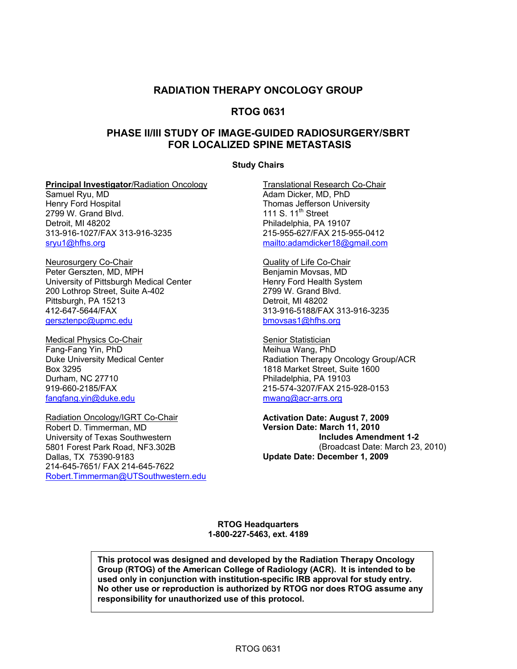# **RADIATION THERAPY ONCOLOGY GROUP**

# **RTOG 0631**

# **PHASE II/III STUDY OF IMAGE-GUIDED RADIOSURGERY/SBRT FOR LOCALIZED SPINE METASTASIS**

### **Study Chairs**

**Principal Investigator**/Radiation Oncology

Samuel Ryu, MD Henry Ford Hospital 2799 W. Grand Blvd. Detroit, MI 48202 313-916-1027/FAX 313-916-3235 sryu1@hfhs.org

Neurosurgery Co-Chair Peter Gerszten, MD, MPH University of Pittsburgh Medical Center 200 Lothrop Street, Suite A-402 Pittsburgh, PA 15213 412-647-5644/FAX gersztenpc@upmc.edu

Medical Physics Co-Chair Fang-Fang Yin, PhD Duke University Medical Center Box 3295 Durham, NC 27710 919-660-2185/FAX fangfang.yin@duke.edu

Radiation Oncology/IGRT Co-Chair Robert D. Timmerman, MD University of Texas Southwestern 5801 Forest Park Road, NF3.302B Dallas, TX 75390-9183 214-645-7651/ FAX 214-645-7622 Robert.Timmerman@UTSouthwestern.edu

Translational Research Co-Chair Adam Dicker, MD, PhD Thomas Jefferson University 111 S.  $11^{th}$  Street Philadelphia, PA 19107 215-955-627/FAX 215-955-0412 mailto:adamdicker18@gmail.com

Quality of Life Co-Chair Benjamin Movsas, MD Henry Ford Health System 2799 W. Grand Blvd. Detroit, MI 48202 313-916-5188/FAX 313-916-3235 bmovsas1@hfhs.org

Senior Statistician Meihua Wang, PhD Radiation Therapy Oncology Group/ACR 1818 Market Street, Suite 1600 Philadelphia, PA 19103 215-574-3207/FAX 215-928-0153 mwang@acr-arrs.org

**Activation Date: August 7, 2009 Version Date: March 11, 2010 Includes Amendment 1-2**  (Broadcast Date: March 23, 2010) **Update Date: December 1, 2009** 

**RTOG Headquarters 1-800-227-5463, ext. 4189** 

 **This protocol was designed and developed by the Radiation Therapy Oncology Group (RTOG) of the American College of Radiology (ACR). It is intended to be used only in conjunction with institution-specific IRB approval for study entry. No other use or reproduction is authorized by RTOG nor does RTOG assume any responsibility for unauthorized use of this protocol.**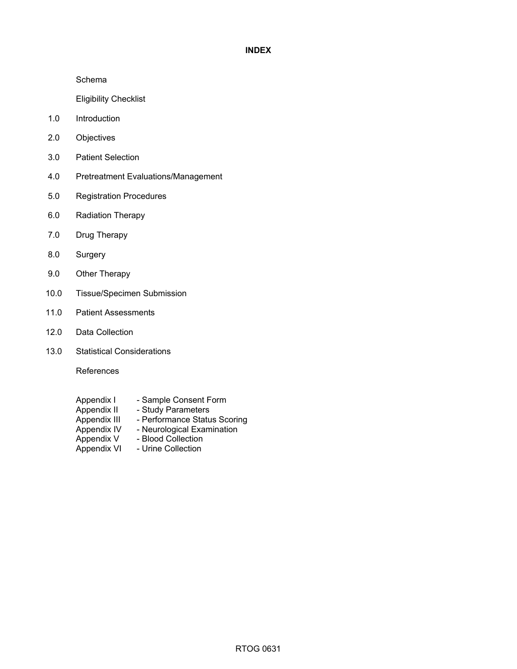### **INDEX**

Schema

Eligibility Checklist

- 1.0 Introduction
- 2.0 Objectives
- 3.0 Patient Selection
- 4.0 Pretreatment Evaluations/Management
- 5.0 Registration Procedures
- 6.0 Radiation Therapy
- 7.0 Drug Therapy
- 8.0 Surgery
- 9.0 Other Therapy
- 10.0 Tissue/Specimen Submission
- 11.0 Patient Assessments
- 12.0 Data Collection
- 13.0 Statistical Considerations

References

- Appendix I Sample Consent Form<br>Appendix II Study Parameters
- Appendix II Study Parameters<br>Appendix III Performance Statu
	-
- Appendix III Performance Status Scoring<br>Appendix IV Neurological Examination Appendix IV - Neurological Examination<br>Appendix V - Blood Collection
	- Blood Collection
- Appendix VI Urine Collection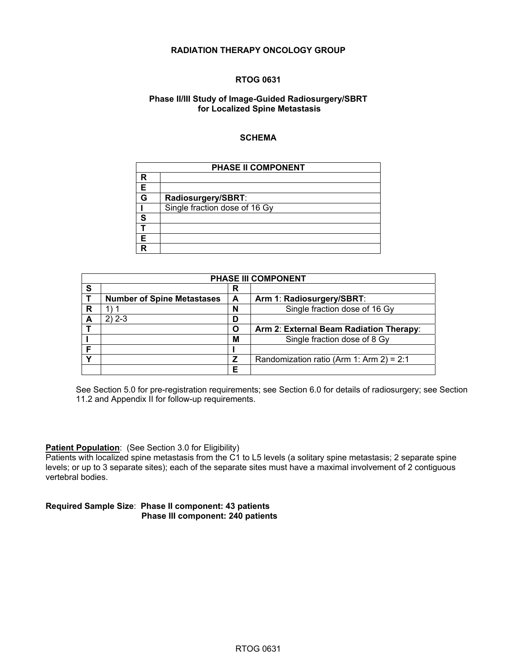### **RADIATION THERAPY ONCOLOGY GROUP**

### **RTOG 0631**

### **Phase II/III Study of Image-Guided Radiosurgery/SBRT for Localized Spine Metastasis**

### **SCHEMA**

|   | <b>PHASE II COMPONENT</b>     |  |  |  |
|---|-------------------------------|--|--|--|
| R |                               |  |  |  |
| Е |                               |  |  |  |
| G | Radiosurgery/SBRT:            |  |  |  |
|   | Single fraction dose of 16 Gy |  |  |  |
| S |                               |  |  |  |
|   |                               |  |  |  |
| Е |                               |  |  |  |
| R |                               |  |  |  |

|   | <b>PHASE III COMPONENT</b>        |   |                                            |  |  |
|---|-----------------------------------|---|--------------------------------------------|--|--|
| S |                                   | R |                                            |  |  |
|   | <b>Number of Spine Metastases</b> | A | Arm 1: Radiosurgery/SBRT:                  |  |  |
| R |                                   | N | Single fraction dose of 16 Gy              |  |  |
| А | 2) 2-3                            | D |                                            |  |  |
|   |                                   | O | Arm 2: External Beam Radiation Therapy:    |  |  |
|   |                                   | M | Single fraction dose of 8 Gy               |  |  |
| F |                                   |   |                                            |  |  |
| v |                                   | Z | Randomization ratio (Arm 1: Arm 2) = $2:1$ |  |  |
|   |                                   | Е |                                            |  |  |

See Section 5.0 for pre-registration requirements; see Section 6.0 for details of radiosurgery; see Section 11.2 and Appendix II for follow-up requirements.

### **Patient Population:** (See Section 3.0 for Eligibility)

Patients with localized spine metastasis from the C1 to L5 levels (a solitary spine metastasis; 2 separate spine levels; or up to 3 separate sites); each of the separate sites must have a maximal involvement of 2 contiguous vertebral bodies.

**Required Sample Size**: **Phase II component: 43 patients Phase III component: 240 patients**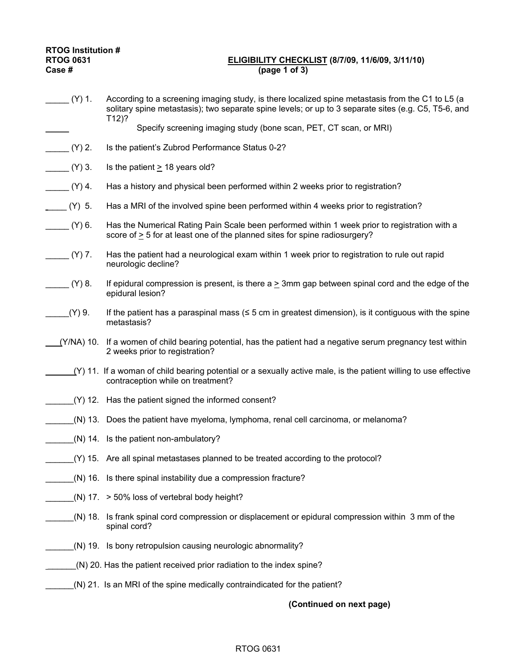### **RTOG 0631 ELIGIBILITY CHECKLIST (8/7/09, 11/6/09, 3/11/10) Case # (page 1 of 3)**

- \_\_\_\_\_ (Y) 1. According to a screening imaging study, is there localized spine metastasis from the C1 to L5 (a solitary spine metastasis); two separate spine levels; or up to 3 separate sites (e.g. C5, T5-6, and T12)?
	- Specify screening imaging study (bone scan, PET, CT scan, or MRI)
- \_\_\_\_\_ (Y) 2. Is the patient's Zubrod Performance Status 0-2?
- $\frac{1}{2}$  (Y) 3. Is the patient  $\geq$  18 years old?
- \_\_\_\_\_ (Y) 4. Has a history and physical been performed within 2 weeks prior to registration?
- $( Y ) 5.$  Has a MRI of the involved spine been performed within 4 weeks prior to registration?
- \_\_\_\_\_ (Y) 6. Has the Numerical Rating Pain Scale been performed within 1 week prior to registration with a score of > 5 for at least one of the planned sites for spine radiosurgery?
- $\qquad \qquad$  (Y) 7. Has the patient had a neurological exam within 1 week prior to registration to rule out rapid neurologic decline?
- $(Y)$  8. If epidural compression is present, is there  $a \geq 3$ mm gap between spinal cord and the edge of the epidural lesion?
- $(Y)$  9. If the patient has a paraspinal mass ( $\leq$  5 cm in greatest dimension), is it contiguous with the spine metastasis?
- (Y/NA) 10. If a women of child bearing potential, has the patient had a negative serum pregnancy test within 2 weeks prior to registration?
- (Y) 11. If a woman of child bearing potential or a sexually active male, is the patient willing to use effective contraception while on treatment?
- \_\_\_\_\_\_(Y) 12. Has the patient signed the informed consent?
- (N) 13. Does the patient have myeloma, lymphoma, renal cell carcinoma, or melanoma?
- \_\_\_\_\_\_(N) 14. Is the patient non-ambulatory?
- \_\_\_\_\_\_(Y) 15. Are all spinal metastases planned to be treated according to the protocol?
- \_\_\_\_\_\_(N) 16. Is there spinal instability due a compression fracture?
- $\underline{\hspace{1cm}}(N)$  17. > 50% loss of vertebral body height?
- \_\_\_\_\_\_(N) 18. Is frank spinal cord compression or displacement or epidural compression within 3 mm of the spinal cord?
- $(N)$  19. Is bony retropulsion causing neurologic abnormality?
- \_\_\_\_\_\_(N) 20. Has the patient received prior radiation to the index spine?
- \_\_\_\_\_\_(N) 21. Is an MRI of the spine medically contraindicated for the patient?

**(Continued on next page)**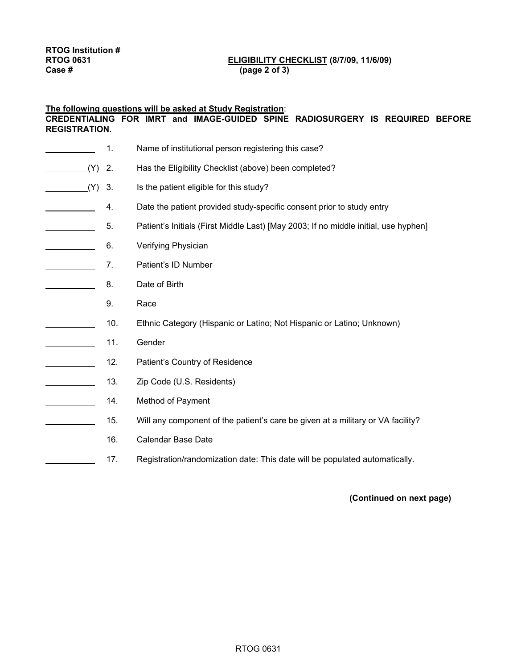# **RTOG 0631 ELIGIBILITY CHECKLIST (8/7/09, 11/6/09)**

| <b>REGISTRATION.</b> |     | The following questions will be asked at Study Registration:<br>CREDENTIALING FOR IMRT and IMAGE-GUIDED SPINE RADIOSURGERY IS REQUIRED BEFORE |
|----------------------|-----|-----------------------------------------------------------------------------------------------------------------------------------------------|
|                      | 1.  | Name of institutional person registering this case?                                                                                           |
| (Y)                  | 2.  | Has the Eligibility Checklist (above) been completed?                                                                                         |
| (Y)                  | 3.  | Is the patient eligible for this study?                                                                                                       |
|                      | 4.  | Date the patient provided study-specific consent prior to study entry                                                                         |
|                      | 5.  | Patient's Initials (First Middle Last) [May 2003; If no middle initial, use hyphen]                                                           |
|                      | 6.  | Verifying Physician                                                                                                                           |
|                      | 7.  | Patient's ID Number                                                                                                                           |
|                      | 8.  | Date of Birth                                                                                                                                 |
|                      | 9.  | Race                                                                                                                                          |
|                      | 10. | Ethnic Category (Hispanic or Latino; Not Hispanic or Latino; Unknown)                                                                         |
|                      | 11. | Gender                                                                                                                                        |
|                      | 12. | Patient's Country of Residence                                                                                                                |
|                      | 13. | Zip Code (U.S. Residents)                                                                                                                     |
|                      | 14. | Method of Payment                                                                                                                             |
|                      | 15. | Will any component of the patient's care be given at a military or VA facility?                                                               |
|                      | 16. | <b>Calendar Base Date</b>                                                                                                                     |
|                      | 17. | Registration/randomization date: This date will be populated automatically.                                                                   |

# **(Continued on next page)**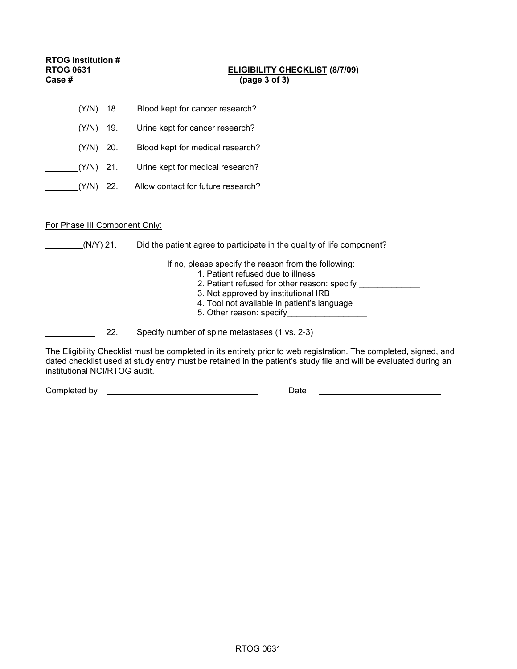**RTOG Institution # RTOG 0631 ELIGIBILITY CHECKLIST (8/7/09) Case # (page 3 of 3)**  (Y/N) 18. Blood kept for cancer research? (Y/N) 19. Urine kept for cancer research? (Y/N) 20. Blood kept for medical research? (Y/N) 21. Urine kept for medical research? (Y/N) 22. Allow contact for future research? For Phase III Component Only: (N/Y) 21. Did the patient agree to participate in the quality of life component? If no, please specify the reason from the following: 1. Patient refused due to illness 2. Patient refused for other reason: specify 3. Not approved by institutional IRB 4. Tool not available in patient's language 5. Other reason: specify 22. Specify number of spine metastases (1 vs. 2-3) The Eligibility Checklist must be completed in its entirety prior to web registration. The completed, signed, and dated checklist used at study entry must be retained in the patient's study file and will be evaluated during an institutional NCI/RTOG audit. Completed by **Date** Date **Date Date Date Date** 

RTOG 0631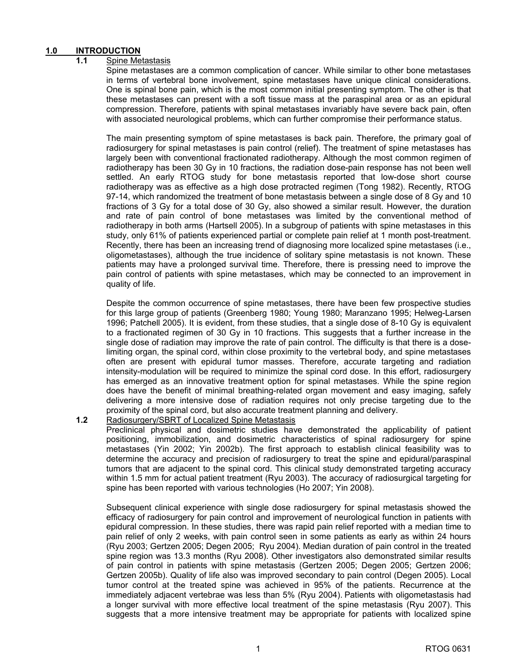### **1.0 INTRODUCTION**

### **1.1** Spine Metastasis

 Spine metastases are a common complication of cancer. While similar to other bone metastases in terms of vertebral bone involvement, spine metastases have unique clinical considerations. One is spinal bone pain, which is the most common initial presenting symptom. The other is that these metastases can present with a soft tissue mass at the paraspinal area or as an epidural compression. Therefore, patients with spinal metastases invariably have severe back pain, often with associated neurological problems, which can further compromise their performance status.

 The main presenting symptom of spine metastases is back pain. Therefore, the primary goal of radiosurgery for spinal metastases is pain control (relief). The treatment of spine metastases has largely been with conventional fractionated radiotherapy. Although the most common regimen of radiotherapy has been 30 Gy in 10 fractions, the radiation dose-pain response has not been well settled. An early RTOG study for bone metastasis reported that low-dose short course radiotherapy was as effective as a high dose protracted regimen (Tong 1982). Recently, RTOG 97-14, which randomized the treatment of bone metastasis between a single dose of 8 Gy and 10 fractions of 3 Gy for a total dose of 30 Gy, also showed a similar result. However, the duration and rate of pain control of bone metastases was limited by the conventional method of radiotherapy in both arms (Hartsell 2005). In a subgroup of patients with spine metastases in this study, only 61% of patients experienced partial or complete pain relief at 1 month post-treatment. Recently, there has been an increasing trend of diagnosing more localized spine metastases (i.e., oligometastases), although the true incidence of solitary spine metastasis is not known. These patients may have a prolonged survival time. Therefore, there is pressing need to improve the pain control of patients with spine metastases, which may be connected to an improvement in quality of life.

 Despite the common occurrence of spine metastases, there have been few prospective studies for this large group of patients (Greenberg 1980; Young 1980; Maranzano 1995; Helweg-Larsen 1996; Patchell 2005). It is evident, from these studies, that a single dose of 8-10 Gy is equivalent to a fractionated regimen of 30 Gy in 10 fractions. This suggests that a further increase in the single dose of radiation may improve the rate of pain control. The difficulty is that there is a doselimiting organ, the spinal cord, within close proximity to the vertebral body, and spine metastases often are present with epidural tumor masses. Therefore, accurate targeting and radiation intensity-modulation will be required to minimize the spinal cord dose. In this effort, radiosurgery has emerged as an innovative treatment option for spinal metastases. While the spine region does have the benefit of minimal breathing-related organ movement and easy imaging, safely delivering a more intensive dose of radiation requires not only precise targeting due to the proximity of the spinal cord, but also accurate treatment planning and delivery.

### **1.2** Radiosurgery/SBRT of Localized Spine Metastasis

 Preclinical physical and dosimetric studies have demonstrated the applicability of patient positioning, immobilization, and dosimetric characteristics of spinal radiosurgery for spine metastases (Yin 2002; Yin 2002b). The first approach to establish clinical feasibility was to determine the accuracy and precision of radiosurgery to treat the spine and epidural/paraspinal tumors that are adjacent to the spinal cord. This clinical study demonstrated targeting accuracy within 1.5 mm for actual patient treatment (Ryu 2003). The accuracy of radiosurgical targeting for spine has been reported with various technologies (Ho 2007; Yin 2008).

 Subsequent clinical experience with single dose radiosurgery for spinal metastasis showed the efficacy of radiosurgery for pain control and improvement of neurological function in patients with epidural compression. In these studies, there was rapid pain relief reported with a median time to pain relief of only 2 weeks, with pain control seen in some patients as early as within 24 hours (Ryu 2003; Gertzen 2005; Degen 2005; Ryu 2004). Median duration of pain control in the treated spine region was 13.3 months (Ryu 2008). Other investigators also demonstrated similar results of pain control in patients with spine metastasis (Gertzen 2005; Degen 2005; Gertzen 2006; Gertzen 2005b). Quality of life also was improved secondary to pain control (Degen 2005). Local tumor control at the treated spine was achieved in 95% of the patients. Recurrence at the immediately adjacent vertebrae was less than 5% (Ryu 2004). Patients with oligometastasis had a longer survival with more effective local treatment of the spine metastasis (Ryu 2007). This suggests that a more intensive treatment may be appropriate for patients with localized spine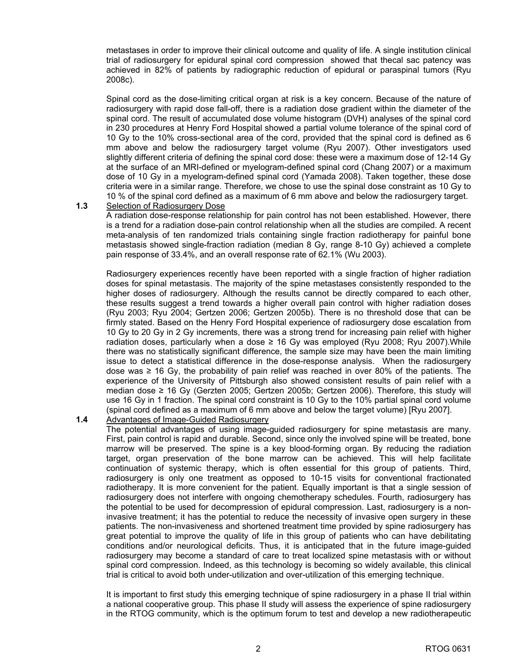metastases in order to improve their clinical outcome and quality of life. A single institution clinical trial of radiosurgery for epidural spinal cord compression showed that thecal sac patency was achieved in 82% of patients by radiographic reduction of epidural or paraspinal tumors (Ryu 2008c).

 Spinal cord as the dose-limiting critical organ at risk is a key concern. Because of the nature of radiosurgery with rapid dose fall-off, there is a radiation dose gradient within the diameter of the spinal cord. The result of accumulated dose volume histogram (DVH) analyses of the spinal cord in 230 procedures at Henry Ford Hospital showed a partial volume tolerance of the spinal cord of 10 Gy to the 10% cross-sectional area of the cord, provided that the spinal cord is defined as 6 mm above and below the radiosurgery target volume (Ryu 2007). Other investigators used slightly different criteria of defining the spinal cord dose: these were a maximum dose of 12-14 Gy at the surface of an MRI-defined or myelogram-defined spinal cord (Chang 2007) or a maximum dose of 10 Gy in a myelogram-defined spinal cord (Yamada 2008). Taken together, these dose criteria were in a similar range. Therefore, we chose to use the spinal dose constraint as 10 Gy to 10 % of the spinal cord defined as a maximum of 6 mm above and below the radiosurgery target.

### **1.3** Selection of Radiosurgery Dose

 A radiation dose-response relationship for pain control has not been established. However, there is a trend for a radiation dose-pain control relationship when all the studies are compiled. A recent meta-analysis of ten randomized trials containing single fraction radiotherapy for painful bone metastasis showed single-fraction radiation (median 8 Gy, range 8-10 Gy) achieved a complete pain response of 33.4%, and an overall response rate of 62.1% (Wu 2003).

 Radiosurgery experiences recently have been reported with a single fraction of higher radiation doses for spinal metastasis. The majority of the spine metastases consistently responded to the higher doses of radiosurgery. Although the results cannot be directly compared to each other, these results suggest a trend towards a higher overall pain control with higher radiation doses (Ryu 2003; Ryu 2004; Gertzen 2006; Gertzen 2005b). There is no threshold dose that can be firmly stated. Based on the Henry Ford Hospital experience of radiosurgery dose escalation from 10 Gy to 20 Gy in 2 Gy increments, there was a strong trend for increasing pain relief with higher radiation doses, particularly when a dose ≥ 16 Gy was employed (Ryu 2008; Ryu 2007).While there was no statistically significant difference, the sample size may have been the main limiting issue to detect a statistical difference in the dose-response analysis. When the radiosurgery dose was ≥ 16 Gy, the probability of pain relief was reached in over 80% of the patients. The experience of the University of Pittsburgh also showed consistent results of pain relief with a median dose ≥ 16 Gy (Gerzten 2005; Gertzen 2005b; Gertzen 2006). Therefore, this study will use 16 Gy in 1 fraction. The spinal cord constraint is 10 Gy to the 10% partial spinal cord volume (spinal cord defined as a maximum of 6 mm above and below the target volume) [Ryu 2007].

### **1.4** Advantages of Image-Guided Radiosurgery

 The potential advantages of using image-guided radiosurgery for spine metastasis are many. First, pain control is rapid and durable. Second, since only the involved spine will be treated, bone marrow will be preserved. The spine is a key blood-forming organ. By reducing the radiation target, organ preservation of the bone marrow can be achieved. This will help facilitate continuation of systemic therapy, which is often essential for this group of patients. Third, radiosurgery is only one treatment as opposed to 10-15 visits for conventional fractionated radiotherapy. It is more convenient for the patient. Equally important is that a single session of radiosurgery does not interfere with ongoing chemotherapy schedules. Fourth, radiosurgery has the potential to be used for decompression of epidural compression. Last, radiosurgery is a noninvasive treatment; it has the potential to reduce the necessity of invasive open surgery in these patients. The non-invasiveness and shortened treatment time provided by spine radiosurgery has great potential to improve the quality of life in this group of patients who can have debilitating conditions and/or neurological deficits. Thus, it is anticipated that in the future image-guided radiosurgery may become a standard of care to treat localized spine metastasis with or without spinal cord compression. Indeed, as this technology is becoming so widely available, this clinical trial is critical to avoid both under-utilization and over-utilization of this emerging technique.

 It is important to first study this emerging technique of spine radiosurgery in a phase II trial within a national cooperative group. This phase II study will assess the experience of spine radiosurgery in the RTOG community, which is the optimum forum to test and develop a new radiotherapeutic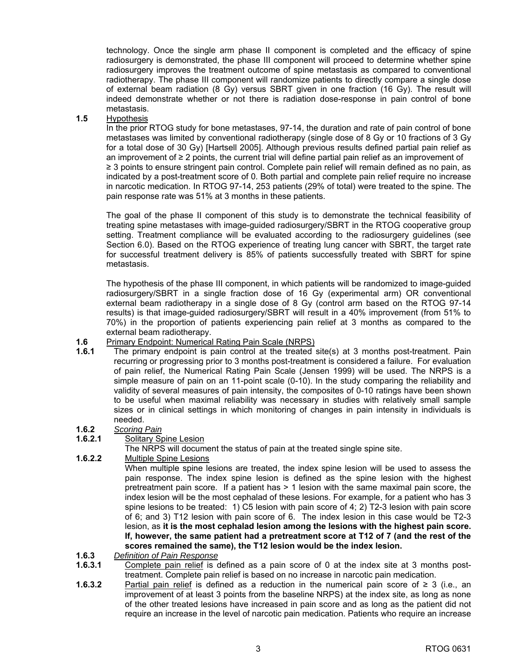technology. Once the single arm phase II component is completed and the efficacy of spine radiosurgery is demonstrated, the phase III component will proceed to determine whether spine radiosurgery improves the treatment outcome of spine metastasis as compared to conventional radiotherapy. The phase III component will randomize patients to directly compare a single dose of external beam radiation (8 Gy) versus SBRT given in one fraction (16 Gy). The result will indeed demonstrate whether or not there is radiation dose-response in pain control of bone metastasis.

### **1.5** Hypothesis

 In the prior RTOG study for bone metastases, 97-14, the duration and rate of pain control of bone metastases was limited by conventional radiotherapy (single dose of 8 Gy or 10 fractions of 3 Gy for a total dose of 30 Gy) [Hartsell 2005]. Although previous results defined partial pain relief as an improvement of ≥ 2 points, the current trial will define partial pain relief as an improvement of ≥ 3 points to ensure stringent pain control. Complete pain relief will remain defined as no pain, as indicated by a post-treatment score of 0. Both partial and complete pain relief require no increase in narcotic medication. In RTOG 97-14, 253 patients (29% of total) were treated to the spine. The pain response rate was 51% at 3 months in these patients.

 The goal of the phase II component of this study is to demonstrate the technical feasibility of treating spine metastases with image-guided radiosurgery/SBRT in the RTOG cooperative group setting. Treatment compliance will be evaluated according to the radiosurgery guidelines (see Section 6.0). Based on the RTOG experience of treating lung cancer with SBRT, the target rate for successful treatment delivery is 85% of patients successfully treated with SBRT for spine metastasis.

The hypothesis of the phase III component, in which patients will be randomized to image-guided radiosurgery/SBRT in a single fraction dose of 16 Gy (experimental arm) OR conventional external beam radiotherapy in a single dose of 8 Gy (control arm based on the RTOG 97-14 results) is that image-guided radiosurgery/SBRT will result in a 40% improvement (from 51% to 70%) in the proportion of patients experiencing pain relief at 3 months as compared to the external beam radiotherapy.

### **1.6** Primary Endpoint: Numerical Rating Pain Scale (NRPS)

- **1.6.1** The primary endpoint is pain control at the treated site(s) at 3 months post-treatment. Pain recurring or progressing prior to 3 months post-treatment is considered a failure. For evaluation of pain relief, the Numerical Rating Pain Scale (Jensen 1999) will be used. The NRPS is a simple measure of pain on an 11-point scale (0-10). In the study comparing the reliability and validity of several measures of pain intensity, the composites of 0-10 ratings have been shown to be useful when maximal reliability was necessary in studies with relatively small sample sizes or in clinical settings in which monitoring of changes in pain intensity in individuals is needed.
- **1.6.2** *Scoring Pain*
- **1.6.2.1** Solitary Spine Lesion

The NRPS will document the status of pain at the treated single spine site.

**1.6.2.2** Multiple Spine Lesions

 When multiple spine lesions are treated, the index spine lesion will be used to assess the pain response. The index spine lesion is defined as the spine lesion with the highest pretreatment pain score. If a patient has > 1 lesion with the same maximal pain score, the index lesion will be the most cephalad of these lesions. For example, for a patient who has 3 spine lesions to be treated: 1) C5 lesion with pain score of 4; 2) T2-3 lesion with pain score of 6; and 3) T12 lesion with pain score of 6. The index lesion in this case would be T2-3 lesion, as **it is the most cephalad lesion among the lesions with the highest pain score. If, however, the same patient had a pretreatment score at T12 of 7 (and the rest of the scores remained the same), the T12 lesion would be the index lesion.** 

- **1.6.3** *Definition of Pain Response*
- **1.6.3.1** Complete pain relief is defined as a pain score of 0 at the index site at 3 months posttreatment. Complete pain relief is based on no increase in narcotic pain medication.
- **1.6.3.2** Partial pain relief is defined as a reduction in the numerical pain score of ≥ 3 (i.e., an improvement of at least 3 points from the baseline NRPS) at the index site, as long as none of the other treated lesions have increased in pain score and as long as the patient did not require an increase in the level of narcotic pain medication. Patients who require an increase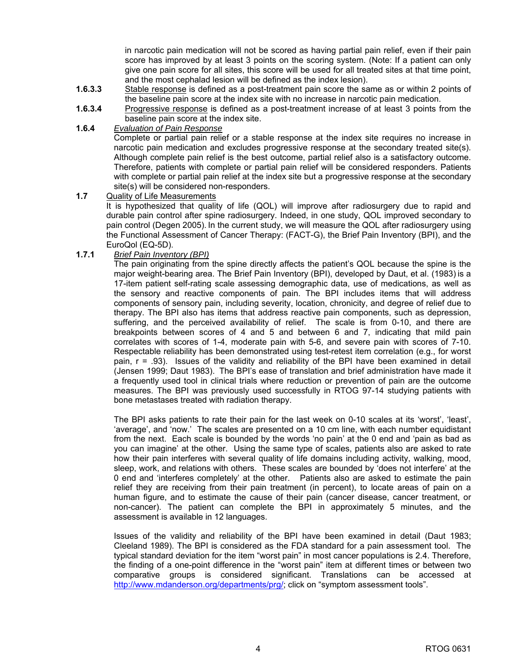in narcotic pain medication will not be scored as having partial pain relief, even if their pain score has improved by at least 3 points on the scoring system. (Note: If a patient can only give one pain score for all sites, this score will be used for all treated sites at that time point, and the most cephalad lesion will be defined as the index lesion).

- **1.6.3.3** Stable response is defined as a post-treatment pain score the same as or within 2 points of the baseline pain score at the index site with no increase in narcotic pain medication.
- **1.6.3.4** Progressive response is defined as a post-treatment increase of at least 3 points from the baseline pain score at the index site.

### **1.6.4** *Evaluation of Pain Response*

 Complete or partial pain relief or a stable response at the index site requires no increase in narcotic pain medication and excludes progressive response at the secondary treated site(s). Although complete pain relief is the best outcome, partial relief also is a satisfactory outcome. Therefore, patients with complete or partial pain relief will be considered responders. Patients with complete or partial pain relief at the index site but a progressive response at the secondary site(s) will be considered non-responders.

### **1.7** Quality of Life Measurements

 It is hypothesized that quality of life (QOL) will improve after radiosurgery due to rapid and durable pain control after spine radiosurgery. Indeed, in one study, QOL improved secondary to pain control (Degen 2005). In the current study, we will measure the QOL after radiosurgery using the Functional Assessment of Cancer Therapy: (FACT-G), the Brief Pain Inventory (BPI), and the EuroQol (EQ-5D).

### **1.7.1** *Brief Pain Inventory (BPI)*

 The pain originating from the spine directly affects the patient's QOL because the spine is the major weight-bearing area. The Brief Pain Inventory (BPI), developed by Daut, et al. (1983) is a 17-item patient self-rating scale assessing demographic data, use of medications, as well as the sensory and reactive components of pain. The BPI includes items that will address components of sensory pain, including severity, location, chronicity, and degree of relief due to therapy. The BPI also has items that address reactive pain components, such as depression, suffering, and the perceived availability of relief. The scale is from 0-10, and there are breakpoints between scores of 4 and 5 and between 6 and 7, indicating that mild pain correlates with scores of 1-4, moderate pain with 5-6, and severe pain with scores of 7-10. Respectable reliability has been demonstrated using test-retest item correlation (e.g., for worst pain, r = .93). Issues of the validity and reliability of the BPI have been examined in detail (Jensen 1999; Daut 1983). The BPI's ease of translation and brief administration have made it a frequently used tool in clinical trials where reduction or prevention of pain are the outcome measures. The BPI was previously used successfully in RTOG 97-14 studying patients with bone metastases treated with radiation therapy.

 The BPI asks patients to rate their pain for the last week on 0-10 scales at its 'worst', 'least', 'average', and 'now.' The scales are presented on a 10 cm line, with each number equidistant from the next. Each scale is bounded by the words 'no pain' at the 0 end and 'pain as bad as you can imagine' at the other. Using the same type of scales, patients also are asked to rate how their pain interferes with several quality of life domains including activity, walking, mood, sleep, work, and relations with others. These scales are bounded by 'does not interfere' at the 0 end and 'interferes completely' at the other. Patients also are asked to estimate the pain relief they are receiving from their pain treatment (in percent), to locate areas of pain on a human figure, and to estimate the cause of their pain (cancer disease, cancer treatment, or non-cancer). The patient can complete the BPI in approximately 5 minutes, and the assessment is available in 12 languages.

 Issues of the validity and reliability of the BPI have been examined in detail (Daut 1983; Cleeland 1989). The BPI is considered as the FDA standard for a pain assessment tool. The typical standard deviation for the item "worst pain" in most cancer populations is 2.4. Therefore, the finding of a one-point difference in the "worst pain" item at different times or between two comparative groups is considered significant. Translations can be accessed at http://www.mdanderson.org/departments/prg/; click on "symptom assessment tools".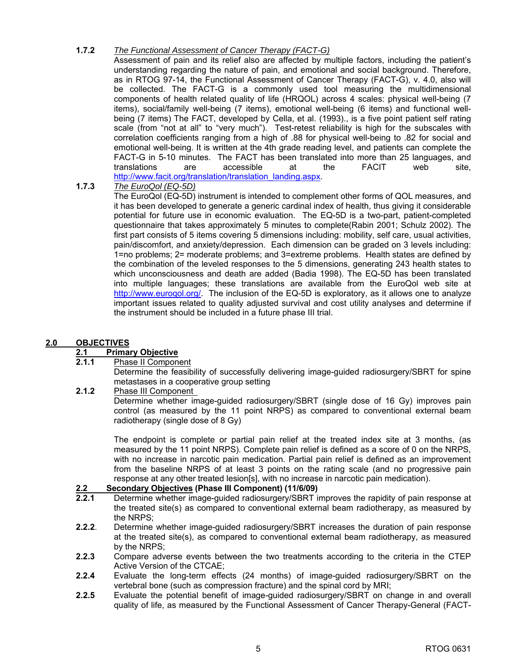### **1.7.2** *The Functional Assessment of Cancer Therapy (FACT-G)*

 Assessment of pain and its relief also are affected by multiple factors, including the patient's understanding regarding the nature of pain, and emotional and social background. Therefore, as in RTOG 97-14, the Functional Assessment of Cancer Therapy (FACT-G), v. 4.0, also will be collected. The FACT-G is a commonly used tool measuring the multidimensional components of health related quality of life (HRQOL) across 4 scales: physical well-being (7 items), social/family well-being (7 items), emotional well-being (6 items) and functional wellbeing (7 items) The FACT, developed by Cella, et al. (1993)., is a five point patient self rating scale (from "not at all" to "very much"). Test-retest reliability is high for the subscales with correlation coefficients ranging from a high of .88 for physical well-being to .82 for social and emotional well-being. It is written at the 4th grade reading level, and patients can complete the FACT-G in 5-10 minutes. The FACT has been translated into more than 25 languages, and translations are accessible at the FACIT web site, http://www.facit.org/translation/translation\_landing.aspx.

**1.7.3** *The EuroQol (EQ-5D)*

 The EuroQol (EQ-5D) instrument is intended to complement other forms of QOL measures, and it has been developed to generate a generic cardinal index of health, thus giving it considerable potential for future use in economic evaluation. The EQ-5D is a two-part, patient-completed questionnaire that takes approximately 5 minutes to complete(Rabin 2001; Schulz 2002). The first part consists of 5 items covering 5 dimensions including: mobility, self care, usual activities, pain/discomfort, and anxiety/depression. Each dimension can be graded on 3 levels including: 1=no problems; 2= moderate problems; and 3=extreme problems. Health states are defined by the combination of the leveled responses to the 5 dimensions, generating 243 health states to which unconsciousness and death are added (Badia 1998). The EQ-5D has been translated into multiple languages; these translations are available from the EuroQol web site at http://www.euroqol.org/. The inclusion of the EQ-5D is exploratory, as it allows one to analyze important issues related to quality adjusted survival and cost utility analyses and determine if the instrument should be included in a future phase III trial.

# 2.0 **OBJECTIVES**<br>2.1 **Primal**

# 2.1 **Primary Objective**<br>2.1.1 **Phase II Compon**

**Phase II Component** 

 Determine the feasibility of successfully delivering image-guided radiosurgery/SBRT for spine metastases in a cooperative group setting

**2.1.2** Phase III Component

 Determine whether image-guided radiosurgery/SBRT (single dose of 16 Gy) improves pain control (as measured by the 11 point NRPS) as compared to conventional external beam radiotherapy (single dose of 8 Gy)

 The endpoint is complete or partial pain relief at the treated index site at 3 months, (as measured by the 11 point NRPS). Complete pain relief is defined as a score of 0 on the NRPS, with no increase in narcotic pain medication. Partial pain relief is defined as an improvement from the baseline NRPS of at least 3 points on the rating scale (and no progressive pain response at any other treated lesion[s], with no increase in narcotic pain medication).

# **2.2 Secondary Objectives (Phase III Component) (11/6/09)**

- **2.2.1** Determine whether image-guided radiosurgery/SBRT improves the rapidity of pain response at the treated site(s) as compared to conventional external beam radiotherapy, as measured by the NRPS;
- **2.2.2**. Determine whether image-guided radiosurgery/SBRT increases the duration of pain response at the treated site(s), as compared to conventional external beam radiotherapy, as measured by the NRPS;
- **2.2.3** Compare adverse events between the two treatments according to the criteria in the CTEP Active Version of the CTCAE;
- **2.2.4** Evaluate the long-term effects (24 months) of image-guided radiosurgery/SBRT on the vertebral bone (such as compression fracture) and the spinal cord by MRI;
- **2.2.5** Evaluate the potential benefit of image-guided radiosurgery/SBRT on change in and overall quality of life, as measured by the Functional Assessment of Cancer Therapy-General (FACT-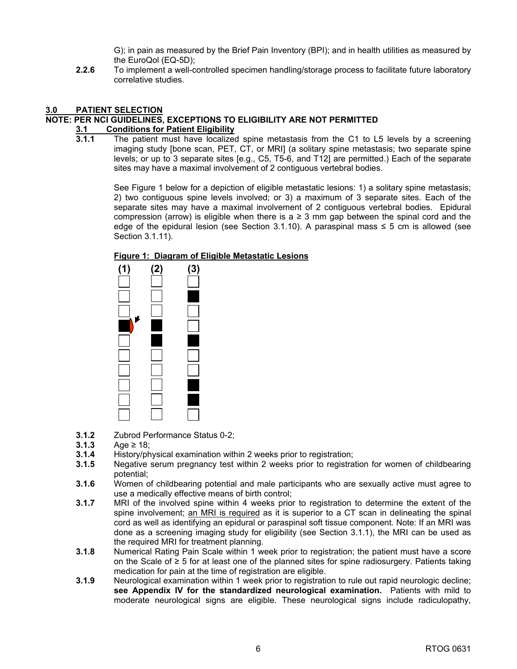G); in pain as measured by the Brief Pain Inventory (BPI); and in health utilities as measured by the EuroQol (EQ-5D);

**2.2.6** To implement a well-controlled specimen handling/storage process to facilitate future laboratory correlative studies.

### **3.0 PATIENT SELECTION**

# **NOTE: PER NCI GUIDELINES, EXCEPTIONS TO ELIGIBILITY ARE NOT PERMITTED**<br>3.1 Conditions for Patient Eligibility<br>3.1.1 The patient must have localized spine metastasis from the C1 to L

### **3.1 Conditions for Patient Eligibility**

**3.1.1** The patient must have localized spine metastasis from the C1 to L5 levels by a screening imaging study [bone scan, PET, CT, or MRI] (a solitary spine metastasis; two separate spine levels; or up to 3 separate sites [e.g., C5, T5-6, and T12] are permitted.) Each of the separate sites may have a maximal involvement of 2 contiguous vertebral bodies.

 See Figure 1 below for a depiction of eligible metastatic lesions: 1) a solitary spine metastasis; 2) two contiguous spine levels involved; or 3) a maximum of 3 separate sites. Each of the separate sites may have a maximal involvement of 2 contiguous vertebral bodies. Epidural compression (arrow) is eligible when there is  $a \ge 3$  mm gap between the spinal cord and the edge of the epidural lesion (see Section 3.1.10). A paraspinal mass  $\leq$  5 cm is allowed (see Section 3.1.11).

### **Figure 1: Diagram of Eligible Metastatic Lesions**



- **3.1.2** Zubrod Performance Status 0-2;
- **3.1.3** Age ≥ 18;
- **3.1.4** History/physical examination within 2 weeks prior to registration;
- **3.1.5** Negative serum pregnancy test within 2 weeks prior to registration for women of childbearing potential;
- **3.1.6** Women of childbearing potential and male participants who are sexually active must agree to use a medically effective means of birth control;
- **3.1.7** MRI of the involved spine within 4 weeks prior to registration to determine the extent of the spine involvement; an MRI is required as it is superior to a CT scan in delineating the spinal cord as well as identifying an epidural or paraspinal soft tissue component. Note: If an MRI was done as a screening imaging study for eligibility (see Section 3.1.1), the MRI can be used as the required MRI for treatment planning.
- **3.1.8** Numerical Rating Pain Scale within 1 week prior to registration; the patient must have a score on the Scale of ≥ 5 for at least one of the planned sites for spine radiosurgery. Patients taking medication for pain at the time of registration are eligible.
- **3.1.9** Neurological examination within 1 week prior to registration to rule out rapid neurologic decline; **see Appendix IV for the standardized neurological examination.** Patients with mild to moderate neurological signs are eligible. These neurological signs include radiculopathy,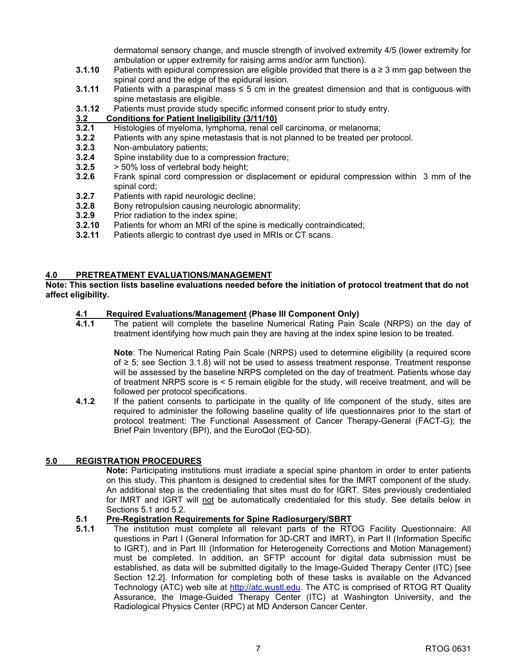dermatomal sensory change, and muscle strength of involved extremity 4/5 (lower extremity for ambulation or upper extremity for raising arms and/or arm function).

- **3.1.10** Patients with epidural compression are eligible provided that there is a ≥ 3 mm gap between the spinal cord and the edge of the epidural lesion.
- **3.1.11** Patients with a paraspinal mass ≤ 5 cm in the greatest dimension and that is contiguous with spine metastasis are eligible.
- **3.1.12** Patients must provide study specific informed consent prior to study entry.

# **3.2 Conditions for Patient Ineligibility (3/11/10)**

- **3.2.1** Histologies of myeloma, lymphoma, renal cell carcinoma, or melanoma;<br>**3.2.2** Patients with any spine metastasis that is not planned to be treated per i
- **3.2.2** Patients with any spine metastasis that is not planned to be treated per protocol.
- **3.2.3** Non-ambulatory patients;
- **3.2.4** Spine instability due to a compression fracture;<br>**3.2.5** > 50% loss of vertebral body height:
- **3.2.5** > 50% loss of vertebral body height;
- **3.2.6** Frank spinal cord compression or displacement or epidural compression within 3 mm of the spinal cord;
- **3.2.7** Patients with rapid neurologic decline;
- **3.2.8** Bony retropulsion causing neurologic abnormality;
- **3.2.9** Prior radiation to the index spine;
- **3.2.10** Patients for whom an MRI of the spine is medically contraindicated;
- **3.2.11** Patients allergic to contrast dye used in MRIs or CT scans.

### **4.0 PRETREATMENT EVALUATIONS/MANAGEMENT**

### **Note: This section lists baseline evaluations needed before the initiation of protocol treatment that do not affect eligibility.**

### **4.1 Required Evaluations/Management (Phase III Component Only)**

**4.1.1** The patient will complete the baseline Numerical Rating Pain Scale (NRPS) on the day of treatment identifying how much pain they are having at the index spine lesion to be treated.

**Note**: The Numerical Rating Pain Scale (NRPS) used to determine eligibility (a required score of ≥ 5; see Section 3.1.8) will not be used to assess treatment response. Treatment response will be assessed by the baseline NRPS completed on the day of treatment. Patients whose day of treatment NRPS score is < 5 remain eligible for the study, will receive treatment, and will be followed per protocol specifications.

**4.1.2** If the patient consents to participate in the quality of life component of the study, sites are required to administer the following baseline quality of life questionnaires prior to the start of protocol treatment: The Functional Assessment of Cancer Therapy-General (FACT-G); the Brief Pain Inventory (BPI), and the EuroQol (EQ-5D).

# **5.0 REGISTRATION PROCEDURES**

 **Note:** Participating institutions must irradiate a special spine phantom in order to enter patients on this study. This phantom is designed to credential sites for the IMRT component of the study. An additional step is the credentialing that sites must do for IGRT. Sites previously credentialed for IMRT and IGRT will not be automatically credentialed for this study. See details below in Sections 5.1 and 5.2.

### **5.1 Pre-Registration Requirements for Spine Radiosurgery/SBRT**

**5.1.1** The institution must complete all relevant parts of the RTOG Facility Questionnaire: All questions in Part I (General Information for 3D-CRT and IMRT), in Part II (Information Specific to IGRT), and in Part III (Information for Heterogeneity Corrections and Motion Management) must be completed. In addition, an SFTP account for digital data submission must be established, as data will be submitted digitally to the Image-Guided Therapy Center (ITC) [see Section 12.2]. Information for completing both of these tasks is available on the Advanced Technology (ATC) web site at http://atc.wustl.edu. The ATC is comprised of RTOG RT Quality Assurance, the Image-Guided Therapy Center (ITC) at Washington University, and the Radiological Physics Center (RPC) at MD Anderson Cancer Center.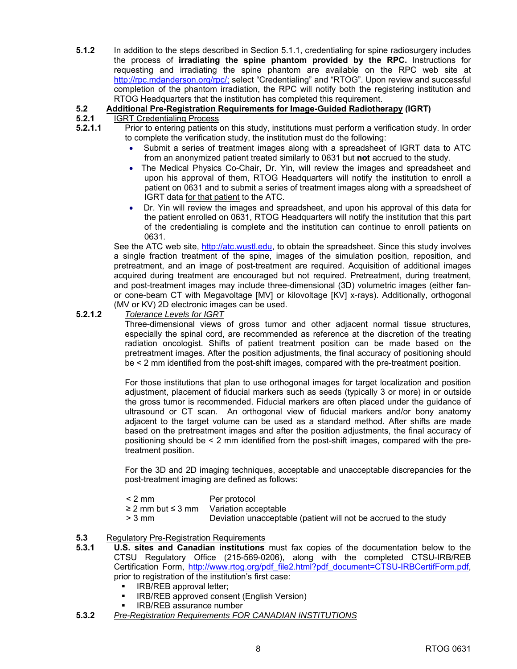**5.1.2** In addition to the steps described in Section 5.1.1, credentialing for spine radiosurgery includes the process of **irradiating the spine phantom provided by the RPC.** Instructions for requesting and irradiating the spine phantom are available on the RPC web site at http://rpc.mdanderson.org/rpc/; select "Credentialing" and "RTOG". Upon review and successful completion of the phantom irradiation, the RPC will notify both the registering institution and RTOG Headquarters that the institution has completed this requirement.

### **5.2 Additional Pre-Registration Requirements for Image-Guided Radiotherapy (IGRT)**

### **5.2.1** IGRT Credentialing Process

- **5.2.1.1** Prior to entering patients on this study, institutions must perform a verification study. In order to complete the verification study, the institution must do the following:
	- Submit a series of treatment images along with a spreadsheet of IGRT data to ATC from an anonymized patient treated similarly to 0631 but **not** accrued to the study.
	- The Medical Physics Co-Chair, Dr. Yin, will review the images and spreadsheet and upon his approval of them, RTOG Headquarters will notify the institution to enroll a patient on 0631 and to submit a series of treatment images along with a spreadsheet of IGRT data for that patient to the ATC.
	- Dr. Yin will review the images and spreadsheet, and upon his approval of this data for the patient enrolled on 0631, RTOG Headquarters will notify the institution that this part of the credentialing is complete and the institution can continue to enroll patients on 0631.

See the ATC web site, http://atc.wustl.edu, to obtain the spreadsheet. Since this study involves a single fraction treatment of the spine, images of the simulation position, reposition, and pretreatment, and an image of post-treatment are required. Acquisition of additional images acquired during treatment are encouraged but not required. Pretreatment, during treatment, and post-treatment images may include three-dimensional (3D) volumetric images (either fanor cone-beam CT with Megavoltage [MV] or kilovoltage [KV] x-rays). Additionally, orthogonal (MV or KV) 2D electronic images can be used.

**5.2.1.2** *Tolerance Levels for IGRT*

 Three-dimensional views of gross tumor and other adjacent normal tissue structures, especially the spinal cord, are recommended as reference at the discretion of the treating radiation oncologist. Shifts of patient treatment position can be made based on the pretreatment images. After the position adjustments, the final accuracy of positioning should be < 2 mm identified from the post-shift images, compared with the pre-treatment position.

For those institutions that plan to use orthogonal images for target localization and position adjustment, placement of fiducial markers such as seeds (typically 3 or more) in or outside the gross tumor is recommended. Fiducial markers are often placed under the guidance of ultrasound or CT scan. An orthogonal view of fiducial markers and/or bony anatomy adjacent to the target volume can be used as a standard method. After shifts are made based on the pretreatment images and after the position adjustments, the final accuracy of positioning should be < 2 mm identified from the post-shift images, compared with the pretreatment position.

 For the 3D and 2D imaging techniques, acceptable and unacceptable discrepancies for the post-treatment imaging are defined as follows:

| < 2 mm            | Per protocol                                                     |
|-------------------|------------------------------------------------------------------|
| ≥ 2 mm but ≤ 3 mm | Variation acceptable                                             |
| > 3 mm            | Deviation unacceptable (patient will not be accrued to the study |

- **5.3** Regulatory Pre-Registration Requirements
- **5.3.1 U.S. sites and Canadian institutions** must fax copies of the documentation below to the CTSU Regulatory Office (215-569-0206), along with the completed CTSU-IRB/REB Certification Form, http://www.rtog.org/pdf\_file2.html?pdf\_document=CTSU-IRBCertifForm.pdf, prior to registration of the institution's first case:
	- IRB/REB approval letter;
	- **EXECTED EXECTED APPROX IRB/REB approved consent (English Version)**
	- IRB/REB assurance number
- **5.3.2** *Pre-Registration Requirements FOR CANADIAN INSTITUTIONS*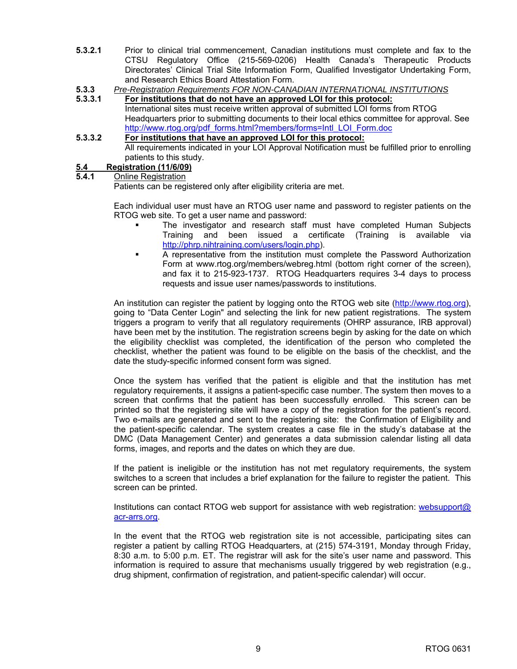- **5.3.2.1** Prior to clinical trial commencement, Canadian institutions must complete and fax to the CTSU Regulatory Office (215-569-0206) Health Canada's Therapeutic Products Directorates' Clinical Trial Site Information Form, Qualified Investigator Undertaking Form, and Research Ethics Board Attestation Form.
- **5.3.3** *Pre-Registration Requirements FOR NON-CANADIAN INTERNATIONAL INSTITUTIONS*
- **5.3.3.1 For institutions that do not have an approved LOI for this protocol:** International sites must receive written approval of submitted LOI forms from RTOG Headquarters prior to submitting documents to their local ethics committee for approval. See http://www.rtog.org/pdf\_forms.html?members/forms=Intl\_LOI\_Form.doc
- **5.3.3.2 For institutions that have an approved LOI for this protocol:** All requirements indicated in your LOI Approval Notification must be fulfilled prior to enrolling patients to this study.

### **5.4 Registration (11/6/09)**

### **5.4.1** Online Registration

Patients can be registered only after eligibility criteria are met.

 Each individual user must have an RTOG user name and password to register patients on the RTOG web site. To get a user name and password:

- The investigator and research staff must have completed Human Subjects Training and been issued a certificate (Training is available via http://phrp.nihtraining.com/users/login.php).
- A representative from the institution must complete the Password Authorization Form at www.rtog.org/members/webreg.html (bottom right corner of the screen), and fax it to 215-923-1737. RTOG Headquarters requires 3-4 days to process requests and issue user names/passwords to institutions.

 An institution can register the patient by logging onto the RTOG web site (http://www.rtog.org), going to "Data Center Login" and selecting the link for new patient registrations. The system triggers a program to verify that all regulatory requirements (OHRP assurance, IRB approval) have been met by the institution. The registration screens begin by asking for the date on which the eligibility checklist was completed, the identification of the person who completed the checklist, whether the patient was found to be eligible on the basis of the checklist, and the date the study-specific informed consent form was signed.

 Once the system has verified that the patient is eligible and that the institution has met regulatory requirements, it assigns a patient-specific case number. The system then moves to a screen that confirms that the patient has been successfully enrolled. This screen can be printed so that the registering site will have a copy of the registration for the patient's record. Two e-mails are generated and sent to the registering site: the Confirmation of Eligibility and the patient-specific calendar. The system creates a case file in the study's database at the DMC (Data Management Center) and generates a data submission calendar listing all data forms, images, and reports and the dates on which they are due.

 If the patient is ineligible or the institution has not met regulatory requirements, the system switches to a screen that includes a brief explanation for the failure to register the patient. This screen can be printed.

 Institutions can contact RTOG web support for assistance with web registration: websupport@ acr-arrs.org.

 In the event that the RTOG web registration site is not accessible, participating sites can register a patient by calling RTOG Headquarters, at (215) 574-3191, Monday through Friday, 8:30 a.m. to 5:00 p.m. ET. The registrar will ask for the site's user name and password. This information is required to assure that mechanisms usually triggered by web registration (e.g., drug shipment, confirmation of registration, and patient-specific calendar) will occur.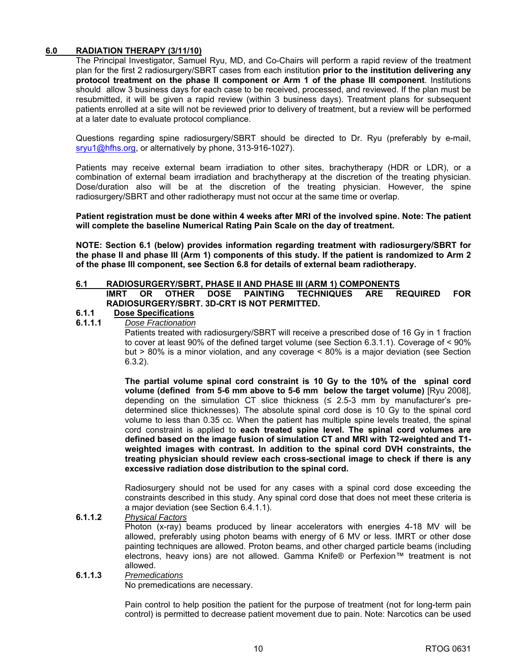### **6.0 RADIATION THERAPY (3/11/10)**

 The Principal Investigator, Samuel Ryu, MD, and Co-Chairs will perform a rapid review of the treatment plan for the first 2 radiosurgery/SBRT cases from each institution **prior to the institution delivering any protocol treatment on the phase II component or Arm 1 of the phase III component**. Institutions should allow 3 business days for each case to be received, processed, and reviewed. If the plan must be resubmitted, it will be given a rapid review (within 3 business days). Treatment plans for subsequent patients enrolled at a site will not be reviewed prior to delivery of treatment, but a review will be performed at a later date to evaluate protocol compliance.

Questions regarding spine radiosurgery/SBRT should be directed to Dr. Ryu (preferably by e-mail, sryu1@hfhs.org, or alternatively by phone, 313-916-1027).

Patients may receive external beam irradiation to other sites, brachytherapy (HDR or LDR), or a combination of external beam irradiation and brachytherapy at the discretion of the treating physician. Dose/duration also will be at the discretion of the treating physician. However, the spine radiosurgery/SBRT and other radiotherapy must not occur at the same time or overlap.

**Patient registration must be done within 4 weeks after MRI of the involved spine. Note: The patient will complete the baseline Numerical Rating Pain Scale on the day of treatment.** 

**NOTE: Section 6.1 (below) provides information regarding treatment with radiosurgery/SBRT for the phase II and phase III (Arm 1) components of this study. If the patient is randomized to Arm 2 of the phase III component, see Section 6.8 for details of external beam radiotherapy.** 

# **6.1 RADIOSURGERY/SBRT, PHASE II AND PHASE III (ARM 1) COMPONENTS**

**IMRT OR OTHER DOSE PAINTING TECHNIQUES ARE REQUIRED FOR RADIOSURGERY/SBRT. 3D-CRT IS NOT PERMITTED.** 

### **6.1.1 Dose Specifications**

### **6.1.1.1** *Dose Fractionation*

Patients treated with radiosurgery/SBRT will receive a prescribed dose of 16 Gy in 1 fraction to cover at least 90% of the defined target volume (see Section 6.3.1.1). Coverage of < 90% but > 80% is a minor violation, and any coverage < 80% is a major deviation (see Section 6.3.2).

 **The partial volume spinal cord constraint is 10 Gy to the 10% of the spinal cord volume (defined from 5-6 mm above to 5-6 mm below the target volume)** [Ryu 2008], depending on the simulation CT slice thickness  $($   $\leq$  2.5-3 mm by manufacturer's predetermined slice thicknesses). The absolute spinal cord dose is 10 Gy to the spinal cord volume to less than 0.35 cc. When the patient has multiple spine levels treated, the spinal cord constraint is applied to **each treated spine level. The spinal cord volumes are defined based on the image fusion of simulation CT and MRI with T2-weighted and T1 weighted images with contrast. In addition to the spinal cord DVH constraints, the treating physician should review each cross-sectional image to check if there is any excessive radiation dose distribution to the spinal cord.** 

 Radiosurgery should not be used for any cases with a spinal cord dose exceeding the constraints described in this study. Any spinal cord dose that does not meet these criteria is a major deviation (see Section 6.4.1.1).

#### **6.1.1.2** *Physical Factors*

 Photon (x-ray) beams produced by linear accelerators with energies 4-18 MV will be allowed, preferably using photon beams with energy of 6 MV or less. IMRT or other dose painting techniques are allowed. Proton beams, and other charged particle beams (including electrons, heavy ions) are not allowed. Gamma Knife® or Perfexion™ treatment is not allowed.

### **6.1.1.3** *Premedications*

No premedications are necessary.

 Pain control to help position the patient for the purpose of treatment (not for long-term pain control) is permitted to decrease patient movement due to pain. Note: Narcotics can be used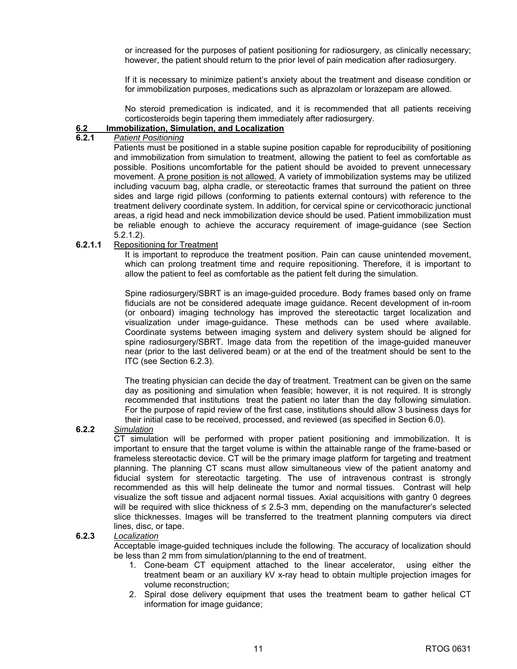or increased for the purposes of patient positioning for radiosurgery, as clinically necessary; however, the patient should return to the prior level of pain medication after radiosurgery.

If it is necessary to minimize patient's anxiety about the treatment and disease condition or for immobilization purposes, medications such as alprazolam or lorazepam are allowed.

 No steroid premedication is indicated, and it is recommended that all patients receiving corticosteroids begin tapering them immediately after radiosurgery.

# **6.2 Immobilization, Simulation, and Localization**

### **6.2.1** *Patient Positioning*

 Patients must be positioned in a stable supine position capable for reproducibility of positioning and immobilization from simulation to treatment, allowing the patient to feel as comfortable as possible. Positions uncomfortable for the patient should be avoided to prevent unnecessary movement. A prone position is not allowed. A variety of immobilization systems may be utilized including vacuum bag, alpha cradle, or stereotactic frames that surround the patient on three sides and large rigid pillows (conforming to patients external contours) with reference to the treatment delivery coordinate system. In addition, for cervical spine or cervicothoracic junctional areas, a rigid head and neck immobilization device should be used. Patient immobilization must be reliable enough to achieve the accuracy requirement of image-guidance (see Section 5.2.1.2).

### **6.2.1.1** Repositioning for Treatment

It is important to reproduce the treatment position. Pain can cause unintended movement, which can prolong treatment time and require repositioning. Therefore, it is important to allow the patient to feel as comfortable as the patient felt during the simulation.

 Spine radiosurgery/SBRT is an image-guided procedure. Body frames based only on frame fiducials are not be considered adequate image guidance. Recent development of in-room (or onboard) imaging technology has improved the stereotactic target localization and visualization under image-guidance. These methods can be used where available. Coordinate systems between imaging system and delivery system should be aligned for spine radiosurgery/SBRT. Image data from the repetition of the image-guided maneuver near (prior to the last delivered beam) or at the end of the treatment should be sent to the ITC (see Section 6.2.3).

 The treating physician can decide the day of treatment. Treatment can be given on the same day as positioning and simulation when feasible; however, it is not required. It is strongly recommended that institutions treat the patient no later than the day following simulation. For the purpose of rapid review of the first case, institutions should allow 3 business days for their initial case to be received, processed, and reviewed (as specified in Section 6.0).

### **6.2.2** *Simulation*

 CT simulation will be performed with proper patient positioning and immobilization. It is important to ensure that the target volume is within the attainable range of the frame-based or frameless stereotactic device. CT will be the primary image platform for targeting and treatment planning. The planning CT scans must allow simultaneous view of the patient anatomy and fiducial system for stereotactic targeting. The use of intravenous contrast is strongly recommended as this will help delineate the tumor and normal tissues. Contrast will help visualize the soft tissue and adjacent normal tissues. Axial acquisitions with gantry 0 degrees will be required with slice thickness of ≤ 2.5-3 mm, depending on the manufacturer's selected slice thicknesses. Images will be transferred to the treatment planning computers via direct lines, disc, or tape.

#### **6.2.3** *Localization*

 Acceptable image-guided techniques include the following. The accuracy of localization should be less than 2 mm from simulation/planning to the end of treatment.

- 1. Cone-beam CT equipment attached to the linear accelerator, using either the treatment beam or an auxiliary kV x-ray head to obtain multiple projection images for volume reconstruction;
- 2. Spiral dose delivery equipment that uses the treatment beam to gather helical CT information for image guidance;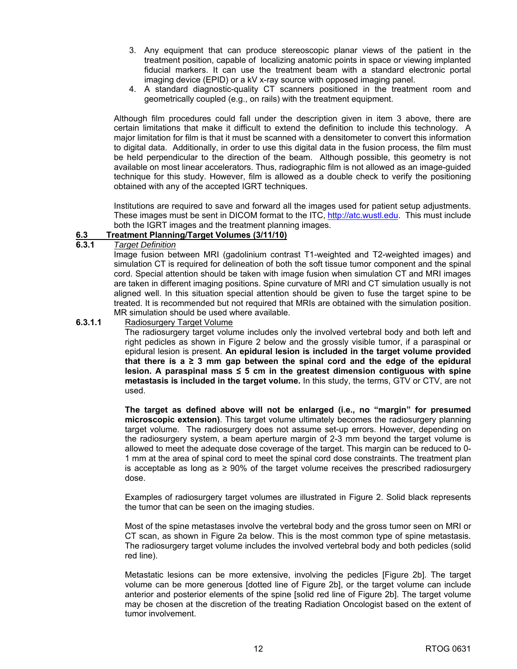- 3. Any equipment that can produce stereoscopic planar views of the patient in the treatment position, capable of localizing anatomic points in space or viewing implanted fiducial markers. It can use the treatment beam with a standard electronic portal imaging device (EPID) or a kV x-ray source with opposed imaging panel.
- 4. A standard diagnostic-quality CT scanners positioned in the treatment room and geometrically coupled (e.g., on rails) with the treatment equipment.

 Although film procedures could fall under the description given in item 3 above, there are certain limitations that make it difficult to extend the definition to include this technology. A major limitation for film is that it must be scanned with a densitometer to convert this information to digital data. Additionally, in order to use this digital data in the fusion process, the film must be held perpendicular to the direction of the beam. Although possible, this geometry is not available on most linear accelerators. Thus, radiographic film is not allowed as an image-guided technique for this study. However, film is allowed as a double check to verify the positioning obtained with any of the accepted IGRT techniques.

 Institutions are required to save and forward all the images used for patient setup adjustments. These images must be sent in DICOM format to the ITC, http://atc.wustl.edu. This must include both the IGRT images and the treatment planning images.

### **6.3 Treatment Planning/Target Volumes (3/11/10)**

### **6.3.1** *Target Definition*

 Image fusion between MRI (gadolinium contrast T1-weighted and T2-weighted images) and simulation CT is required for delineation of both the soft tissue tumor component and the spinal cord. Special attention should be taken with image fusion when simulation CT and MRI images are taken in different imaging positions. Spine curvature of MRI and CT simulation usually is not aligned well. In this situation special attention should be given to fuse the target spine to be treated. It is recommended but not required that MRIs are obtained with the simulation position. MR simulation should be used where available.

### **6.3.1.1** Radiosurgery Target Volume

 The radiosurgery target volume includes only the involved vertebral body and both left and right pedicles as shown in Figure 2 below and the grossly visible tumor, if a paraspinal or epidural lesion is present. **An epidural lesion is included in the target volume provided that there is a ≥ 3 mm gap between the spinal cord and the edge of the epidural lesion. A paraspinal mass ≤ 5 cm in the greatest dimension contiguous with spine metastasis is included in the target volume.** In this study, the terms, GTV or CTV, are not used.

**The target as defined above will not be enlarged (i.e., no "margin" for presumed microscopic extension)**. This target volume ultimately becomes the radiosurgery planning target volume. The radiosurgery does not assume set-up errors. However, depending on the radiosurgery system, a beam aperture margin of 2-3 mm beyond the target volume is allowed to meet the adequate dose coverage of the target. This margin can be reduced to 0- 1 mm at the area of spinal cord to meet the spinal cord dose constraints. The treatment plan is acceptable as long as  $\geq 90\%$  of the target volume receives the prescribed radiosurgery dose.

 Examples of radiosurgery target volumes are illustrated in Figure 2. Solid black represents the tumor that can be seen on the imaging studies.

Most of the spine metastases involve the vertebral body and the gross tumor seen on MRI or CT scan, as shown in Figure 2a below. This is the most common type of spine metastasis. The radiosurgery target volume includes the involved vertebral body and both pedicles (solid red line).

 Metastatic lesions can be more extensive, involving the pedicles [Figure 2b]. The target volume can be more generous [dotted line of Figure 2b], or the target volume can include anterior and posterior elements of the spine [solid red line of Figure 2b]. The target volume may be chosen at the discretion of the treating Radiation Oncologist based on the extent of tumor involvement.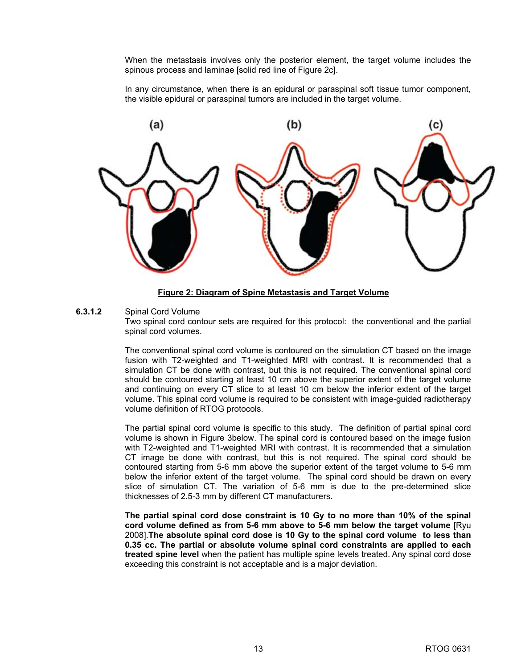When the metastasis involves only the posterior element, the target volume includes the spinous process and laminae [solid red line of Figure 2c].

 In any circumstance, when there is an epidural or paraspinal soft tissue tumor component, the visible epidural or paraspinal tumors are included in the target volume.



### **Figure 2: Diagram of Spine Metastasis and Target Volume**

**6.3.1.2** Spinal Cord Volume

Two spinal cord contour sets are required for this protocol: the conventional and the partial spinal cord volumes.

 The conventional spinal cord volume is contoured on the simulation CT based on the image fusion with T2-weighted and T1-weighted MRI with contrast. It is recommended that a simulation CT be done with contrast, but this is not required. The conventional spinal cord should be contoured starting at least 10 cm above the superior extent of the target volume and continuing on every CT slice to at least 10 cm below the inferior extent of the target volume. This spinal cord volume is required to be consistent with image-guided radiotherapy volume definition of RTOG protocols.

 The partial spinal cord volume is specific to this study. The definition of partial spinal cord volume is shown in Figure 3below. The spinal cord is contoured based on the image fusion with T2-weighted and T1-weighted MRI with contrast. It is recommended that a simulation CT image be done with contrast, but this is not required. The spinal cord should be contoured starting from 5-6 mm above the superior extent of the target volume to 5-6 mm below the inferior extent of the target volume. The spinal cord should be drawn on every slice of simulation CT. The variation of 5-6 mm is due to the pre-determined slice thicknesses of 2.5-3 mm by different CT manufacturers.

**The partial spinal cord dose constraint is 10 Gy to no more than 10% of the spinal cord volume defined as from 5-6 mm above to 5-6 mm below the target volume** [Ryu 2008].**The absolute spinal cord dose is 10 Gy to the spinal cord volume to less than 0.35 cc. The partial or absolute volume spinal cord constraints are applied to each treated spine level** when the patient has multiple spine levels treated. Any spinal cord dose exceeding this constraint is not acceptable and is a major deviation.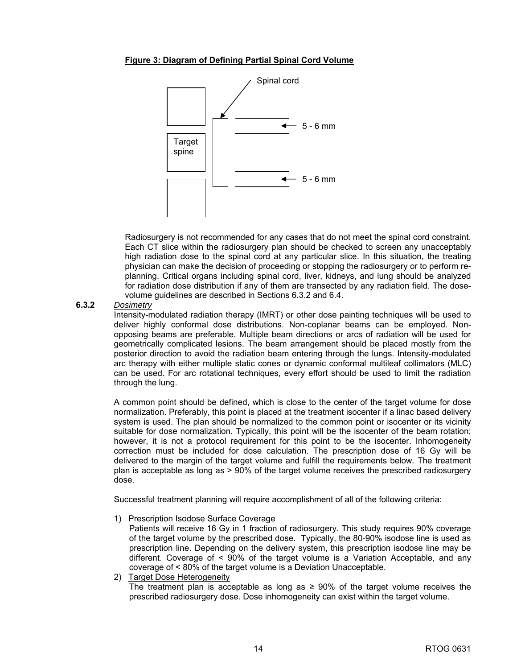### **Figure 3: Diagram of Defining Partial Spinal Cord Volume**



 Radiosurgery is not recommended for any cases that do not meet the spinal cord constraint. Each CT slice within the radiosurgery plan should be checked to screen any unacceptably high radiation dose to the spinal cord at any particular slice. In this situation, the treating physician can make the decision of proceeding or stopping the radiosurgery or to perform replanning. Critical organs including spinal cord, liver, kidneys, and lung should be analyzed for radiation dose distribution if any of them are transected by any radiation field. The dosevolume guidelines are described in Sections 6.3.2 and 6.4.

### **6.3.2** *Dosimetry*

 Intensity-modulated radiation therapy (IMRT) or other dose painting techniques will be used to deliver highly conformal dose distributions. Non-coplanar beams can be employed. Nonopposing beams are preferable. Multiple beam directions or arcs of radiation will be used for geometrically complicated lesions. The beam arrangement should be placed mostly from the posterior direction to avoid the radiation beam entering through the lungs. Intensity-modulated arc therapy with either multiple static cones or dynamic conformal multileaf collimators (MLC) can be used. For arc rotational techniques, every effort should be used to limit the radiation through the lung.

 A common point should be defined, which is close to the center of the target volume for dose normalization. Preferably, this point is placed at the treatment isocenter if a linac based delivery system is used. The plan should be normalized to the common point or isocenter or its vicinity suitable for dose normalization. Typically, this point will be the isocenter of the beam rotation; however, it is not a protocol requirement for this point to be the isocenter. Inhomogeneity correction must be included for dose calculation. The prescription dose of 16 Gy will be delivered to the margin of the target volume and fulfill the requirements below. The treatment plan is acceptable as long as > 90% of the target volume receives the prescribed radiosurgery dose.

Successful treatment planning will require accomplishment of all of the following criteria:

1) Prescription Isodose Surface Coverage

 Patients will receive 16 Gy in 1 fraction of radiosurgery. This study requires 90% coverage of the target volume by the prescribed dose. Typically, the 80-90% isodose line is used as prescription line. Depending on the delivery system, this prescription isodose line may be different. Coverage of < 90% of the target volume is a Variation Acceptable, and any coverage of < 80% of the target volume is a Deviation Unacceptable.

2) Target Dose Heterogeneity

The treatment plan is acceptable as long as  $\geq 90\%$  of the target volume receives the prescribed radiosurgery dose. Dose inhomogeneity can exist within the target volume.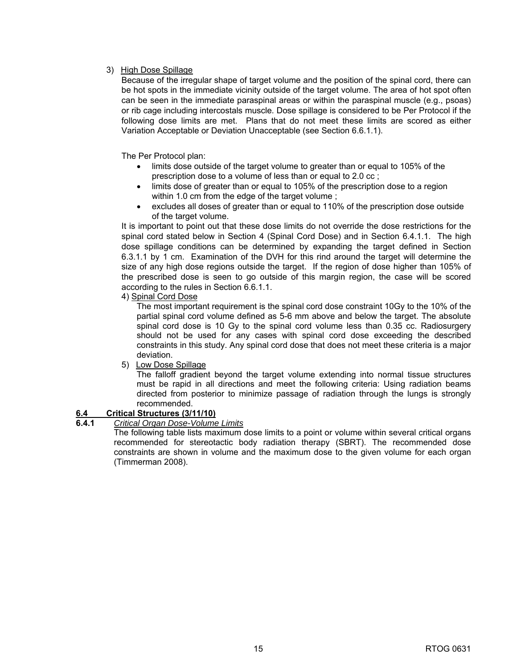### 3) High Dose Spillage

Because of the irregular shape of target volume and the position of the spinal cord, there can be hot spots in the immediate vicinity outside of the target volume. The area of hot spot often can be seen in the immediate paraspinal areas or within the paraspinal muscle (e.g., psoas) or rib cage including intercostals muscle. Dose spillage is considered to be Per Protocol if the following dose limits are met. Plans that do not meet these limits are scored as either Variation Acceptable or Deviation Unacceptable (see Section 6.6.1.1).

The Per Protocol plan:

- limits dose outside of the target volume to greater than or equal to 105% of the prescription dose to a volume of less than or equal to 2.0 cc ;
- limits dose of greater than or equal to 105% of the prescription dose to a region within 1.0 cm from the edge of the target volume;
- excludes all doses of greater than or equal to 110% of the prescription dose outside of the target volume.

It is important to point out that these dose limits do not override the dose restrictions for the spinal cord stated below in Section 4 (Spinal Cord Dose) and in Section 6.4.1.1. The high dose spillage conditions can be determined by expanding the target defined in Section 6.3.1.1 by 1 cm. Examination of the DVH for this rind around the target will determine the size of any high dose regions outside the target. If the region of dose higher than 105% of the prescribed dose is seen to go outside of this margin region, the case will be scored according to the rules in Section 6.6.1.1.

4) Spinal Cord Dose

 The most important requirement is the spinal cord dose constraint 10Gy to the 10% of the partial spinal cord volume defined as 5-6 mm above and below the target. The absolute spinal cord dose is 10 Gy to the spinal cord volume less than 0.35 cc. Radiosurgery should not be used for any cases with spinal cord dose exceeding the described constraints in this study. Any spinal cord dose that does not meet these criteria is a major deviation.

5) Low Dose Spillage

The falloff gradient beyond the target volume extending into normal tissue structures must be rapid in all directions and meet the following criteria: Using radiation beams directed from posterior to minimize passage of radiation through the lungs is strongly recommended.

# **6.4 Critical Structures (3/11/10)**<br>**6.4.1** Critical Organ Dose-Volume

### **6.4.1** *Critical Organ Dose-Volume Limits*

 The following table lists maximum dose limits to a point or volume within several critical organs recommended for stereotactic body radiation therapy (SBRT). The recommended dose constraints are shown in volume and the maximum dose to the given volume for each organ (Timmerman 2008).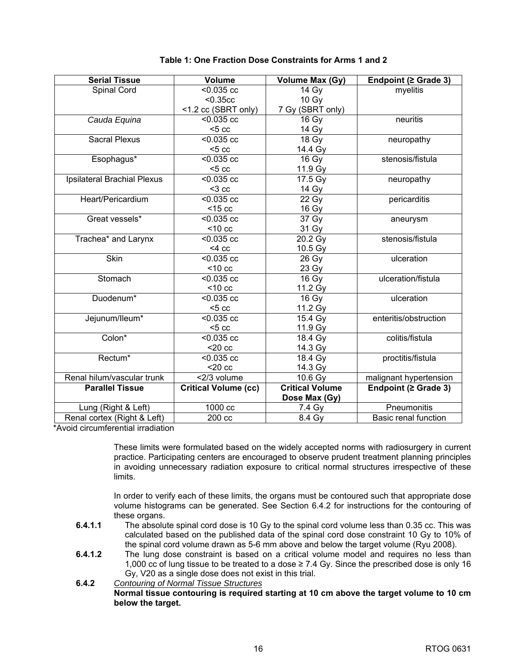| <b>Serial Tissue</b>        | <b>Volume</b>               | Volume Max (Gy)        | Endpoint ( $\geq$ Grade 3)  |
|-----------------------------|-----------------------------|------------------------|-----------------------------|
| Spinal Cord                 | $< 0.035$ cc                | 14 Gy                  | myelitis                    |
|                             | $0.35cc$                    | 10 Gy                  |                             |
|                             | <1.2 cc (SBRT only)         | 7 Gy (SBRT only)       |                             |
| Cauda Equina                | $50.035$ cc                 | 16 Gy                  | neuritis                    |
|                             | $<$ 5 cc                    | 14 Gy                  |                             |
| <b>Sacral Plexus</b>        | $\overline{0.035}$ cc       | 18 Gy                  | neuropathy                  |
|                             | $<$ 5 cc                    | 14.4 Gy                |                             |
| Esophagus*                  | $< 0.035$ cc                | $\overline{16}$ Gy     | stenosis/fistula            |
|                             | $<$ 5 cc                    | 11.9 Gy                |                             |
| Ipsilateral Brachial Plexus | $\overline{0.035}$ cc       | $\overline{17.5}$ Gy   | neuropathy                  |
|                             | $3$ cc                      | 14 Gy                  |                             |
| Heart/Pericardium           | $\overline{0.035}$ cc       | 22 Gy                  | pericarditis                |
|                             | $<$ 15 $<$ cc               | 16 Gy                  |                             |
| Great vessels*              | $< 0.035$ cc                | 37 Gy                  | aneurysm                    |
|                             | $<$ 10 $<$ cc               | 31 Gy                  |                             |
| Trachea* and Larynx         | $< 0.035$ cc                | 20.2 Gy                | stenosis/fistula            |
|                             | $<$ 4 cc                    | 10.5 Gy                |                             |
| <b>Skin</b>                 | $\overline{0.035}$ cc       | $\overline{26}$ Gy     | ulceration                  |
|                             | $<$ 10 $<$ cc               | 23 Gy                  |                             |
| Stomach                     | $\sqrt{6.035}$ cc           | 16 Gy                  | ulceration/fistula          |
|                             | $<$ 10 $<$ cc               | 11.2 Gy                |                             |
| Duodenum*                   | $\overline{0.035}$ cc       | 16 Gy                  | ulceration                  |
|                             | $< 5 \text{ cc}$            | 11.2 Gy                |                             |
| Jejunum/lleum*              | $< 0.035$ cc                | 15.4 Gy                | enteritis/obstruction       |
|                             | $<$ 5 cc                    | 11.9 Gy                |                             |
| Colon*                      | $< 0.035$ cc                | 18.4 Gy                | colitis/fistula             |
|                             | $<$ 20 $<$ cc               | 14.3 Gy                |                             |
| Rectum*                     | $< 0.035$ cc                | 18.4 Gy                | proctitis/fistula           |
|                             | $<$ 20 $<$ cc               | 14.3 Gy                |                             |
| Renal hilum/vascular trunk  | <2/3 volume                 | 10.6 Gy                | malignant hypertension      |
| <b>Parallel Tissue</b>      | <b>Critical Volume (cc)</b> | <b>Critical Volume</b> | Endpoint ( $\geq$ Grade 3)  |
|                             |                             | Dose Max (Gy)          |                             |
| Lung (Right & Left)         | 1000 cc                     | 7.4 Gy                 | Pneumonitis                 |
| Renal cortex (Right & Left) | 200 cc                      | 8.4 Gy                 | <b>Basic renal function</b> |

### **Table 1: One Fraction Dose Constraints for Arms 1 and 2**

\*Avoid circumferential irradiation

 These limits were formulated based on the widely accepted norms with radiosurgery in current practice. Participating centers are encouraged to observe prudent treatment planning principles in avoiding unnecessary radiation exposure to critical normal structures irrespective of these limits.

 In order to verify each of these limits, the organs must be contoured such that appropriate dose volume histograms can be generated. See Section 6.4.2 for instructions for the contouring of these organs.

- **6.4.1.1** The absolute spinal cord dose is 10 Gy to the spinal cord volume less than 0.35 cc. This was calculated based on the published data of the spinal cord dose constraint 10 Gy to 10% of the spinal cord volume drawn as 5-6 mm above and below the target volume (Ryu 2008).
- **6.4.1.2** The lung dose constraint is based on a critical volume model and requires no less than 1,000 cc of lung tissue to be treated to a dose ≥ 7.4 Gy. Since the prescribed dose is only 16 Gy, V20 as a single dose does not exist in this trial.
- **6.4.2** *Contouring of Normal Tissue Structures*

**Normal tissue contouring is required starting at 10 cm above the target volume to 10 cm below the target.**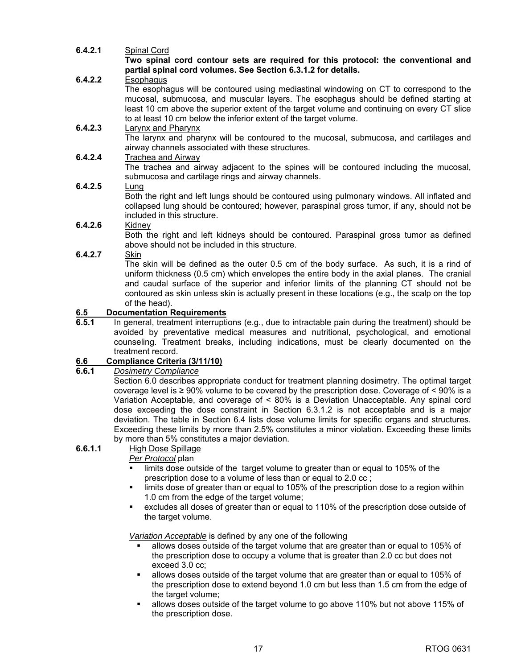### **6.4.2.1** Spinal Cord

 **Two spinal cord contour sets are required for this protocol: the conventional and partial spinal cord volumes. See Section 6.3.1.2 for details.** 

## **6.4.2.2** Esophagus

 The esophagus will be contoured using mediastinal windowing on CT to correspond to the mucosal, submucosa, and muscular layers. The esophagus should be defined starting at least 10 cm above the superior extent of the target volume and continuing on every CT slice to at least 10 cm below the inferior extent of the target volume.

### **6.4.2.3** Larynx and Pharynx

 The larynx and pharynx will be contoured to the mucosal, submucosa, and cartilages and airway channels associated with these structures.

### **6.4.2.4** Trachea and Airway

 The trachea and airway adjacent to the spines will be contoured including the mucosal, submucosa and cartilage rings and airway channels.

### **6.4.2.5** Lung

 Both the right and left lungs should be contoured using pulmonary windows. All inflated and collapsed lung should be contoured; however, paraspinal gross tumor, if any, should not be included in this structure.

### **6.4.2.6** Kidney

 Both the right and left kidneys should be contoured. Paraspinal gross tumor as defined above should not be included in this structure.

### **6.4.2.7** Skin

The skin will be defined as the outer 0.5 cm of the body surface. As such, it is a rind of uniform thickness (0.5 cm) which envelopes the entire body in the axial planes. The cranial and caudal surface of the superior and inferior limits of the planning CT should not be contoured as skin unless skin is actually present in these locations (e.g., the scalp on the top of the head).

### **6.5 Documentation Requirements**

**6.5.1** In general, treatment interruptions (e.g., due to intractable pain during the treatment) should be avoided by preventative medical measures and nutritional, psychological, and emotional counseling. Treatment breaks, including indications, must be clearly documented on the treatment record.

### **6.6 Compliance Criteria (3/11/10)**

### **6.6.1** *Dosimetry Compliance*

 Section 6.0 describes appropriate conduct for treatment planning dosimetry. The optimal target coverage level is ≥ 90% volume to be covered by the prescription dose. Coverage of < 90% is a Variation Acceptable, and coverage of < 80% is a Deviation Unacceptable. Any spinal cord dose exceeding the dose constraint in Section 6.3.1.2 is not acceptable and is a major deviation. The table in Section 6.4 lists dose volume limits for specific organs and structures. Exceeding these limits by more than 2.5% constitutes a minor violation. Exceeding these limits by more than 5% constitutes a major deviation.

### **6.6.1.1** High Dose Spillage

*Per Protocol* plan

- limits dose outside of the target volume to greater than or equal to 105% of the prescription dose to a volume of less than or equal to 2.0 cc ;
- limits dose of greater than or equal to 105% of the prescription dose to a region within 1.0 cm from the edge of the target volume;
- excludes all doses of greater than or equal to 110% of the prescription dose outside of the target volume.

*Variation Acceptable* is defined by any one of the following

- allows doses outside of the target volume that are greater than or equal to 105% of the prescription dose to occupy a volume that is greater than 2.0 cc but does not exceed 3.0 cc;
- allows doses outside of the target volume that are greater than or equal to 105% of the prescription dose to extend beyond 1.0 cm but less than 1.5 cm from the edge of the target volume;
- allows doses outside of the target volume to go above 110% but not above 115% of the prescription dose.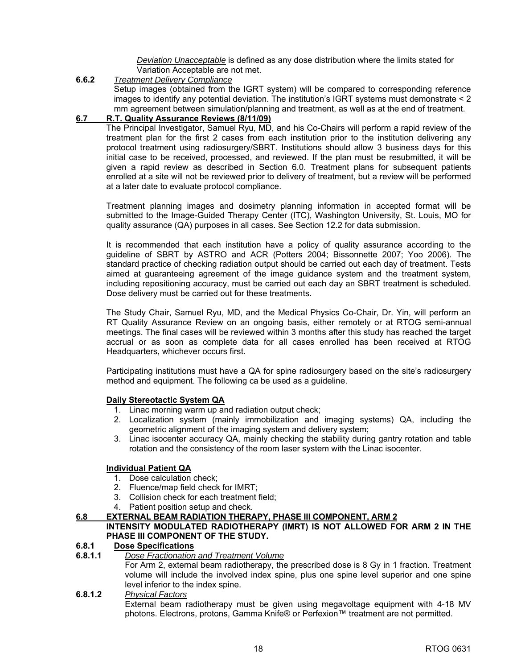*Deviation Unacceptable* is defined as any dose distribution where the limits stated for Variation Acceptable are not met.

**6.6.2** *Treatment Delivery Compliance*

 Setup images (obtained from the IGRT system) will be compared to corresponding reference images to identify any potential deviation. The institution's IGRT systems must demonstrate < 2 mm agreement between simulation/planning and treatment, as well as at the end of treatment.

### **6.7 R.T. Quality Assurance Reviews (8/11/09)**

 The Principal Investigator, Samuel Ryu, MD, and his Co-Chairs will perform a rapid review of the treatment plan for the first 2 cases from each institution prior to the institution delivering any protocol treatment using radiosurgery/SBRT. Institutions should allow 3 business days for this initial case to be received, processed, and reviewed. If the plan must be resubmitted, it will be given a rapid review as described in Section 6.0. Treatment plans for subsequent patients enrolled at a site will not be reviewed prior to delivery of treatment, but a review will be performed at a later date to evaluate protocol compliance.

 Treatment planning images and dosimetry planning information in accepted format will be submitted to the Image-Guided Therapy Center (ITC), Washington University, St. Louis, MO for quality assurance (QA) purposes in all cases. See Section 12.2 for data submission.

 It is recommended that each institution have a policy of quality assurance according to the guideline of SBRT by ASTRO and ACR (Potters 2004; Bissonnette 2007; Yoo 2006). The standard practice of checking radiation output should be carried out each day of treatment. Tests aimed at guaranteeing agreement of the image guidance system and the treatment system, including repositioning accuracy, must be carried out each day an SBRT treatment is scheduled. Dose delivery must be carried out for these treatments.

The Study Chair, Samuel Ryu, MD, and the Medical Physics Co-Chair, Dr. Yin, will perform an RT Quality Assurance Review on an ongoing basis, either remotely or at RTOG semi-annual meetings. The final cases will be reviewed within 3 months after this study has reached the target accrual or as soon as complete data for all cases enrolled has been received at RTOG Headquarters, whichever occurs first.

 Participating institutions must have a QA for spine radiosurgery based on the site's radiosurgery method and equipment. The following ca be used as a guideline.

### **Daily Stereotactic System QA**

- 1. Linac morning warm up and radiation output check;
- 2. Localization system (mainly immobilization and imaging systems) QA, including the geometric alignment of the imaging system and delivery system;
- 3. Linac isocenter accuracy QA, mainly checking the stability during gantry rotation and table rotation and the consistency of the room laser system with the Linac isocenter.

### **Individual Patient QA**

- 1. Dose calculation check;
- 2. Fluence/map field check for IMRT;
- 3. Collision check for each treatment field;
- 4. Patient position setup and check.

### **6.8 EXTERNAL BEAM RADIATION THERAPY, PHASE III COMPONENT, ARM 2**

### **INTENSITY MODULATED RADIOTHERAPY (IMRT) IS NOT ALLOWED FOR ARM 2 IN THE PHASE III COMPONENT OF THE STUDY.**

### **6.8.1 Dose Specifications**

### **6.8.1.1** *Dose Fractionation and Treatment Volume*

For Arm 2, external beam radiotherapy, the prescribed dose is 8 Gy in 1 fraction. Treatment volume will include the involved index spine, plus one spine level superior and one spine level inferior to the index spine.

**6.8.1.2** *Physical Factors* External beam radiotherapy must be given using megavoltage equipment with 4-18 MV photons. Electrons, protons, Gamma Knife® or Perfexion™ treatment are not permitted.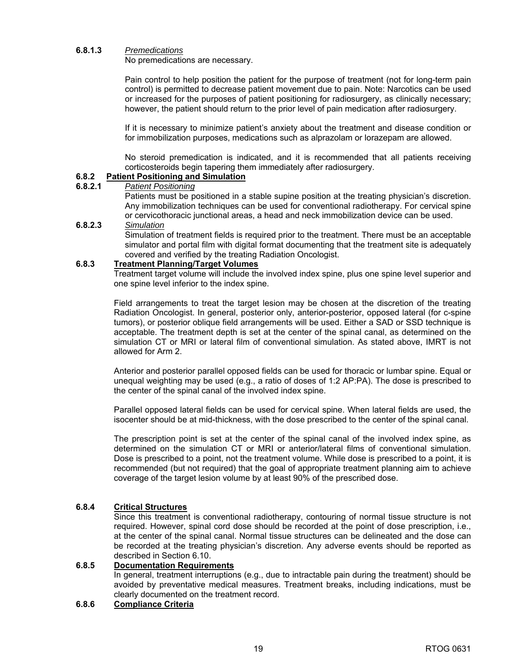### **6.8.1.3** *Premedications*

No premedications are necessary.

Pain control to help position the patient for the purpose of treatment (not for long-term pain control) is permitted to decrease patient movement due to pain. Note: Narcotics can be used or increased for the purposes of patient positioning for radiosurgery, as clinically necessary; however, the patient should return to the prior level of pain medication after radiosurgery.

 If it is necessary to minimize patient's anxiety about the treatment and disease condition or for immobilization purposes, medications such as alprazolam or lorazepam are allowed.

No steroid premedication is indicated, and it is recommended that all patients receiving corticosteroids begin tapering them immediately after radiosurgery.

# **6.8.2 Patient Positioning and Simulation**

### **6.8.2.1** *Patient Positioning*

Patients must be positioned in a stable supine position at the treating physician's discretion. Any immobilization techniques can be used for conventional radiotherapy. For cervical spine or cervicothoracic junctional areas, a head and neck immobilization device can be used.

### **6.8.2.3** *Simulation*

Simulation of treatment fields is required prior to the treatment. There must be an acceptable simulator and portal film with digital format documenting that the treatment site is adequately covered and verified by the treating Radiation Oncologist.

### **6.8.3 Treatment Planning/Target Volumes**

 Treatment target volume will include the involved index spine, plus one spine level superior and one spine level inferior to the index spine.

Field arrangements to treat the target lesion may be chosen at the discretion of the treating Radiation Oncologist. In general, posterior only, anterior-posterior, opposed lateral (for c-spine tumors), or posterior oblique field arrangements will be used. Either a SAD or SSD technique is acceptable. The treatment depth is set at the center of the spinal canal, as determined on the simulation CT or MRI or lateral film of conventional simulation. As stated above, IMRT is not allowed for Arm 2.

 Anterior and posterior parallel opposed fields can be used for thoracic or lumbar spine. Equal or unequal weighting may be used (e.g., a ratio of doses of 1:2 AP:PA). The dose is prescribed to the center of the spinal canal of the involved index spine.

 Parallel opposed lateral fields can be used for cervical spine. When lateral fields are used, the isocenter should be at mid-thickness, with the dose prescribed to the center of the spinal canal.

 The prescription point is set at the center of the spinal canal of the involved index spine, as determined on the simulation CT or MRI or anterior/lateral films of conventional simulation. Dose is prescribed to a point, not the treatment volume. While dose is prescribed to a point, it is recommended (but not required) that the goal of appropriate treatment planning aim to achieve coverage of the target lesion volume by at least 90% of the prescribed dose.

### **6.8.4 Critical Structures**

Since this treatment is conventional radiotherapy, contouring of normal tissue structure is not required. However, spinal cord dose should be recorded at the point of dose prescription, i.e., at the center of the spinal canal. Normal tissue structures can be delineated and the dose can be recorded at the treating physician's discretion. Any adverse events should be reported as described in Section 6.10.

### **6.8.5 Documentation Requirements**

In general, treatment interruptions (e.g., due to intractable pain during the treatment) should be avoided by preventative medical measures. Treatment breaks, including indications, must be clearly documented on the treatment record.

### **6.8.6 Compliance Criteria**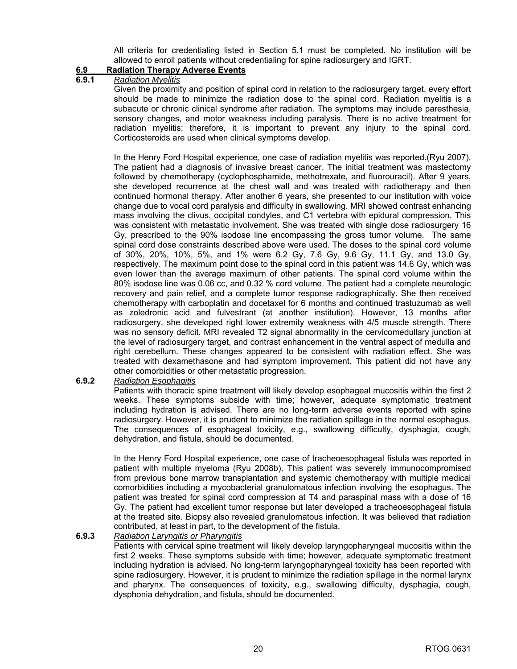All criteria for credentialing listed in Section 5.1 must be completed. No institution will be allowed to enroll patients without credentialing for spine radiosurgery and IGRT.

# **6.9 Radiation Therapy Adverse Events**

### **6.9.1** *Radiation Myelitis*

 Given the proximity and position of spinal cord in relation to the radiosurgery target, every effort should be made to minimize the radiation dose to the spinal cord. Radiation myelitis is a subacute or chronic clinical syndrome after radiation. The symptoms may include paresthesia, sensory changes, and motor weakness including paralysis. There is no active treatment for radiation myelitis; therefore, it is important to prevent any injury to the spinal cord. Corticosteroids are used when clinical symptoms develop.

 In the Henry Ford Hospital experience, one case of radiation myelitis was reported.(Ryu 2007). The patient had a diagnosis of invasive breast cancer. The initial treatment was mastectomy followed by chemotherapy (cyclophosphamide, methotrexate, and fluorouracil). After 9 years, she developed recurrence at the chest wall and was treated with radiotherapy and then continued hormonal therapy. After another 6 years, she presented to our institution with voice change due to vocal cord paralysis and difficulty in swallowing. MRI showed contrast enhancing mass involving the clivus, occipital condyles, and C1 vertebra with epidural compression. This was consistent with metastatic involvement. She was treated with single dose radiosurgery 16 Gy, prescribed to the 90% isodose line encompassing the gross tumor volume. The same spinal cord dose constraints described above were used. The doses to the spinal cord volume of 30%, 20%, 10%, 5%, and 1% were 6.2 Gy, 7.6 Gy, 9.6 Gy, 11.1 Gy, and 13.0 Gy, respectively. The maximum point dose to the spinal cord in this patient was 14.6 Gy, which was even lower than the average maximum of other patients. The spinal cord volume within the 80% isodose line was 0.06 cc, and 0.32 % cord volume. The patient had a complete neurologic recovery and pain relief, and a complete tumor response radiographically. She then received chemotherapy with carboplatin and docetaxel for 6 months and continued trastuzumab as well as zoledronic acid and fulvestrant (at another institution). However, 13 months after radiosurgery, she developed right lower extremity weakness with 4/5 muscle strength. There was no sensory deficit. MRI revealed T2 signal abnormality in the cervicomedullary junction at the level of radiosurgery target, and contrast enhancement in the ventral aspect of medulla and right cerebellum. These changes appeared to be consistent with radiation effect. She was treated with dexamethasone and had symptom improvement. This patient did not have any other comorbidities or other metastatic progression.

### **6.9.2** *Radiation Esophagitis*

 Patients with thoracic spine treatment will likely develop esophageal mucositis within the first 2 weeks. These symptoms subside with time; however, adequate symptomatic treatment including hydration is advised. There are no long-term adverse events reported with spine radiosurgery. However, it is prudent to minimize the radiation spillage in the normal esophagus. The consequences of esophageal toxicity, e.g., swallowing difficulty, dysphagia, cough, dehydration, and fistula, should be documented.

 In the Henry Ford Hospital experience, one case of tracheoesophageal fistula was reported in patient with multiple myeloma (Ryu 2008b). This patient was severely immunocompromised from previous bone marrow transplantation and systemic chemotherapy with multiple medical comorbidities including a mycobacterial granulomatous infection involving the esophagus. The patient was treated for spinal cord compression at T4 and paraspinal mass with a dose of 16 Gy. The patient had excellent tumor response but later developed a tracheoesophageal fistula at the treated site. Biopsy also revealed granulomatous infection. It was believed that radiation contributed, at least in part, to the development of the fistula.

### **6.9.3** *Radiation Laryngitis or Pharyngitis*

 Patients with cervical spine treatment will likely develop laryngopharyngeal mucositis within the first 2 weeks. These symptoms subside with time; however, adequate symptomatic treatment including hydration is advised. No long-term laryngopharyngeal toxicity has been reported with spine radiosurgery. However, it is prudent to minimize the radiation spillage in the normal larynx and pharynx. The consequences of toxicity, e.g., swallowing difficulty, dysphagia, cough, dysphonia dehydration, and fistula, should be documented.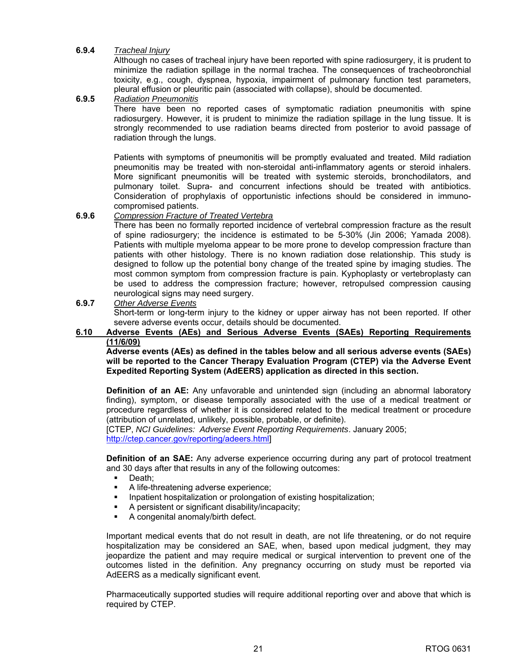### **6.9.4** *Tracheal Injury*

 Although no cases of tracheal injury have been reported with spine radiosurgery, it is prudent to minimize the radiation spillage in the normal trachea. The consequences of tracheobronchial toxicity, e.g., cough, dyspnea, hypoxia, impairment of pulmonary function test parameters, pleural effusion or pleuritic pain (associated with collapse), should be documented.

### **6.9.5** *Radiation Pneumonitis*

 There have been no reported cases of symptomatic radiation pneumonitis with spine radiosurgery. However, it is prudent to minimize the radiation spillage in the lung tissue. It is strongly recommended to use radiation beams directed from posterior to avoid passage of radiation through the lungs.

 Patients with symptoms of pneumonitis will be promptly evaluated and treated. Mild radiation pneumonitis may be treated with non-steroidal anti-inflammatory agents or steroid inhalers. More significant pneumonitis will be treated with systemic steroids, bronchodilators, and pulmonary toilet. Supra- and concurrent infections should be treated with antibiotics. Consideration of prophylaxis of opportunistic infections should be considered in immunocompromised patients.

### **6.9.6** *Compression Fracture of Treated Vertebra*

 There has been no formally reported incidence of vertebral compression fracture as the result of spine radiosurgery; the incidence is estimated to be 5-30% (Jin 2006; Yamada 2008). Patients with multiple myeloma appear to be more prone to develop compression fracture than patients with other histology. There is no known radiation dose relationship. This study is designed to follow up the potential bony change of the treated spine by imaging studies. The most common symptom from compression fracture is pain. Kyphoplasty or vertebroplasty can be used to address the compression fracture; however, retropulsed compression causing neurological signs may need surgery.

# **6.9.7** *Other Adverse Events* Short-term or long-term injury to the kidney or upper airway has not been reported. If other

severe adverse events occur, details should be documented. **6.10 Adverse Events (AEs) and Serious Adverse Events (SAEs) Reporting Requirements**

### **(11/6/09)**

**Adverse events (AEs) as defined in the tables below and all serious adverse events (SAEs) will be reported to the Cancer Therapy Evaluation Program (CTEP) via the Adverse Event Expedited Reporting System (AdEERS) application as directed in this section.** 

**Definition of an AE:** Any unfavorable and unintended sign (including an abnormal laboratory finding), symptom, or disease temporally associated with the use of a medical treatment or procedure regardless of whether it is considered related to the medical treatment or procedure (attribution of unrelated, unlikely, possible, probable, or definite).

[CTEP, *NCI Guidelines: Adverse Event Reporting Requirements*. January 2005; http://ctep.cancer.gov/reporting/adeers.html]

**Definition of an SAE:** Any adverse experience occurring during any part of protocol treatment and 30 days after that results in any of the following outcomes:

- Death:
- A life-threatening adverse experience;
- Inpatient hospitalization or prolongation of existing hospitalization;
- A persistent or significant disability/incapacity;
- A congenital anomaly/birth defect.

 Important medical events that do not result in death, are not life threatening, or do not require hospitalization may be considered an SAE, when, based upon medical judgment, they may jeopardize the patient and may require medical or surgical intervention to prevent one of the outcomes listed in the definition. Any pregnancy occurring on study must be reported via AdEERS as a medically significant event.

 Pharmaceutically supported studies will require additional reporting over and above that which is required by CTEP.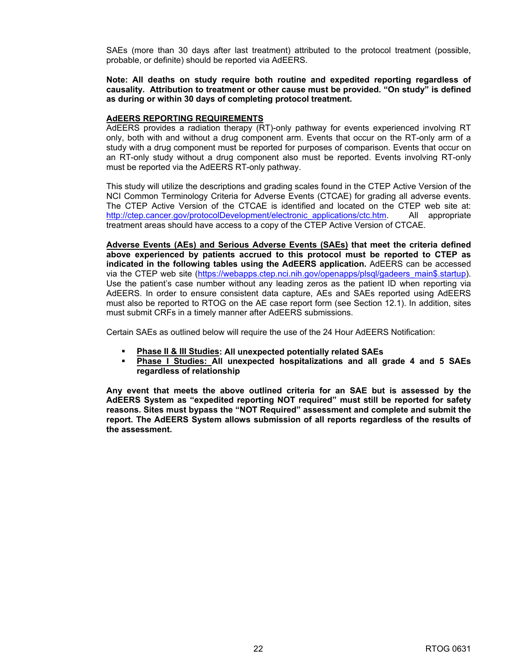SAEs (more than 30 days after last treatment) attributed to the protocol treatment (possible, probable, or definite) should be reported via AdEERS.

**Note: All deaths on study require both routine and expedited reporting regardless of causality. Attribution to treatment or other cause must be provided. "On study" is defined as during or within 30 days of completing protocol treatment.** 

### **AdEERS REPORTING REQUIREMENTS**

 AdEERS provides a radiation therapy (RT)-only pathway for events experienced involving RT only, both with and without a drug component arm. Events that occur on the RT-only arm of a study with a drug component must be reported for purposes of comparison. Events that occur on an RT-only study without a drug component also must be reported. Events involving RT-only must be reported via the AdEERS RT-only pathway.

This study will utilize the descriptions and grading scales found in the CTEP Active Version of the NCI Common Terminology Criteria for Adverse Events (CTCAE) for grading all adverse events. The CTEP Active Version of the CTCAE is identified and located on the CTEP web site at: http://ctep.cancer.gov/protocolDevelopment/electronic\_applications/ctc.htm. All appropriate treatment areas should have access to a copy of the CTEP Active Version of CTCAE.

**Adverse Events (AEs) and Serious Adverse Events (SAEs) that meet the criteria defined above experienced by patients accrued to this protocol must be reported to CTEP as indicated in the following tables using the AdEERS application.** AdEERS can be accessed via the CTEP web site (https://webapps.ctep.nci.nih.gov/openapps/plsql/gadeers\_main\$.startup). Use the patient's case number without any leading zeros as the patient ID when reporting via AdEERS. In order to ensure consistent data capture, AEs and SAEs reported using AdEERS must also be reported to RTOG on the AE case report form (see Section 12.1). In addition, sites must submit CRFs in a timely manner after AdEERS submissions.

Certain SAEs as outlined below will require the use of the 24 Hour AdEERS Notification:

- **Phase II & III Studies: All unexpected potentially related SAEs**
- **Phase I Studies: All unexpected hospitalizations and all grade 4 and 5 SAEs regardless of relationship**

**Any event that meets the above outlined criteria for an SAE but is assessed by the AdEERS System as "expedited reporting NOT required" must still be reported for safety reasons. Sites must bypass the "NOT Required" assessment and complete and submit the report. The AdEERS System allows submission of all reports regardless of the results of the assessment.**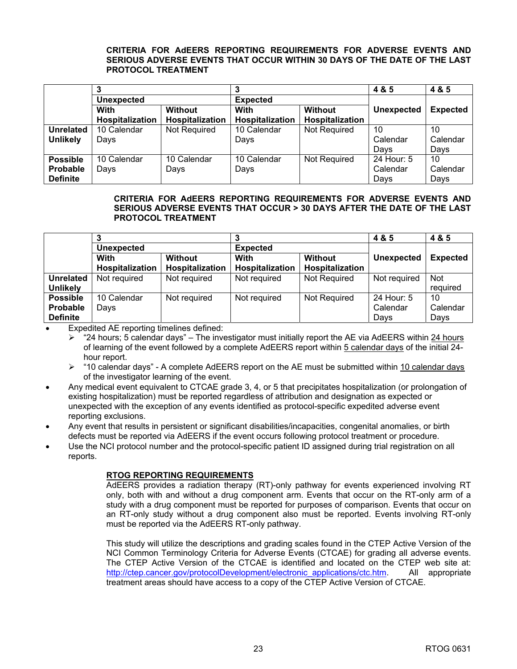### **CRITERIA FOR AdEERS REPORTING REQUIREMENTS FOR ADVERSE EVENTS AND SERIOUS ADVERSE EVENTS THAT OCCUR WITHIN 30 DAYS OF THE DATE OF THE LAST PROTOCOL TREATMENT**

|                  | J                 |                 |                 |                     | 4 & 5             | 4 & 5           |
|------------------|-------------------|-----------------|-----------------|---------------------|-------------------|-----------------|
|                  | <b>Unexpected</b> |                 | <b>Expected</b> |                     |                   |                 |
|                  | With              | Without         | With            | <b>Without</b>      | <b>Unexpected</b> | <b>Expected</b> |
|                  | Hospitalization   | Hospitalization | Hospitalization | Hospitalization     |                   |                 |
| <b>Unrelated</b> | 10 Calendar       | Not Required    | 10 Calendar     | <b>Not Required</b> | 10                | 10              |
| <b>Unlikely</b>  | Days              |                 | Days            |                     | Calendar          | Calendar        |
|                  |                   |                 |                 |                     | Days              | Days            |
| <b>Possible</b>  | 10 Calendar       | 10 Calendar     | 10 Calendar     | Not Required        | 24 Hour: 5        | 10              |
| Probable         | Days              | Days            | Days            |                     | Calendar          | Calendar        |
| <b>Definite</b>  |                   |                 |                 |                     | Days              | Days            |

### **CRITERIA FOR AdEERS REPORTING REQUIREMENTS FOR ADVERSE EVENTS AND SERIOUS ADVERSE EVENTS THAT OCCUR > 30 DAYS AFTER THE DATE OF THE LAST PROTOCOL TREATMENT**

|                  |                        |                        |                 |                     | 4 & 5             | 4 & 5           |
|------------------|------------------------|------------------------|-----------------|---------------------|-------------------|-----------------|
|                  | <b>Unexpected</b>      |                        | <b>Expected</b> |                     |                   |                 |
|                  | With                   | Without                | With            | <b>Without</b>      | <b>Unexpected</b> | <b>Expected</b> |
|                  | <b>Hospitalization</b> | <b>Hospitalization</b> | Hospitalization | Hospitalization     |                   |                 |
| <b>Unrelated</b> | Not required           | Not required           | Not required    | <b>Not Required</b> | Not required      | <b>Not</b>      |
| <b>Unlikely</b>  |                        |                        |                 |                     |                   | required        |
| <b>Possible</b>  | 10 Calendar            | Not required           | Not required    | Not Required        | 24 Hour: 5        | 10              |
| Probable         | Days                   |                        |                 |                     | Calendar          | Calendar        |
| <b>Definite</b>  |                        |                        |                 |                     | Davs              | Days            |

Expedited AE reporting timelines defined:

¾ "24 hours; 5 calendar days" – The investigator must initially report the AE via AdEERS within 24 hours of learning of the event followed by a complete AdEERS report within 5 calendar days of the initial 24 hour report.

- ¾ "10 calendar days" A complete AdEERS report on the AE must be submitted within 10 calendar days of the investigator learning of the event.
- Any medical event equivalent to CTCAE grade 3, 4, or 5 that precipitates hospitalization (or prolongation of existing hospitalization) must be reported regardless of attribution and designation as expected or unexpected with the exception of any events identified as protocol-specific expedited adverse event reporting exclusions.

• Any event that results in persistent or significant disabilities/incapacities, congenital anomalies, or birth defects must be reported via AdEERS if the event occurs following protocol treatment or procedure.

• Use the NCI protocol number and the protocol-specific patient ID assigned during trial registration on all reports.

### **RTOG REPORTING REQUIREMENTS**

 AdEERS provides a radiation therapy (RT)-only pathway for events experienced involving RT only, both with and without a drug component arm. Events that occur on the RT-only arm of a study with a drug component must be reported for purposes of comparison. Events that occur on an RT-only study without a drug component also must be reported. Events involving RT-only must be reported via the AdEERS RT-only pathway.

This study will utilize the descriptions and grading scales found in the CTEP Active Version of the NCI Common Terminology Criteria for Adverse Events (CTCAE) for grading all adverse events. The CTEP Active Version of the CTCAE is identified and located on the CTEP web site at: http://ctep.cancer.gov/protocolDevelopment/electronic\_applications/ctc.htm. All appropriate treatment areas should have access to a copy of the CTEP Active Version of CTCAE.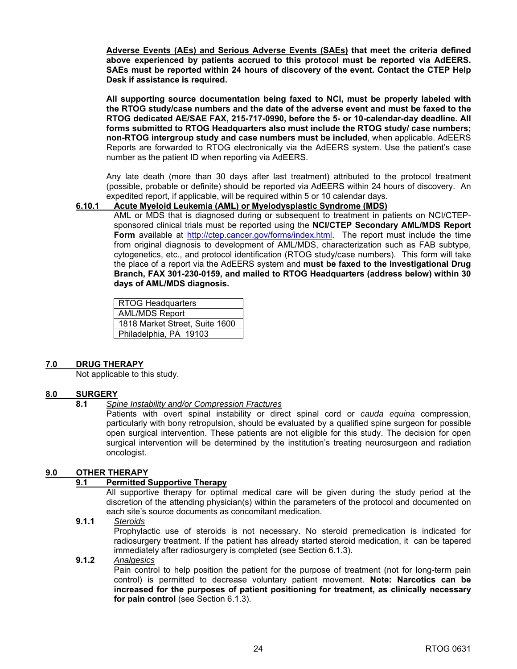**Adverse Events (AEs) and Serious Adverse Events (SAEs) that meet the criteria defined above experienced by patients accrued to this protocol must be reported via AdEERS. SAEs must be reported within 24 hours of discovery of the event. Contact the CTEP Help Desk if assistance is required.** 

 **All supporting source documentation being faxed to NCI, must be properly labeled with the RTOG study/case numbers and the date of the adverse event and must be faxed to the RTOG dedicated AE/SAE FAX, 215-717-0990, before the 5- or 10-calendar-day deadline. All forms submitted to RTOG Headquarters also must include the RTOG study/ case numbers; non-RTOG intergroup study and case numbers must be included**, when applicable. AdEERS Reports are forwarded to RTOG electronically via the AdEERS system. Use the patient's case number as the patient ID when reporting via AdEERS.

 Any late death (more than 30 days after last treatment) attributed to the protocol treatment (possible, probable or definite) should be reported via AdEERS within 24 hours of discovery. An expedited report, if applicable, will be required within 5 or 10 calendar days.

### **6.10.1 Acute Myeloid Leukemia (AML) or Myelodysplastic Syndrome (MDS)**

 AML or MDS that is diagnosed during or subsequent to treatment in patients on NCI/CTEPsponsored clinical trials must be reported using the **NCI/CTEP Secondary AML/MDS Report Form** available at http://ctep.cancer.gov/forms/index.html. The report must include the time from original diagnosis to development of AML/MDS, characterization such as FAB subtype, cytogenetics, etc., and protocol identification (RTOG study/case numbers). This form will take the place of a report via the AdEERS system and **must be faxed to the Investigational Drug Branch, FAX 301-230-0159, and mailed to RTOG Headquarters (address below) within 30 days of AML/MDS diagnosis.** 

RTOG Headquarters AML/MDS Report 1818 Market Street, Suite 1600 Philadelphia, PA 19103

### **7.0 DRUG THERAPY**

Not applicable to this study.

### **8.0 SURGERY**

**8.1** *Spine Instability and/or Compression Fractures*

 Patients with overt spinal instability or direct spinal cord or *cauda equina* compression, particularly with bony retropulsion, should be evaluated by a qualified spine surgeon for possible open surgical intervention. These patients are not eligible for this study. The decision for open surgical intervention will be determined by the institution's treating neurosurgeon and radiation oncologist.

### **9.0 OTHER THERAPY**

### **9.1 Permitted Supportive Therapy**

 All supportive therapy for optimal medical care will be given during the study period at the discretion of the attending physician(s) within the parameters of the protocol and documented on each site's source documents as concomitant medication.

### **9.1.1** *Steroids*

 Prophylactic use of steroids is not necessary. No steroid premedication is indicated for radiosurgery treatment. If the patient has already started steroid medication, it can be tapered immediately after radiosurgery is completed (see Section 6.1.3).

### **9.1.2** *Analgesics*

 Pain control to help position the patient for the purpose of treatment (not for long-term pain control) is permitted to decrease voluntary patient movement. **Note: Narcotics can be increased for the purposes of patient positioning for treatment, as clinically necessary for pain control** (see Section 6.1.3).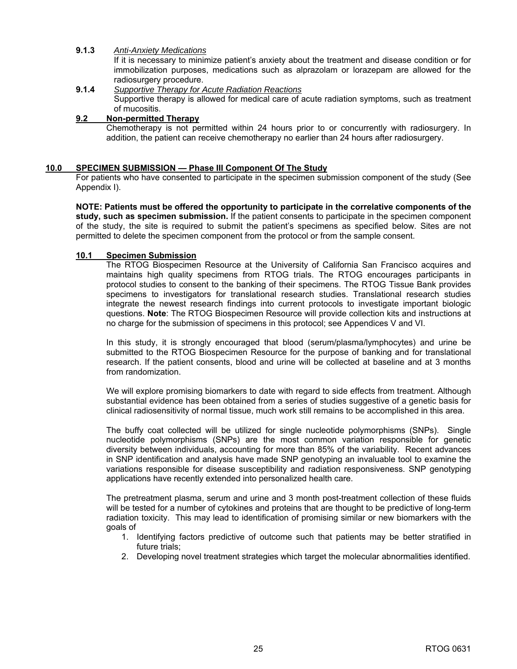### **9.1.3** *Anti-Anxiety Medications*

 If it is necessary to minimize patient's anxiety about the treatment and disease condition or for immobilization purposes, medications such as alprazolam or lorazepam are allowed for the radiosurgery procedure.

**9.1.4** *Supportive Therapy for Acute Radiation Reactions* Supportive therapy is allowed for medical care of acute radiation symptoms, such as treatment of mucositis.

### **9.2 Non-permitted Therapy**

 Chemotherapy is not permitted within 24 hours prior to or concurrently with radiosurgery. In addition, the patient can receive chemotherapy no earlier than 24 hours after radiosurgery.

### **10.0 SPECIMEN SUBMISSION — Phase III Component Of The Study**

For patients who have consented to participate in the specimen submission component of the study (See Appendix I).

**NOTE: Patients must be offered the opportunity to participate in the correlative components of the study, such as specimen submission.** If the patient consents to participate in the specimen component of the study, the site is required to submit the patient's specimens as specified below. Sites are not permitted to delete the specimen component from the protocol or from the sample consent.

### **10.1 Specimen Submission**

 The RTOG Biospecimen Resource at the University of California San Francisco acquires and maintains high quality specimens from RTOG trials. The RTOG encourages participants in protocol studies to consent to the banking of their specimens. The RTOG Tissue Bank provides specimens to investigators for translational research studies. Translational research studies integrate the newest research findings into current protocols to investigate important biologic questions. **Note**: The RTOG Biospecimen Resource will provide collection kits and instructions at no charge for the submission of specimens in this protocol; see Appendices V and VI.

In this study, it is strongly encouraged that blood (serum/plasma/lymphocytes) and urine be submitted to the RTOG Biospecimen Resource for the purpose of banking and for translational research. If the patient consents, blood and urine will be collected at baseline and at 3 months from randomization.

We will explore promising biomarkers to date with regard to side effects from treatment. Although substantial evidence has been obtained from a series of studies suggestive of a genetic basis for clinical radiosensitivity of normal tissue, much work still remains to be accomplished in this area.

The buffy coat collected will be utilized for single nucleotide polymorphisms (SNPs). Single nucleotide polymorphisms (SNPs) are the most common variation responsible for genetic diversity between individuals, accounting for more than 85% of the variability. Recent advances in SNP identification and analysis have made SNP genotyping an invaluable tool to examine the variations responsible for disease susceptibility and radiation responsiveness. SNP genotyping applications have recently extended into personalized health care.

The pretreatment plasma, serum and urine and 3 month post-treatment collection of these fluids will be tested for a number of cytokines and proteins that are thought to be predictive of long-term radiation toxicity. This may lead to identification of promising similar or new biomarkers with the goals of

- 1. Identifying factors predictive of outcome such that patients may be better stratified in future trials;
- 2. Developing novel treatment strategies which target the molecular abnormalities identified.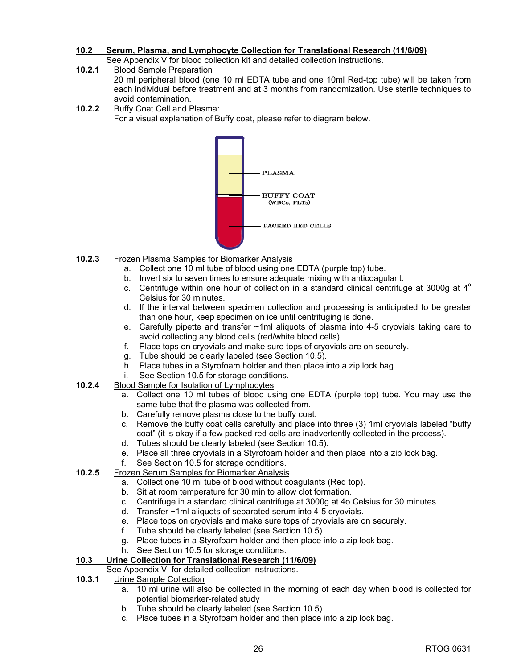### **10.2 Serum, Plasma, and Lymphocyte Collection for Translational Research (11/6/09)**

See Appendix V for blood collection kit and detailed collection instructions.<br> **10.2.1** Blood Sample Preparation

- **10.2.1** Blood Sample Preparation 20 ml peripheral blood (one 10 ml EDTA tube and one 10ml Red-top tube) will be taken from each individual before treatment and at 3 months from randomization. Use sterile techniques to avoid contamination.
- **10.2.2** Buffy Coat Cell and Plasma: For a visual explanation of Buffy coat, please refer to diagram below.



- **10.2.3** Frozen Plasma Samples for Biomarker Analysis
	- a. Collect one 10 ml tube of blood using one EDTA (purple top) tube.
	- b. Invert six to seven times to ensure adequate mixing with anticoagulant.
	- c. Centrifuge within one hour of collection in a standard clinical centrifuge at 3000g at  $4^\circ$ Celsius for 30 minutes.
	- d. If the interval between specimen collection and processing is anticipated to be greater than one hour, keep specimen on ice until centrifuging is done.
	- e. Carefully pipette and transfer ~1ml aliquots of plasma into 4-5 cryovials taking care to avoid collecting any blood cells (red/white blood cells).
	- f. Place tops on cryovials and make sure tops of cryovials are on securely.
	- g. Tube should be clearly labeled (see Section 10.5).
	- h. Place tubes in a Styrofoam holder and then place into a zip lock bag.
	- i. See Section 10.5 for storage conditions.
- **10.2.4** Blood Sample for Isolation of Lymphocytes
	- a. Collect one 10 ml tubes of blood using one EDTA (purple top) tube. You may use the same tube that the plasma was collected from.
	- b. Carefully remove plasma close to the buffy coat.
	- c. Remove the buffy coat cells carefully and place into three (3) 1ml cryovials labeled "buffy coat" (it is okay if a few packed red cells are inadvertently collected in the process).
	- d. Tubes should be clearly labeled (see Section 10.5).
	- e. Place all three cryovials in a Styrofoam holder and then place into a zip lock bag.
	- f. See Section 10.5 for storage conditions.
- **10.2.5** Frozen Serum Samples for Biomarker Analysis
	- a. Collect one 10 ml tube of blood without coagulants (Red top).
	- b. Sit at room temperature for 30 min to allow clot formation.
	- c. Centrifuge in a standard clinical centrifuge at 3000g at 4o Celsius for 30 minutes.
	- d. Transfer ~1ml aliquots of separated serum into 4-5 cryovials.
	- e. Place tops on cryovials and make sure tops of cryovials are on securely.
	- f. Tube should be clearly labeled (see Section 10.5).
	- g. Place tubes in a Styrofoam holder and then place into a zip lock bag.
	- h. See Section 10.5 for storage conditions.

### **10.3 Urine Collection for Translational Research (11/6/09)**

- See Appendix VI for detailed collection instructions.
- **10.3.1** Urine Sample Collection
	- a. 10 ml urine will also be collected in the morning of each day when blood is collected for potential biomarker-related study
	- b. Tube should be clearly labeled (see Section 10.5).
	- c. Place tubes in a Styrofoam holder and then place into a zip lock bag.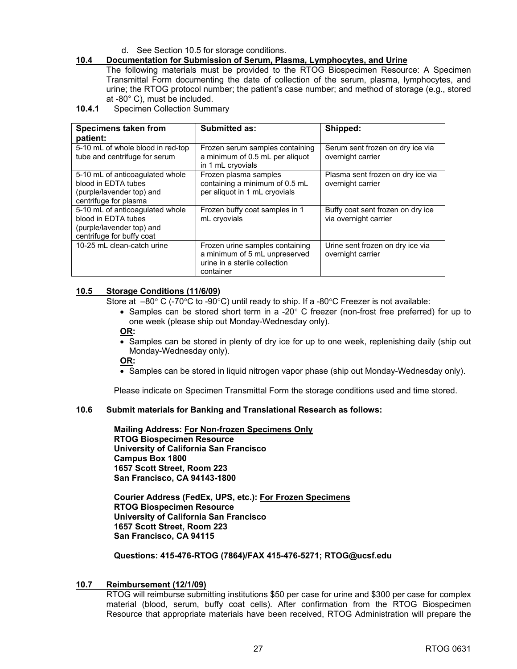d. See Section 10.5 for storage conditions.

### **10.4 Documentation for Submission of Serum, Plasma, Lymphocytes, and Urine**

 The following materials must be provided to the RTOG Biospecimen Resource: A Specimen Transmittal Form documenting the date of collection of the serum, plasma, lymphocytes, and urine; the RTOG protocol number; the patient's case number; and method of storage (e.g., stored at -80° C), must be included.

**10.4.1** Specimen Collection Summary

| <b>Specimens taken from</b><br>patient:                                                                          | <b>Submitted as:</b>                                                                                           | Shipped:                                                   |
|------------------------------------------------------------------------------------------------------------------|----------------------------------------------------------------------------------------------------------------|------------------------------------------------------------|
| 5-10 mL of whole blood in red-top<br>tube and centrifuge for serum                                               | Frozen serum samples containing<br>a minimum of 0.5 mL per aliquot<br>in 1 mL cryovials                        | Serum sent frozen on dry ice via<br>overnight carrier      |
| 5-10 mL of anticoagulated whole<br>blood in EDTA tubes<br>(purple/lavender top) and<br>centrifuge for plasma     | Frozen plasma samples<br>containing a minimum of 0.5 mL<br>per aliquot in 1 mL cryovials                       | Plasma sent frozen on dry ice via<br>overnight carrier     |
| 5-10 mL of anticoagulated whole<br>blood in EDTA tubes<br>(purple/lavender top) and<br>centrifuge for buffy coat | Frozen buffy coat samples in 1<br>mL cryovials                                                                 | Buffy coat sent frozen on dry ice<br>via overnight carrier |
| 10-25 mL clean-catch urine                                                                                       | Frozen urine samples containing<br>a minimum of 5 mL unpreserved<br>urine in a sterile collection<br>container | Urine sent frozen on dry ice via<br>overnight carrier      |

### **10.5 Storage Conditions (11/6/09)**

- Store at  $-80^{\circ}$  C (-70°C to -90°C) until ready to ship. If a -80°C Freezer is not available:
	- Samples can be stored short term in a -20 $\degree$  C freezer (non-frost free preferred) for up to one week (please ship out Monday-Wednesday only).
	- **OR:**
	- Samples can be stored in plenty of dry ice for up to one week, replenishing daily (ship out Monday-Wednesday only).

**OR:** 

• Samples can be stored in liquid nitrogen vapor phase (ship out Monday-Wednesday only).

Please indicate on Specimen Transmittal Form the storage conditions used and time stored.

### **10.6 Submit materials for Banking and Translational Research as follows:**

**Mailing Address: For Non-frozen Specimens Only RTOG Biospecimen Resource University of California San Francisco Campus Box 1800 1657 Scott Street, Room 223 San Francisco, CA 94143-1800** 

**Courier Address (FedEx, UPS, etc.): For Frozen Specimens RTOG Biospecimen Resource University of California San Francisco 1657 Scott Street, Room 223 San Francisco, CA 94115**

### **Questions: 415-476-RTOG (7864)/FAX 415-476-5271; RTOG@ucsf.edu**

### **10.7 Reimbursement (12/1/09)**

 RTOG will reimburse submitting institutions \$50 per case for urine and \$300 per case for complex material (blood, serum, buffy coat cells). After confirmation from the RTOG Biospecimen Resource that appropriate materials have been received, RTOG Administration will prepare the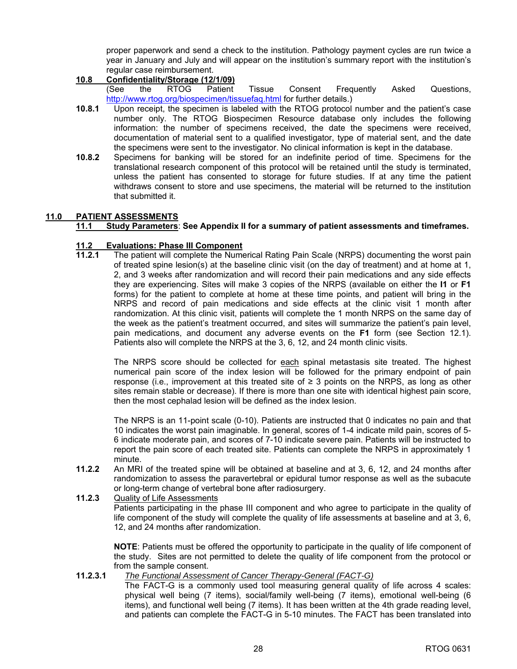proper paperwork and send a check to the institution. Pathology payment cycles are run twice a year in January and July and will appear on the institution's summary report with the institution's regular case reimbursement.

### **10.8 Confidentiality/Storage (12/1/09)**

 (See the RTOG Patient Tissue Consent Frequently Asked Questions, http://www.rtog.org/biospecimen/tissuefaq.html for further details.)

- **10.8.1** Upon receipt, the specimen is labeled with the RTOG protocol number and the patient's case number only. The RTOG Biospecimen Resource database only includes the following information: the number of specimens received, the date the specimens were received, documentation of material sent to a qualified investigator, type of material sent, and the date the specimens were sent to the investigator. No clinical information is kept in the database.
- **10.8.2** Specimens for banking will be stored for an indefinite period of time. Specimens for the translational research component of this protocol will be retained until the study is terminated, unless the patient has consented to storage for future studies. If at any time the patient withdraws consent to store and use specimens, the material will be returned to the institution that submitted it.

### **11.0 PATIENT ASSESSMENTS**

### **11.1 Study Parameters**: **See Appendix II for a summary of patient assessments and timeframes.**

### **11.2 Evaluations: Phase III Component**

**11.2.1** The patient will complete the Numerical Rating Pain Scale (NRPS) documenting the worst pain of treated spine lesion(s) at the baseline clinic visit (on the day of treatment) and at home at 1, 2, and 3 weeks after randomization and will record their pain medications and any side effects they are experiencing. Sites will make 3 copies of the NRPS (available on either the **I1** or **F1** forms) for the patient to complete at home at these time points, and patient will bring in the NRPS and record of pain medications and side effects at the clinic visit 1 month after randomization. At this clinic visit, patients will complete the 1 month NRPS on the same day of the week as the patient's treatment occurred, and sites will summarize the patient's pain level, pain medications, and document any adverse events on the **F1** form (see Section 12.1). Patients also will complete the NRPS at the 3, 6, 12, and 24 month clinic visits.

The NRPS score should be collected for each spinal metastasis site treated. The highest numerical pain score of the index lesion will be followed for the primary endpoint of pain response (i.e., improvement at this treated site of  $\geq$  3 points on the NRPS, as long as other sites remain stable or decrease). If there is more than one site with identical highest pain score, then the most cephalad lesion will be defined as the index lesion.

The NRPS is an 11-point scale (0-10). Patients are instructed that 0 indicates no pain and that 10 indicates the worst pain imaginable. In general, scores of 1-4 indicate mild pain, scores of 5- 6 indicate moderate pain, and scores of 7-10 indicate severe pain. Patients will be instructed to report the pain score of each treated site. Patients can complete the NRPS in approximately 1 minute.

**11.2.2** An MRI of the treated spine will be obtained at baseline and at 3, 6, 12, and 24 months after randomization to assess the paravertebral or epidural tumor response as well as the subacute or long-term change of vertebral bone after radiosurgery.

### **11.2.3** Quality of Life Assessments

 Patients participating in the phase III component and who agree to participate in the quality of life component of the study will complete the quality of life assessments at baseline and at 3, 6, 12, and 24 months after randomization.

**NOTE**: Patients must be offered the opportunity to participate in the quality of life component of the study. Sites are not permitted to delete the quality of life component from the protocol or from the sample consent.

### **11.2.3.1** *The Functional Assessment of Cancer Therapy-General (FACT-G)*

 The FACT-G is a commonly used tool measuring general quality of life across 4 scales: physical well being (7 items), social/family well-being (7 items), emotional well-being (6 items), and functional well being (7 items). It has been written at the 4th grade reading level, and patients can complete the FACT-G in 5-10 minutes. The FACT has been translated into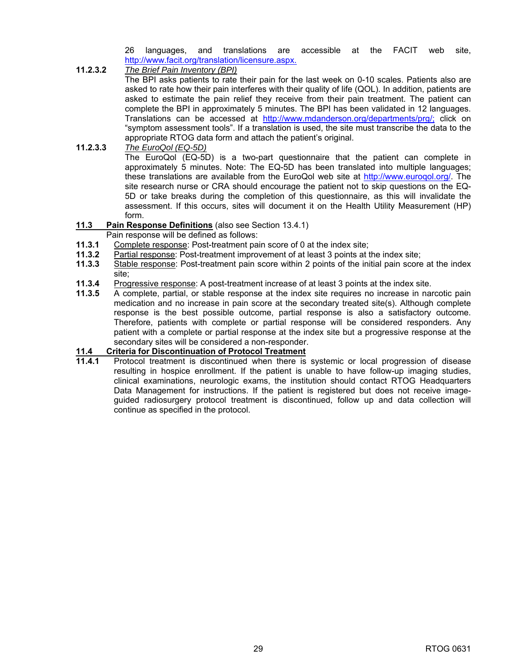26 languages, and translations are accessible at the FACIT web site, http://www.facit.org/translation/licensure.aspx.

**11.2.3.2** *The Brief Pain Inventory (BPI)*

 The BPI asks patients to rate their pain for the last week on 0-10 scales. Patients also are asked to rate how their pain interferes with their quality of life (QOL). In addition, patients are asked to estimate the pain relief they receive from their pain treatment. The patient can complete the BPI in approximately 5 minutes. The BPI has been validated in 12 languages. Translations can be accessed at http://www.mdanderson.org/departments/prg/; click on "symptom assessment tools". If a translation is used, the site must transcribe the data to the appropriate RTOG data form and attach the patient's original.

### **11.2.3.3** *The EuroQol (EQ-5D)*

 The EuroQol (EQ-5D) is a two-part questionnaire that the patient can complete in approximately 5 minutes. Note: The EQ-5D has been translated into multiple languages; these translations are available from the EuroQol web site at http://www.euroqol.org/. The site research nurse or CRA should encourage the patient not to skip questions on the EQ-5D or take breaks during the completion of this questionnaire, as this will invalidate the assessment. If this occurs, sites will document it on the Health Utility Measurement (HP) form.

### **11.3 Pain Response Definitions** (also see Section 13.4.1)

Pain response will be defined as follows:<br>**11.3.1** Complete response: Post-treatment paint

- **11.3.1** Complete response: Post-treatment pain score of 0 at the index site;
- **11.3.2** Partial response: Post-treatment improvement of at least 3 points at the index site;
- **11.3.3** Stable response: Post-treatment pain score within 2 points of the initial pain score at the index site;
- **11.3.4** Progressive response: A post-treatment increase of at least 3 points at the index site.
- **11.3.5** A complete, partial, or stable response at the index site requires no increase in narcotic pain medication and no increase in pain score at the secondary treated site(s). Although complete response is the best possible outcome, partial response is also a satisfactory outcome. Therefore, patients with complete or partial response will be considered responders. Any patient with a complete or partial response at the index site but a progressive response at the secondary sites will be considered a non-responder.

# **11.4 Criteria for Discontinuation of Protocol Treatment**

**11.4.1** Protocol treatment is discontinued when there is systemic or local progression of disease resulting in hospice enrollment. If the patient is unable to have follow-up imaging studies, clinical examinations, neurologic exams, the institution should contact RTOG Headquarters Data Management for instructions. If the patient is registered but does not receive imageguided radiosurgery protocol treatment is discontinued, follow up and data collection will continue as specified in the protocol.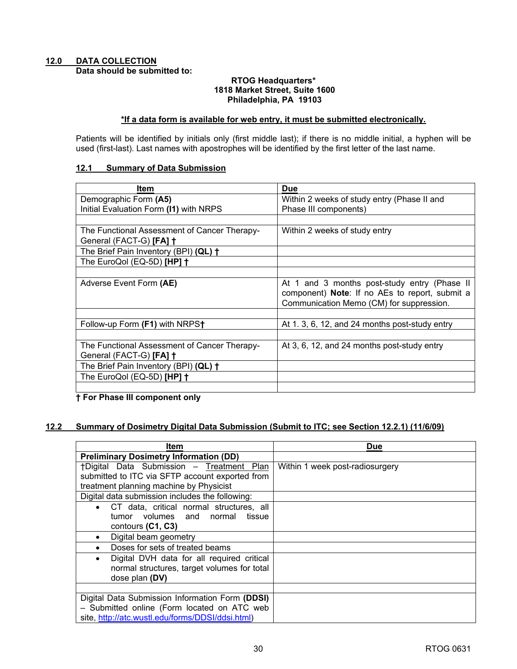### **12.0 DATA COLLECTION Data should be submitted to:**

### **RTOG Headquarters\* 1818 Market Street, Suite 1600 Philadelphia, PA 19103**

### **\*If a data form is available for web entry, it must be submitted electronically.**

Patients will be identified by initials only (first middle last); if there is no middle initial, a hyphen will be used (first-last). Last names with apostrophes will be identified by the first letter of the last name.

### **12.1 Summary of Data Submission**

| Item                                         | <b>Due</b>                                     |
|----------------------------------------------|------------------------------------------------|
| Demographic Form (A5)                        | Within 2 weeks of study entry (Phase II and    |
| Initial Evaluation Form (I1) with NRPS       | Phase III components)                          |
|                                              |                                                |
| The Functional Assessment of Cancer Therapy- | Within 2 weeks of study entry                  |
| General (FACT-G) [FA] +                      |                                                |
| The Brief Pain Inventory (BPI) $(QL)$ †      |                                                |
| The EuroQol (EQ-5D) $[HP]$ †                 |                                                |
|                                              |                                                |
| Adverse Event Form (AE)                      | At 1 and 3 months post-study entry (Phase II   |
|                                              | component) Note: If no AEs to report, submit a |
|                                              | Communication Memo (CM) for suppression.       |
|                                              |                                                |
| Follow-up Form (F1) with NRPS+               | At 1.3, 6, 12, and 24 months post-study entry  |
|                                              |                                                |
| The Functional Assessment of Cancer Therapy- | At 3, 6, 12, and 24 months post-study entry    |
| General (FACT-G) [FA] +                      |                                                |
| The Brief Pain Inventory (BPI) (QL) +        |                                                |
| The EuroQol (EQ-5D) $[HP]$ †                 |                                                |
|                                              |                                                |

 **† For Phase III component only** 

### **12.2 Summary of Dosimetry Digital Data Submission (Submit to ITC; see Section 12.2.1) (11/6/09)**

| Item                                             | Due                             |
|--------------------------------------------------|---------------------------------|
| <b>Preliminary Dosimetry Information (DD)</b>    |                                 |
| +Digital Data Submission - Treatment Plan        | Within 1 week post-radiosurgery |
| submitted to ITC via SFTP account exported from  |                                 |
| treatment planning machine by Physicist          |                                 |
| Digital data submission includes the following:  |                                 |
| CT data, critical normal structures, all         |                                 |
| tumor volumes and normal tissue                  |                                 |
| contours (C1, C3)                                |                                 |
| Digital beam geometry                            |                                 |
| Doses for sets of treated beams                  |                                 |
| Digital DVH data for all required critical       |                                 |
| normal structures, target volumes for total      |                                 |
| dose plan (DV)                                   |                                 |
|                                                  |                                 |
| Digital Data Submission Information Form (DDSI)  |                                 |
| - Submitted online (Form located on ATC web      |                                 |
| site, http://atc.wustl.edu/forms/DDSI/ddsi.html) |                                 |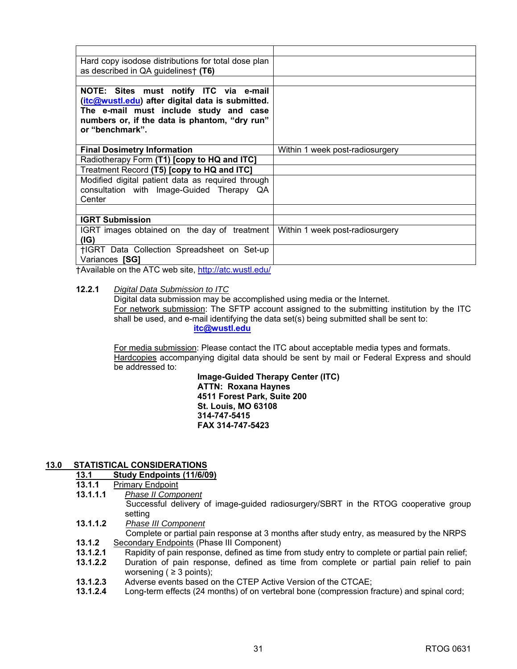| Hard copy isodose distributions for total dose plan<br>as described in QA guidelines† (T6)                                                                                                               |                                 |
|----------------------------------------------------------------------------------------------------------------------------------------------------------------------------------------------------------|---------------------------------|
|                                                                                                                                                                                                          |                                 |
| NOTE: Sites must notify ITC via e-mail<br>(itc@wustl.edu) after digital data is submitted.<br>The e-mail must include study and case<br>numbers or, if the data is phantom, "dry run"<br>or "benchmark". |                                 |
| <b>Final Dosimetry Information</b>                                                                                                                                                                       | Within 1 week post-radiosurgery |
| Radiotherapy Form (T1) [copy to HQ and ITC]                                                                                                                                                              |                                 |
| Treatment Record (T5) [copy to HQ and ITC]                                                                                                                                                               |                                 |
| Modified digital patient data as required through<br>consultation with Image-Guided Therapy QA                                                                                                           |                                 |
| Center                                                                                                                                                                                                   |                                 |
|                                                                                                                                                                                                          |                                 |
| <b>IGRT Submission</b>                                                                                                                                                                                   |                                 |
| IGRT images obtained on the day of treatment<br>(IG)                                                                                                                                                     | Within 1 week post-radiosurgery |
| †IGRT Data Collection Spreadsheet on Set-up<br>Variances <b>[SG]</b>                                                                                                                                     |                                 |

†Available on the ATC web site, http://atc.wustl.edu/

### **12.2.1** *Digital Data Submission to ITC*

Digital data submission may be accomplished using media or the Internet. For network submission: The SFTP account assigned to the submitting institution by the ITC shall be used, and e-mail identifying the data set(s) being submitted shall be sent to: **itc@wustl.edu** 

For media submission: Please contact the ITC about acceptable media types and formats. Hardcopies accompanying digital data should be sent by mail or Federal Express and should be addressed to:

> **Image-Guided Therapy Center (ITC) ATTN: Roxana Haynes 4511 Forest Park, Suite 200 St. Louis, MO 63108 314-747-5415 FAX 314-747-5423**

### **13.0 STATISTICAL CONSIDERATIONS**

### **13.1 Study Endpoints (11/6/09)**

- **13.1.1** Primary Endpoint<br>**13.1.1.1** Phase II Comp
- **13.1.1.1** *Phase II Component* Successful delivery of image-guided radiosurgery/SBRT in the RTOG cooperative group setting
- **13.1.1.2** *Phase III Component*

Complete or partial pain response at 3 months after study entry, as measured by the NRPS

- **13.1.2** Secondary Endpoints (Phase III Component)<br>**13.1.2.1** Rapidity of pain response, defined as time **13.1.2.1** Rapidity of pain response, defined as time from study entry to complete or partial pain relief;
- **13.1.2.2** Duration of pain response, defined as time from complete or partial pain relief to pain worsening ( $\geq$  3 points);
- **13.1.2.3** Adverse events based on the CTEP Active Version of the CTCAE;
- **13.1.2.4** Long-term effects (24 months) of on vertebral bone (compression fracture) and spinal cord;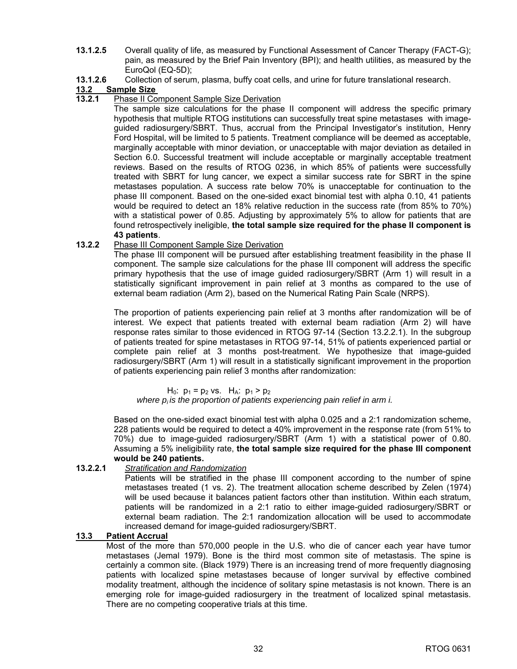- **13.1.2.5** Overall quality of life, as measured by Functional Assessment of Cancer Therapy (FACT-G); pain, as measured by the Brief Pain Inventory (BPI); and health utilities, as measured by the EuroQol (EQ-5D);
- **13.1.2.6** Collection of serum, plasma, buffy coat cells, and urine for future translational research.

# **13.2 Sample Size**

**13.2.1** Phase II Component Sample Size Derivation

 The sample size calculations for the phase II component will address the specific primary hypothesis that multiple RTOG institutions can successfully treat spine metastases with imageguided radiosurgery/SBRT. Thus, accrual from the Principal Investigator's institution, Henry Ford Hospital, will be limited to 5 patients. Treatment compliance will be deemed as acceptable, marginally acceptable with minor deviation, or unacceptable with major deviation as detailed in Section 6.0. Successful treatment will include acceptable or marginally acceptable treatment reviews. Based on the results of RTOG 0236, in which 85% of patients were successfully treated with SBRT for lung cancer, we expect a similar success rate for SBRT in the spine metastases population. A success rate below 70% is unacceptable for continuation to the phase III component. Based on the one-sided exact binomial test with alpha 0.10, 41 patients would be required to detect an 18% relative reduction in the success rate (from 85% to 70%) with a statistical power of 0.85. Adjusting by approximately 5% to allow for patients that are found retrospectively ineligible, **the total sample size required for the phase II component is 43 patients**.

# **13.2.2** Phase III Component Sample Size Derivation

 The phase III component will be pursued after establishing treatment feasibility in the phase II component. The sample size calculations for the phase III component will address the specific primary hypothesis that the use of image guided radiosurgery/SBRT (Arm 1) will result in a statistically significant improvement in pain relief at 3 months as compared to the use of external beam radiation (Arm 2), based on the Numerical Rating Pain Scale (NRPS).

 The proportion of patients experiencing pain relief at 3 months after randomization will be of interest. We expect that patients treated with external beam radiation (Arm 2) will have response rates similar to those evidenced in RTOG 97-14 (Section 13.2.2.1). In the subgroup of patients treated for spine metastases in RTOG 97-14, 51% of patients experienced partial or complete pain relief at 3 months post-treatment. We hypothesize that image-guided radiosurgery/SBRT (Arm 1) will result in a statistically significant improvement in the proportion of patients experiencing pain relief 3 months after randomization:

H<sub>0</sub>:  $p_1 = p_2$  vs. H<sub>A</sub>:  $p_1 > p_2$ *where pi is the proportion of patients experiencing pain relief in arm i.* 

 Based on the one-sided exact binomial test with alpha 0.025 and a 2:1 randomization scheme, 228 patients would be required to detect a 40% improvement in the response rate (from 51% to 70%) due to image-guided radiosurgery/SBRT (Arm 1) with a statistical power of 0.80. Assuming a 5% ineligibility rate, **the total sample size required for the phase III component would be 240 patients.** 

### **13.2.2.1** *Stratification and Randomization*

 Patients will be stratified in the phase III component according to the number of spine metastases treated (1 vs. 2). The treatment allocation scheme described by Zelen (1974) will be used because it balances patient factors other than institution. Within each stratum, patients will be randomized in a 2:1 ratio to either image-guided radiosurgery/SBRT or external beam radiation. The 2:1 randomization allocation will be used to accommodate increased demand for image-guided radiosurgery/SBRT.

### **13.3 Patient Accrual**

 Most of the more than 570,000 people in the U.S. who die of cancer each year have tumor metastases (Jemal 1979). Bone is the third most common site of metastasis. The spine is certainly a common site. (Black 1979) There is an increasing trend of more frequently diagnosing patients with localized spine metastases because of longer survival by effective combined modality treatment, although the incidence of solitary spine metastasis is not known. There is an emerging role for image-guided radiosurgery in the treatment of localized spinal metastasis. There are no competing cooperative trials at this time.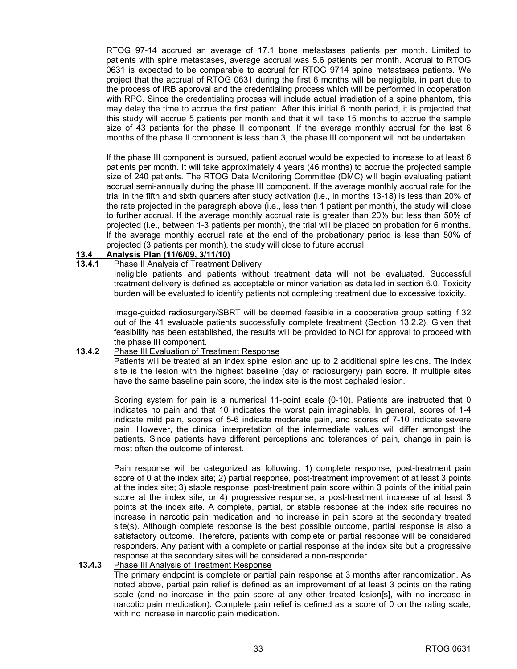RTOG 97-14 accrued an average of 17.1 bone metastases patients per month. Limited to patients with spine metastases, average accrual was 5.6 patients per month. Accrual to RTOG 0631 is expected to be comparable to accrual for RTOG 9714 spine metastases patients. We project that the accrual of RTOG 0631 during the first 6 months will be negligible, in part due to the process of IRB approval and the credentialing process which will be performed in cooperation with RPC. Since the credentialing process will include actual irradiation of a spine phantom, this may delay the time to accrue the first patient. After this initial 6 month period, it is projected that this study will accrue 5 patients per month and that it will take 15 months to accrue the sample size of 43 patients for the phase II component. If the average monthly accrual for the last 6 months of the phase II component is less than 3, the phase III component will not be undertaken.

 If the phase III component is pursued, patient accrual would be expected to increase to at least 6 patients per month. It will take approximately 4 years (46 months) to accrue the projected sample size of 240 patients. The RTOG Data Monitoring Committee (DMC) will begin evaluating patient accrual semi-annually during the phase III component. If the average monthly accrual rate for the trial in the fifth and sixth quarters after study activation (i.e., in months 13-18) is less than 20% of the rate projected in the paragraph above (i.e., less than 1 patient per month), the study will close to further accrual. If the average monthly accrual rate is greater than 20% but less than 50% of projected (i.e., between 1-3 patients per month), the trial will be placed on probation for 6 months. If the average monthly accrual rate at the end of the probationary period is less than 50% of projected (3 patients per month), the study will close to future accrual.

### **13.4 Analysis Plan (11/6/09, 3/11/10)**

### **13.4.1** Phase II Analysis of Treatment Delivery

Ineligible patients and patients without treatment data will not be evaluated. Successful treatment delivery is defined as acceptable or minor variation as detailed in section 6.0. Toxicity burden will be evaluated to identify patients not completing treatment due to excessive toxicity.

Image-guided radiosurgery/SBRT will be deemed feasible in a cooperative group setting if 32 out of the 41 evaluable patients successfully complete treatment (Section 13.2.2). Given that feasibility has been established, the results will be provided to NCI for approval to proceed with the phase III component.

### **13.4.2** Phase III Evaluation of Treatment Response

 Patients will be treated at an index spine lesion and up to 2 additional spine lesions. The index site is the lesion with the highest baseline (day of radiosurgery) pain score. If multiple sites have the same baseline pain score, the index site is the most cephalad lesion.

 Scoring system for pain is a numerical 11-point scale (0-10). Patients are instructed that 0 indicates no pain and that 10 indicates the worst pain imaginable. In general, scores of 1-4 indicate mild pain, scores of 5-6 indicate moderate pain, and scores of 7-10 indicate severe pain. However, the clinical interpretation of the intermediate values will differ amongst the patients. Since patients have different perceptions and tolerances of pain, change in pain is most often the outcome of interest.

 Pain response will be categorized as following: 1) complete response, post-treatment pain score of 0 at the index site; 2) partial response, post-treatment improvement of at least 3 points at the index site; 3) stable response, post-treatment pain score within 3 points of the initial pain score at the index site, or 4) progressive response, a post-treatment increase of at least 3 points at the index site. A complete, partial, or stable response at the index site requires no increase in narcotic pain medication and no increase in pain score at the secondary treated site(s). Although complete response is the best possible outcome, partial response is also a satisfactory outcome. Therefore, patients with complete or partial response will be considered responders. Any patient with a complete or partial response at the index site but a progressive response at the secondary sites will be considered a non-responder.

### **13.4.3** Phase III Analysis of Treatment Response

 The primary endpoint is complete or partial pain response at 3 months after randomization. As noted above, partial pain relief is defined as an improvement of at least 3 points on the rating scale (and no increase in the pain score at any other treated lesion[s], with no increase in narcotic pain medication). Complete pain relief is defined as a score of 0 on the rating scale, with no increase in narcotic pain medication.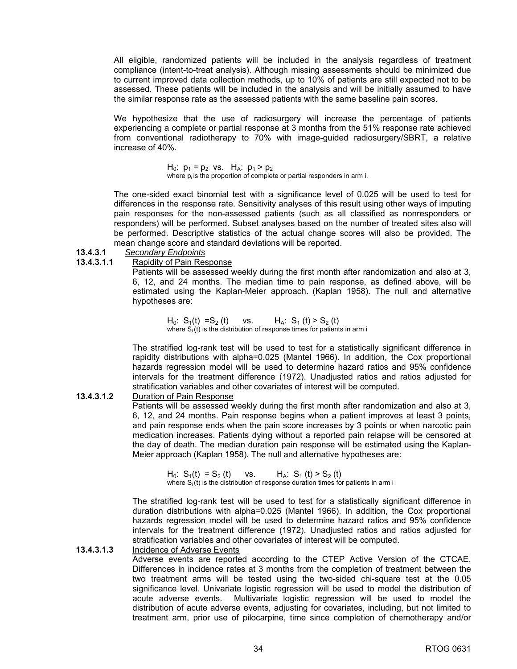All eligible, randomized patients will be included in the analysis regardless of treatment compliance (intent-to-treat analysis). Although missing assessments should be minimized due to current improved data collection methods, up to 10% of patients are still expected not to be assessed. These patients will be included in the analysis and will be initially assumed to have the similar response rate as the assessed patients with the same baseline pain scores.

 We hypothesize that the use of radiosurgery will increase the percentage of patients experiencing a complete or partial response at 3 months from the 51% response rate achieved from conventional radiotherapy to 70% with image-guided radiosurgery/SBRT, a relative increase of 40%.

H<sub>0</sub>:  $p_1 = p_2$  vs. H<sub>A</sub>:  $p_1 > p_2$  where  $p_i$  is the proportion of complete or partial responders in arm i.

The one-sided exact binomial test with a significance level of 0.025 will be used to test for differences in the response rate. Sensitivity analyses of this result using other ways of imputing pain responses for the non-assessed patients (such as all classified as nonresponders or responders) will be performed. Subset analyses based on the number of treated sites also will be performed. Descriptive statistics of the actual change scores will also be provided. The mean change score and standard deviations will be reported.

**13.4.3.1** *Secondary Endpoints* 

**13.4.3.1.1** Rapidity of Pain Response

Patients will be assessed weekly during the first month after randomization and also at 3, 6, 12, and 24 months. The median time to pain response, as defined above, will be estimated using the Kaplan-Meier approach. (Kaplan 1958). The null and alternative hypotheses are:

 $H_0$ :  $S_1(t) = S_2(t)$  vs.  $H_A$ :  $S_1(t) > S_2(t)$ where  $S_i(t)$  is the distribution of response times for patients in arm i

The stratified log-rank test will be used to test for a statistically significant difference in rapidity distributions with alpha=0.025 (Mantel 1966). In addition, the Cox proportional hazards regression model will be used to determine hazard ratios and 95% confidence intervals for the treatment difference (1972). Unadjusted ratios and ratios adjusted for stratification variables and other covariates of interest will be computed.

### **13.4.3.1.2** Duration of Pain Response

Patients will be assessed weekly during the first month after randomization and also at 3, 6, 12, and 24 months. Pain response begins when a patient improves at least 3 points, and pain response ends when the pain score increases by 3 points or when narcotic pain medication increases. Patients dying without a reported pain relapse will be censored at the day of death. The median duration pain response will be estimated using the Kaplan-Meier approach (Kaplan 1958). The null and alternative hypotheses are:

 $H_0$ :  $S_1(t) = S_2(t)$  vs.  $H_A$ :  $S_1(t) > S_2(t)$ where  $S_i(t)$  is the distribution of response duration times for patients in arm i

The stratified log-rank test will be used to test for a statistically significant difference in duration distributions with alpha=0.025 (Mantel 1966). In addition, the Cox proportional hazards regression model will be used to determine hazard ratios and 95% confidence intervals for the treatment difference (1972). Unadjusted ratios and ratios adjusted for stratification variables and other covariates of interest will be computed.

# **13.4.3.1.3** Incidence of Adverse Events

 Adverse events are reported according to the CTEP Active Version of the CTCAE. Differences in incidence rates at 3 months from the completion of treatment between the two treatment arms will be tested using the two-sided chi-square test at the 0.05 significance level. Univariate logistic regression will be used to model the distribution of acute adverse events. Multivariate logistic regression will be used to model the distribution of acute adverse events, adjusting for covariates, including, but not limited to treatment arm, prior use of pilocarpine, time since completion of chemotherapy and/or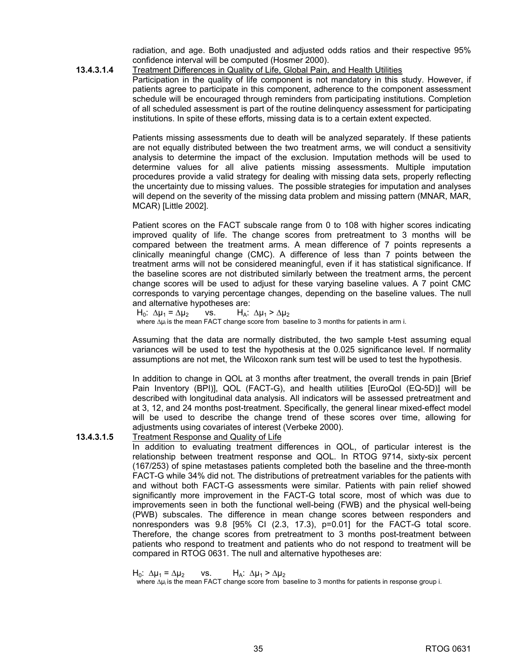radiation, and age. Both unadjusted and adjusted odds ratios and their respective 95% confidence interval will be computed (Hosmer 2000).

### **13.4.3.1.4** Treatment Differences in Quality of Life, Global Pain, and Health Utilities

 Participation in the quality of life component is not mandatory in this study. However, if patients agree to participate in this component, adherence to the component assessment schedule will be encouraged through reminders from participating institutions. Completion of all scheduled assessment is part of the routine delinquency assessment for participating institutions. In spite of these efforts, missing data is to a certain extent expected.

 Patients missing assessments due to death will be analyzed separately. If these patients are not equally distributed between the two treatment arms, we will conduct a sensitivity analysis to determine the impact of the exclusion. Imputation methods will be used to determine values for all alive patients missing assessments. Multiple imputation procedures provide a valid strategy for dealing with missing data sets, properly reflecting the uncertainty due to missing values. The possible strategies for imputation and analyses will depend on the severity of the missing data problem and missing pattern (MNAR, MAR, MCAR) [Little 2002].

Patient scores on the FACT subscale range from 0 to 108 with higher scores indicating improved quality of life. The change scores from pretreatment to 3 months will be compared between the treatment arms. A mean difference of 7 points represents a clinically meaningful change (CMC). A difference of less than 7 points between the treatment arms will not be considered meaningful, even if it has statistical significance. If the baseline scores are not distributed similarly between the treatment arms, the percent change scores will be used to adjust for these varying baseline values. A 7 point CMC corresponds to varying percentage changes, depending on the baseline values. The null and alternative hypotheses are:

H<sub>0</sub>:  $Δμ<sub>1</sub> = Δμ<sub>2</sub>$  vs. H<sub>A</sub>:  $Δμ<sub>1</sub> > Δμ<sub>2</sub>$ <br>where  $Δμ<sub>i</sub>$  is the mean FACT change score from baseline to 3 months for patients in arm i.

Assuming that the data are normally distributed, the two sample t-test assuming equal variances will be used to test the hypothesis at the 0.025 significance level. If normality assumptions are not met, the Wilcoxon rank sum test will be used to test the hypothesis.

In addition to change in QOL at 3 months after treatment, the overall trends in pain [Brief Pain Inventory (BPI)], QOL (FACT-G), and health utilities [EuroQol (EQ-5D)] will be described with longitudinal data analysis. All indicators will be assessed pretreatment and at 3, 12, and 24 months post-treatment. Specifically, the general linear mixed-effect model will be used to describe the change trend of these scores over time, allowing for adjustments using covariates of interest (Verbeke 2000).

### **13.4.3.1.5** Treatment Response and Quality of Life

In addition to evaluating treatment differences in QOL, of particular interest is the relationship between treatment response and QOL. In RTOG 9714, sixty-six percent (167/253) of spine metastases patients completed both the baseline and the three-month FACT-G while 34% did not. The distributions of pretreatment variables for the patients with and without both FACT-G assessments were similar. Patients with pain relief showed significantly more improvement in the FACT-G total score, most of which was due to improvements seen in both the functional well-being (FWB) and the physical well-being (PWB) subscales. The difference in mean change scores between responders and nonresponders was 9.8 [95% CI (2.3, 17.3), p=0.01] for the FACT-G total score. Therefore, the change scores from pretreatment to 3 months post-treatment between patients who respond to treatment and patients who do not respond to treatment will be compared in RTOG 0631. The null and alternative hypotheses are:

 $H_0$ :  $\Delta \mu_1 = \Delta \mu_2$  vs. H<sub>A</sub>:  $\Delta \mu_1 > \Delta \mu_2$ <br>where  $\Delta \mu_i$  is the mean FACT change score from baseline to 3 months for patients in response group i.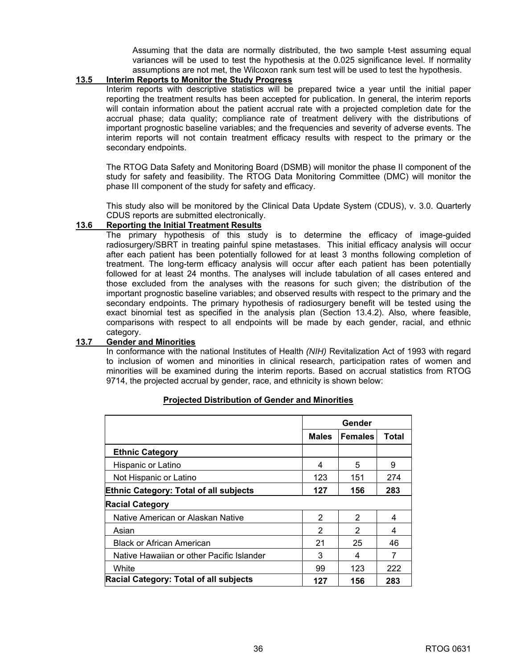Assuming that the data are normally distributed, the two sample t-test assuming equal variances will be used to test the hypothesis at the 0.025 significance level. If normality assumptions are not met, the Wilcoxon rank sum test will be used to test the hypothesis.

### **13.5 Interim Reports to Monitor the Study Progress**

 Interim reports with descriptive statistics will be prepared twice a year until the initial paper reporting the treatment results has been accepted for publication. In general, the interim reports will contain information about the patient accrual rate with a projected completion date for the accrual phase; data quality; compliance rate of treatment delivery with the distributions of important prognostic baseline variables; and the frequencies and severity of adverse events. The interim reports will not contain treatment efficacy results with respect to the primary or the secondary endpoints.

 The RTOG Data Safety and Monitoring Board (DSMB) will monitor the phase II component of the study for safety and feasibility. The RTOG Data Monitoring Committee (DMC) will monitor the phase III component of the study for safety and efficacy.

 This study also will be monitored by the Clinical Data Update System (CDUS), v. 3.0. Quarterly CDUS reports are submitted electronically.

### **13.6 Reporting the Initial Treatment Results**

 The primary hypothesis of this study is to determine the efficacy of image-guided radiosurgery/SBRT in treating painful spine metastases. This initial efficacy analysis will occur after each patient has been potentially followed for at least 3 months following completion of treatment. The long-term efficacy analysis will occur after each patient has been potentially followed for at least 24 months. The analyses will include tabulation of all cases entered and those excluded from the analyses with the reasons for such given; the distribution of the important prognostic baseline variables; and observed results with respect to the primary and the secondary endpoints. The primary hypothesis of radiosurgery benefit will be tested using the exact binomial test as specified in the analysis plan (Section 13.4.2). Also, where feasible, comparisons with respect to all endpoints will be made by each gender, racial, and ethnic category.

### **13.7 Gender and Minorities**

In conformance with the national Institutes of Health *(NIH)* Revitalization Act of 1993 with regard to inclusion of women and minorities in clinical research, participation rates of women and minorities will be examined during the interim reports. Based on accrual statistics from RTOG 9714, the projected accrual by gender, race, and ethnicity is shown below:

|                                               |              | Gender         |              |
|-----------------------------------------------|--------------|----------------|--------------|
|                                               | <b>Males</b> | <b>Females</b> | <b>Total</b> |
| <b>Ethnic Category</b>                        |              |                |              |
| Hispanic or Latino                            | 4            | 5              | 9            |
| Not Hispanic or Latino                        | 123          | 151            | 274          |
| <b>Ethnic Category: Total of all subjects</b> | 127          | 156            | 283          |
| <b>Racial Category</b>                        |              |                |              |
| Native American or Alaskan Native             | 2            | 2              | 4            |
| Asian                                         | 2            | $\mathcal{P}$  | 4            |
| <b>Black or African American</b>              | 21           | 25             | 46           |
| Native Hawaiian or other Pacific Islander     | 3            | 4              |              |
| White                                         | 99           | 123            | 222          |
| Racial Category: Total of all subjects        | 127          | 156            | 283          |

### **Projected Distribution of Gender and Minorities**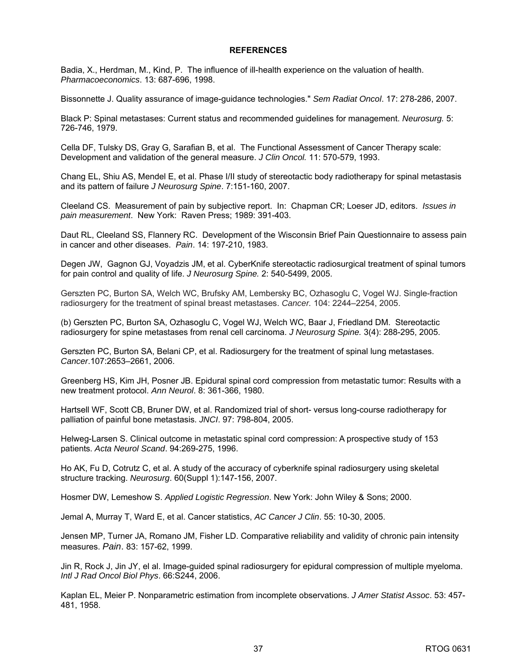### **REFERENCES**

Badia, X., Herdman, M., Kind, P. The influence of ill-health experience on the valuation of health. *Pharmacoeconomics*. 13: 687-696, 1998.

Bissonnette J. Quality assurance of image-guidance technologies." *Sem Radiat Oncol*. 17: 278-286, 2007.

Black P: Spinal metastases: Current status and recommended guidelines for management. *Neurosurg.* 5: 726-746, 1979.

Cella DF, Tulsky DS, Gray G, Sarafian B, et al. The Functional Assessment of Cancer Therapy scale: Development and validation of the general measure. *J Clin Oncol.* 11: 570-579, 1993.

Chang EL, Shiu AS, Mendel E, et al. Phase I/II study of stereotactic body radiotherapy for spinal metastasis and its pattern of failure *J Neurosurg Spine*. 7:151-160, 2007.

Cleeland CS. Measurement of pain by subjective report. In: Chapman CR; Loeser JD, editors. *Issues in pain measurement*. New York: Raven Press; 1989: 391-403.

Daut RL, Cleeland SS, Flannery RC. Development of the Wisconsin Brief Pain Questionnaire to assess pain in cancer and other diseases. *Pain*. 14: 197-210, 1983.

Degen JW, Gagnon GJ, Voyadzis JM, et al. CyberKnife stereotactic radiosurgical treatment of spinal tumors for pain control and quality of life. *J Neurosurg Spine.* 2: 540-5499, 2005.

Gerszten PC, Burton SA, Welch WC, Brufsky AM, Lembersky BC, Ozhasoglu C, Vogel WJ. Single-fraction radiosurgery for the treatment of spinal breast metastases. *Cancer.* 104: 2244–2254, 2005.

(b) Gerszten PC, Burton SA, Ozhasoglu C, Vogel WJ, Welch WC, Baar J, Friedland DM. Stereotactic radiosurgery for spine metastases from renal cell carcinoma. *J Neurosurg Spine.* 3(4): 288-295, 2005.

Gerszten PC, Burton SA, Belani CP, et al. Radiosurgery for the treatment of spinal lung metastases. *Cancer*.107:2653–2661, 2006.

Greenberg HS, Kim JH, Posner JB. Epidural spinal cord compression from metastatic tumor: Results with a new treatment protocol. *Ann Neurol*. 8: 361-366, 1980.

Hartsell WF, Scott CB, Bruner DW, et al. Randomized trial of short- versus long-course radiotherapy for palliation of painful bone metastasis. *JNCI*. 97: 798-804, 2005.

Helweg-Larsen S. Clinical outcome in metastatic spinal cord compression: A prospective study of 153 patients. *Acta Neurol Scand*. 94:269-275, 1996.

Ho AK, Fu D, Cotrutz C, et al. A study of the accuracy of cyberknife spinal radiosurgery using skeletal structure tracking. *Neurosurg*. 60(Suppl 1):147-156, 2007.

Hosmer DW, Lemeshow S. *Applied Logistic Regression*. New York: John Wiley & Sons; 2000.

Jemal A, Murray T, Ward E, et al. Cancer statistics, *AC Cancer J Clin*. 55: 10-30, 2005.

Jensen MP, Turner JA, Romano JM, Fisher LD. Comparative reliability and validity of chronic pain intensity measures. *Pain*. 83: 157-62, 1999.

Jin R, Rock J, Jin JY, el al. Image-guided spinal radiosurgery for epidural compression of multiple myeloma. *Intl J Rad Oncol Biol Phys*. 66:S244, 2006.

Kaplan EL, Meier P. Nonparametric estimation from incomplete observations. *J Amer Statist Assoc*. 53: 457- 481, 1958.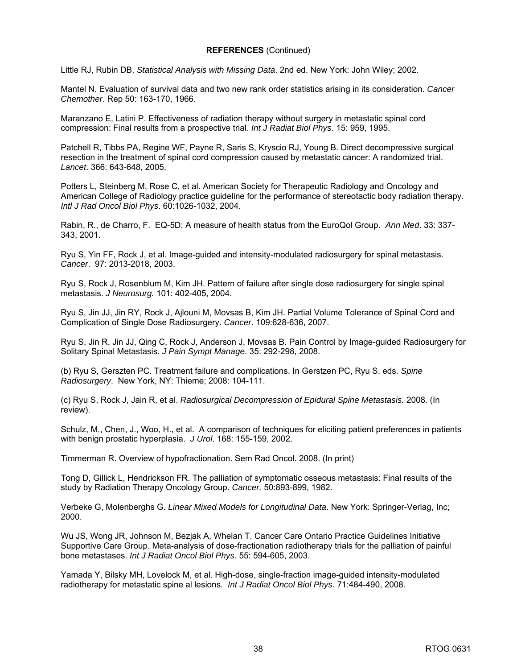### **REFERENCES** (Continued)

Little RJ, Rubin DB. *Statistical Analysis with Missing Data*. 2nd ed. New York: John Wiley; 2002.

Mantel N. Evaluation of survival data and two new rank order statistics arising in its consideration. *Cancer Chemother*. Rep 50: 163-170, 1966.

Maranzano E, Latini P. Effectiveness of radiation therapy without surgery in metastatic spinal cord compression: Final results from a prospective trial. *Int J Radiat Biol Phys*. 15: 959, 1995.

Patchell R, Tibbs PA, Regine WF, Payne R, Saris S, Kryscio RJ, Young B. Direct decompressive surgical resection in the treatment of spinal cord compression caused by metastatic cancer: A randomized trial. *Lancet*. 366: 643-648, 2005.

Potters L, Steinberg M, Rose C, et al. American Society for Therapeutic Radiology and Oncology and American College of Radiology practice guideline for the performance of stereotactic body radiation therapy. *Intl J Rad Oncol Biol Phys*. 60:1026-1032, 2004.

Rabin, R., de Charro, F. EQ-5D: A measure of health status from the EuroQol Group. *Ann Med*. 33: 337- 343, 2001.

Ryu S, Yin FF, Rock J, et al. Image-guided and intensity-modulated radiosurgery for spinal metastasis. *Cancer*. 97: 2013-2018, 2003.

Ryu S, Rock J, Rosenblum M, Kim JH. Pattern of failure after single dose radiosurgery for single spinal metastasis. *J Neurosurg.* 101: 402-405, 2004.

Ryu S, Jin JJ, Jin RY, Rock J, Ajlouni M, Movsas B, Kim JH. Partial Volume Tolerance of Spinal Cord and Complication of Single Dose Radiosurgery. *Cancer*. 109:628-636, 2007.

Ryu S, Jin R, Jin JJ, Qing C, Rock J, Anderson J, Movsas B. Pain Control by Image-guided Radiosurgery for Solitary Spinal Metastasis. *J Pain Sympt Manage*. 35: 292-298, 2008.

(b) Ryu S, Gerszten PC. Treatment failure and complications. In Gerstzen PC, Ryu S. eds. *Spine Radiosurgery*. New York, NY: Thieme; 2008: 104-111.

(c) Ryu S, Rock J, Jain R, et al. *Radiosurgical Decompression of Epidural Spine Metastasis.* 2008. (In review).

Schulz, M., Chen, J., Woo, H., et al. A comparison of techniques for eliciting patient preferences in patients with benign prostatic hyperplasia. *J Urol*. 168: 155-159, 2002.

Timmerman R. Overview of hypofractionation. Sem Rad Oncol. 2008. (In print)

Tong D, Gillick L, Hendrickson FR. The palliation of symptomatic osseous metastasis: Final results of the study by Radiation Therapy Oncology Group. *Cancer.* 50:893-899, 1982.

Verbeke G, Molenberghs G. *Linear Mixed Models for Longitudinal Data*. New York: Springer-Verlag, Inc; 2000.

Wu JS, Wong JR, Johnson M, Bezjak A, Whelan T. Cancer Care Ontario Practice Guidelines Initiative Supportive Care Group. Meta-analysis of dose-fractionation radiotherapy trials for the palliation of painful bone metastases. *Int J Radiat Oncol Biol Phys*. 55: 594-605, 2003.

Yamada Y, Bilsky MH, Lovelock M, et al. High-dose, single-fraction image-guided intensity-modulated radiotherapy for metastatic spine al lesions. *Int J Radiat Oncol Biol Phys*. 71:484-490, 2008.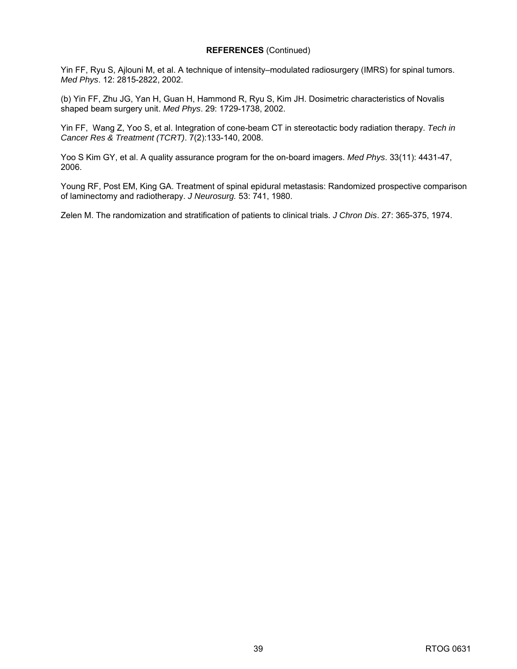### **REFERENCES** (Continued)

Yin FF, Ryu S, Ajlouni M, et al. A technique of intensity–modulated radiosurgery (IMRS) for spinal tumors. *Med Phys*. 12: 2815-2822, 2002.

(b) Yin FF, Zhu JG, Yan H, Guan H, Hammond R, Ryu S, Kim JH. Dosimetric characteristics of Novalis shaped beam surgery unit. *Med Phys*. 29: 1729-1738, 2002.

Yin FF, Wang Z, Yoo S, et al. Integration of cone-beam CT in stereotactic body radiation therapy. *Tech in Cancer Res & Treatment (TCRT)*. 7(2):133-140, 2008.

Yoo S Kim GY, et al. A quality assurance program for the on-board imagers. *Med Phys*. 33(11): 4431-47, 2006.

Young RF, Post EM, King GA. Treatment of spinal epidural metastasis: Randomized prospective comparison of laminectomy and radiotherapy. *J Neurosurg.* 53: 741, 1980.

Zelen M. The randomization and stratification of patients to clinical trials. *J Chron Dis*. 27: 365-375, 1974.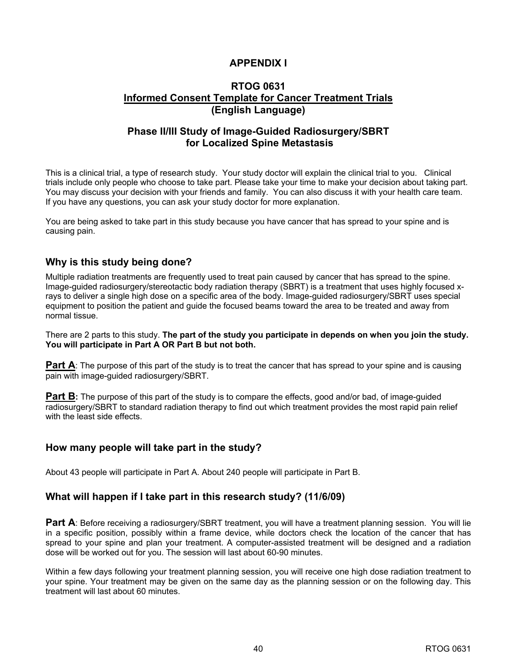# **APPENDIX I**

# **RTOG 0631 Informed Consent Template for Cancer Treatment Trials (English Language)**

# **Phase II/III Study of Image-Guided Radiosurgery/SBRT for Localized Spine Metastasis**

This is a clinical trial, a type of research study. Your study doctor will explain the clinical trial to you. Clinical trials include only people who choose to take part. Please take your time to make your decision about taking part. You may discuss your decision with your friends and family. You can also discuss it with your health care team. If you have any questions, you can ask your study doctor for more explanation.

You are being asked to take part in this study because you have cancer that has spread to your spine and is causing pain.

# **Why is this study being done?**

Multiple radiation treatments are frequently used to treat pain caused by cancer that has spread to the spine. Image-guided radiosurgery/stereotactic body radiation therapy (SBRT) is a treatment that uses highly focused xrays to deliver a single high dose on a specific area of the body. Image-guided radiosurgery/SBRT uses special equipment to position the patient and guide the focused beams toward the area to be treated and away from normal tissue.

There are 2 parts to this study. **The part of the study you participate in depends on when you join the study. You will participate in Part A OR Part B but not both.**

**Part A**: The purpose of this part of the study is to treat the cancer that has spread to your spine and is causing pain with image-guided radiosurgery/SBRT.

**Part B:** The purpose of this part of the study is to compare the effects, good and/or bad, of image-guided radiosurgery/SBRT to standard radiation therapy to find out which treatment provides the most rapid pain relief with the least side effects.

# **How many people will take part in the study?**

About 43 people will participate in Part A. About 240 people will participate in Part B.

# **What will happen if I take part in this research study? (11/6/09)**

**Part A**: Before receiving a radiosurgery/SBRT treatment, you will have a treatment planning session. You will lie in a specific position, possibly within a frame device, while doctors check the location of the cancer that has spread to your spine and plan your treatment. A computer-assisted treatment will be designed and a radiation dose will be worked out for you. The session will last about 60-90 minutes.

Within a few days following your treatment planning session, you will receive one high dose radiation treatment to your spine. Your treatment may be given on the same day as the planning session or on the following day. This treatment will last about 60 minutes.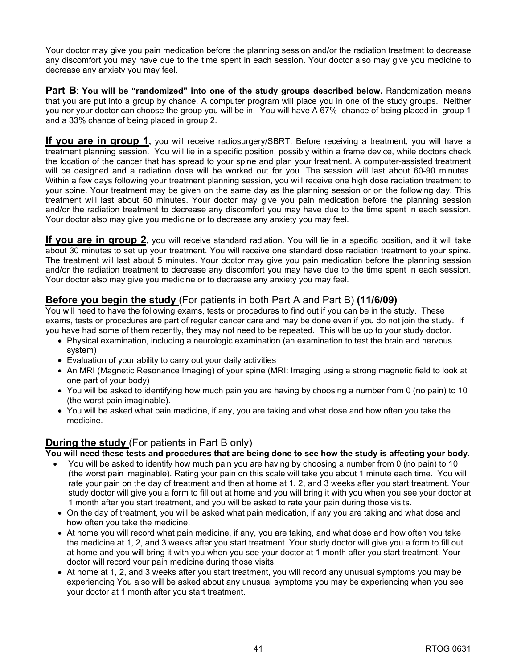Your doctor may give you pain medication before the planning session and/or the radiation treatment to decrease any discomfort you may have due to the time spent in each session. Your doctor also may give you medicine to decrease any anxiety you may feel.

**Part B**: **You will be "randomized" into one of the study groups described below.** Randomization means that you are put into a group by chance. A computer program will place you in one of the study groups. Neither you nor your doctor can choose the group you will be in. You will have A 67% chance of being placed in group 1 and a 33% chance of being placed in group 2.

**If you are in group 1,** you will receive radiosurgery/SBRT. Before receiving a treatment, you will have a treatment planning session. You will lie in a specific position, possibly within a frame device, while doctors check the location of the cancer that has spread to your spine and plan your treatment. A computer-assisted treatment will be designed and a radiation dose will be worked out for you. The session will last about 60-90 minutes. Within a few days following your treatment planning session, you will receive one high dose radiation treatment to your spine. Your treatment may be given on the same day as the planning session or on the following day. This treatment will last about 60 minutes. Your doctor may give you pain medication before the planning session and/or the radiation treatment to decrease any discomfort you may have due to the time spent in each session. Your doctor also may give you medicine or to decrease any anxiety you may feel.

**If you are in group 2,** you will receive standard radiation. You will lie in a specific position, and it will take about 30 minutes to set up your treatment. You will receive one standard dose radiation treatment to your spine. The treatment will last about 5 minutes. Your doctor may give you pain medication before the planning session and/or the radiation treatment to decrease any discomfort you may have due to the time spent in each session. Your doctor also may give you medicine or to decrease any anxiety you may feel.

# **Before you begin the study** (For patients in both Part A and Part B) **(11/6/09)**

You will need to have the following exams, tests or procedures to find out if you can be in the study. These exams, tests or procedures are part of regular cancer care and may be done even if you do not join the study. If you have had some of them recently, they may not need to be repeated. This will be up to your study doctor.

- Physical examination, including a neurologic examination (an examination to test the brain and nervous system)
- Evaluation of your ability to carry out your daily activities
- An MRI (Magnetic Resonance Imaging) of your spine (MRI: Imaging using a strong magnetic field to look at one part of your body)
- You will be asked to identifying how much pain you are having by choosing a number from 0 (no pain) to 10 (the worst pain imaginable).
- You will be asked what pain medicine, if any, you are taking and what dose and how often you take the medicine.

# **During the study** (For patients in Part B only)

**You will need these tests and procedures that are being done to see how the study is affecting your body.** 

- You will be asked to identify how much pain you are having by choosing a number from 0 (no pain) to 10 (the worst pain imaginable). Rating your pain on this scale will take you about 1 minute each time. You will rate your pain on the day of treatment and then at home at 1, 2, and 3 weeks after you start treatment. Your study doctor will give you a form to fill out at home and you will bring it with you when you see your doctor at 1 month after you start treatment, and you will be asked to rate your pain during those visits.
- On the day of treatment, you will be asked what pain medication, if any you are taking and what dose and how often you take the medicine.
- At home you will record what pain medicine, if any, you are taking, and what dose and how often you take the medicine at 1, 2, and 3 weeks after you start treatment. Your study doctor will give you a form to fill out at home and you will bring it with you when you see your doctor at 1 month after you start treatment. Your doctor will record your pain medicine during those visits.
- At home at 1, 2, and 3 weeks after you start treatment, you will record any unusual symptoms you may be experiencing You also will be asked about any unusual symptoms you may be experiencing when you see your doctor at 1 month after you start treatment.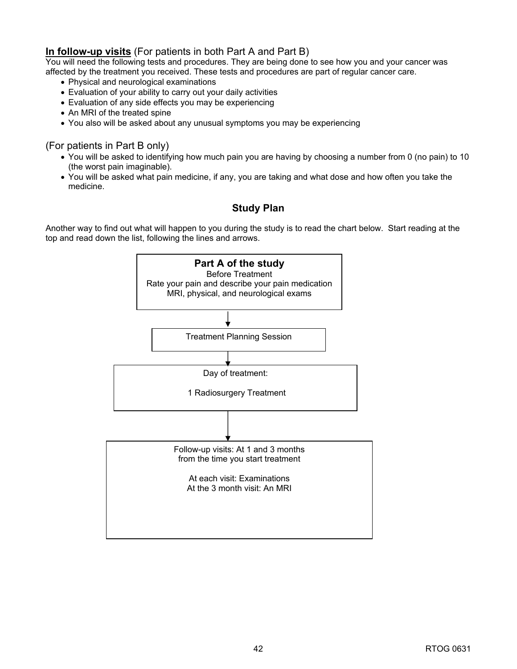# **In follow-up visits** (For patients in both Part A and Part B)

You will need the following tests and procedures. They are being done to see how you and your cancer was affected by the treatment you received. These tests and procedures are part of regular cancer care.

- Physical and neurological examinations
- Evaluation of your ability to carry out your daily activities
- Evaluation of any side effects you may be experiencing
- An MRI of the treated spine
- You also will be asked about any unusual symptoms you may be experiencing

# (For patients in Part B only)

- You will be asked to identifying how much pain you are having by choosing a number from 0 (no pain) to 10 (the worst pain imaginable).
- You will be asked what pain medicine, if any, you are taking and what dose and how often you take the medicine.

# **Study Plan**

Another way to find out what will happen to you during the study is to read the chart below. Start reading at the top and read down the list, following the lines and arrows.

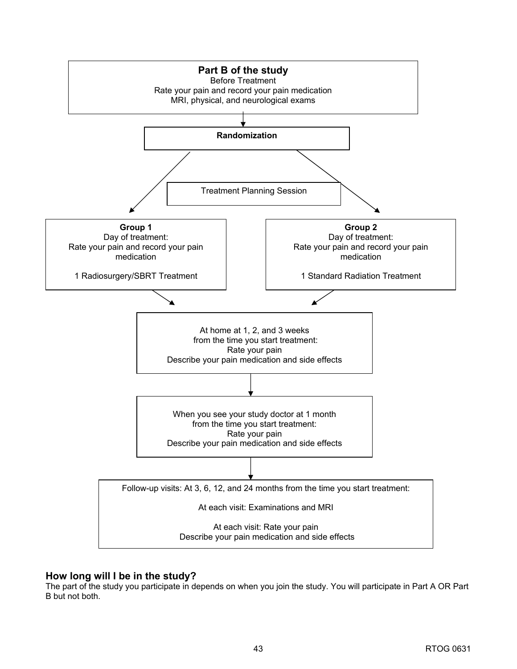

# **How long will I be in the study?**

The part of the study you participate in depends on when you join the study. You will participate in Part A OR Part B but not both.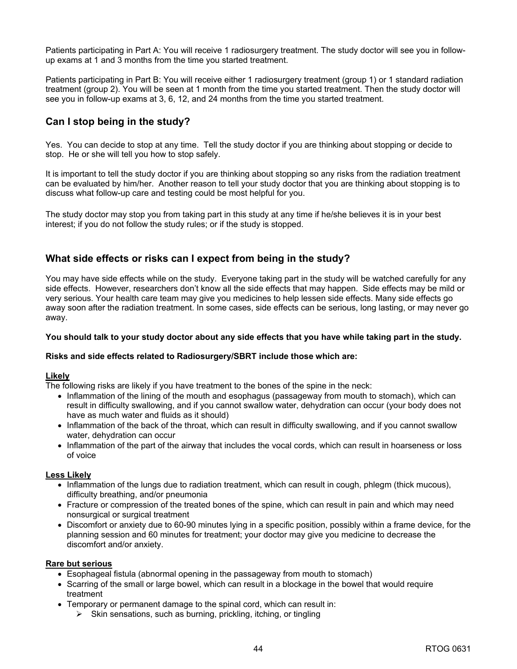Patients participating in Part A: You will receive 1 radiosurgery treatment. The study doctor will see you in followup exams at 1 and 3 months from the time you started treatment.

Patients participating in Part B: You will receive either 1 radiosurgery treatment (group 1) or 1 standard radiation treatment (group 2). You will be seen at 1 month from the time you started treatment. Then the study doctor will see you in follow-up exams at 3, 6, 12, and 24 months from the time you started treatment.

# **Can I stop being in the study?**

Yes. You can decide to stop at any time. Tell the study doctor if you are thinking about stopping or decide to stop. He or she will tell you how to stop safely.

It is important to tell the study doctor if you are thinking about stopping so any risks from the radiation treatment can be evaluated by him/her. Another reason to tell your study doctor that you are thinking about stopping is to discuss what follow-up care and testing could be most helpful for you.

The study doctor may stop you from taking part in this study at any time if he/she believes it is in your best interest; if you do not follow the study rules; or if the study is stopped.

# **What side effects or risks can I expect from being in the study?**

You may have side effects while on the study. Everyone taking part in the study will be watched carefully for any side effects. However, researchers don't know all the side effects that may happen. Side effects may be mild or very serious. Your health care team may give you medicines to help lessen side effects. Many side effects go away soon after the radiation treatment. In some cases, side effects can be serious, long lasting, or may never go away.

### **You should talk to your study doctor about any side effects that you have while taking part in the study.**

### **Risks and side effects related to Radiosurgery/SBRT include those which are:**

### **Likely**

The following risks are likely if you have treatment to the bones of the spine in the neck:

- Inflammation of the lining of the mouth and esophagus (passageway from mouth to stomach), which can result in difficulty swallowing, and if you cannot swallow water, dehydration can occur (your body does not have as much water and fluids as it should)
- Inflammation of the back of the throat, which can result in difficulty swallowing, and if you cannot swallow water, dehydration can occur
- Inflammation of the part of the airway that includes the vocal cords, which can result in hoarseness or loss of voice

### **Less Likely**

- Inflammation of the lungs due to radiation treatment, which can result in cough, phlegm (thick mucous), difficulty breathing, and/or pneumonia
- Fracture or compression of the treated bones of the spine, which can result in pain and which may need nonsurgical or surgical treatment
- Discomfort or anxiety due to 60-90 minutes lying in a specific position, possibly within a frame device, for the planning session and 60 minutes for treatment; your doctor may give you medicine to decrease the discomfort and/or anxiety.

### **Rare but serious**

- Esophageal fistula (abnormal opening in the passageway from mouth to stomach)
- Scarring of the small or large bowel, which can result in a blockage in the bowel that would require treatment
- Temporary or permanent damage to the spinal cord, which can result in:
	- $\triangleright$  Skin sensations, such as burning, prickling, itching, or tingling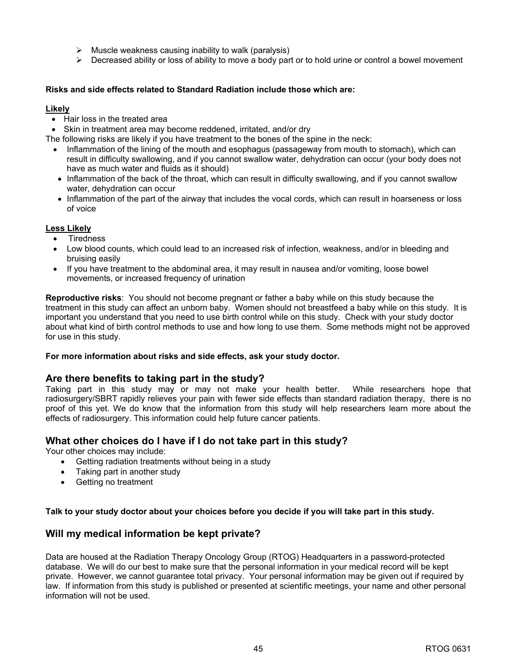- $\triangleright$  Muscle weakness causing inability to walk (paralysis)
- $\triangleright$  Decreased ability or loss of ability to move a body part or to hold urine or control a bowel movement

### **Risks and side effects related to Standard Radiation include those which are:**

### **Likely**

- Hair loss in the treated area
- Skin in treatment area may become reddened, irritated, and/or dry
- The following risks are likely if you have treatment to the bones of the spine in the neck:
	- Inflammation of the lining of the mouth and esophagus (passageway from mouth to stomach), which can result in difficulty swallowing, and if you cannot swallow water, dehydration can occur (your body does not have as much water and fluids as it should)
	- Inflammation of the back of the throat, which can result in difficulty swallowing, and if you cannot swallow water, dehydration can occur
	- Inflammation of the part of the airway that includes the vocal cords, which can result in hoarseness or loss of voice

### **Less Likely**

- Tiredness
- Low blood counts, which could lead to an increased risk of infection, weakness, and/or in bleeding and bruising easily
- If you have treatment to the abdominal area, it may result in nausea and/or vomiting, loose bowel movements, or increased frequency of urination

**Reproductive risks**: You should not become pregnant or father a baby while on this study because the treatment in this study can affect an unborn baby. Women should not breastfeed a baby while on this study. It is important you understand that you need to use birth control while on this study. Check with your study doctor about what kind of birth control methods to use and how long to use them. Some methods might not be approved for use in this study.

### **For more information about risks and side effects, ask your study doctor.**

### **Are there benefits to taking part in the study?**

Taking part in this study may or may not make your health better. While researchers hope that radiosurgery/SBRT rapidly relieves your pain with fewer side effects than standard radiation therapy, there is no proof of this yet. We do know that the information from this study will help researchers learn more about the effects of radiosurgery. This information could help future cancer patients.

### **What other choices do I have if I do not take part in this study?**

Your other choices may include:

- Getting radiation treatments without being in a study
- Taking part in another study
- Getting no treatment

### **Talk to your study doctor about your choices before you decide if you will take part in this study.**

# **Will my medical information be kept private?**

Data are housed at the Radiation Therapy Oncology Group (RTOG) Headquarters in a password-protected database. We will do our best to make sure that the personal information in your medical record will be kept private. However, we cannot guarantee total privacy. Your personal information may be given out if required by law. If information from this study is published or presented at scientific meetings, your name and other personal information will not be used.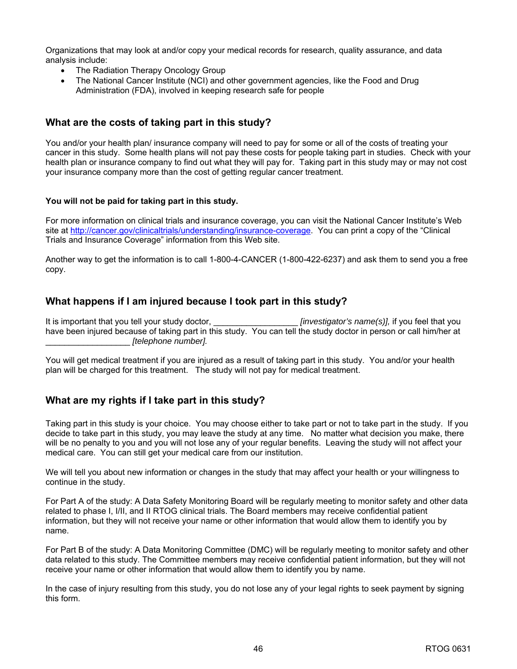Organizations that may look at and/or copy your medical records for research, quality assurance, and data analysis include:

- The Radiation Therapy Oncology Group
- The National Cancer Institute (NCI) and other government agencies, like the Food and Drug Administration (FDA), involved in keeping research safe for people

# **What are the costs of taking part in this study?**

You and/or your health plan/ insurance company will need to pay for some or all of the costs of treating your cancer in this study. Some health plans will not pay these costs for people taking part in studies. Check with your health plan or insurance company to find out what they will pay for. Taking part in this study may or may not cost your insurance company more than the cost of getting regular cancer treatment.

### **You will not be paid for taking part in this study.**

For more information on clinical trials and insurance coverage, you can visit the National Cancer Institute's Web site at http://cancer.gov/clinicaltrials/understanding/insurance-coverage. You can print a copy of the "Clinical Trials and Insurance Coverage" information from this Web site.

Another way to get the information is to call 1-800-4-CANCER (1-800-422-6237) and ask them to send you a free copy.

# **What happens if I am injured because I took part in this study?**

It is important that you tell your study doctor, *[investigator's name(s)]*, if you feel that you have been injured because of taking part in this study. You can tell the study doctor in person or call him/her at \_\_\_\_\_\_\_\_\_\_\_\_\_\_\_\_\_\_ *[telephone number].*

You will get medical treatment if you are injured as a result of taking part in this study. You and/or your health plan will be charged for this treatment. The study will not pay for medical treatment.

# **What are my rights if I take part in this study?**

Taking part in this study is your choice. You may choose either to take part or not to take part in the study. If you decide to take part in this study, you may leave the study at any time. No matter what decision you make, there will be no penalty to you and you will not lose any of your regular benefits. Leaving the study will not affect your medical care. You can still get your medical care from our institution.

We will tell you about new information or changes in the study that may affect your health or your willingness to continue in the study.

For Part A of the study: A Data Safety Monitoring Board will be regularly meeting to monitor safety and other data related to phase I, I/II, and II RTOG clinical trials. The Board members may receive confidential patient information, but they will not receive your name or other information that would allow them to identify you by name.

For Part B of the study: A Data Monitoring Committee (DMC) will be regularly meeting to monitor safety and other data related to this study. The Committee members may receive confidential patient information, but they will not receive your name or other information that would allow them to identify you by name.

In the case of injury resulting from this study, you do not lose any of your legal rights to seek payment by signing this form.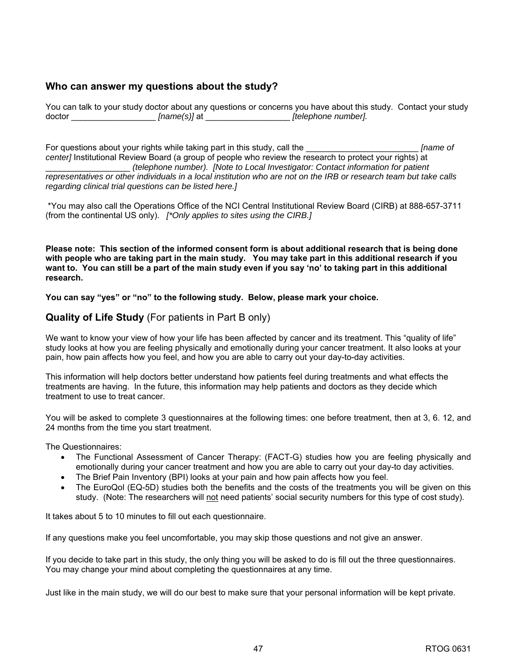# **Who can answer my questions about the study?**

You can talk to your study doctor about any questions or concerns you have about this study. Contact your study doctor  $[name(s)]$  at  $[telephone number].$ 

For questions about your rights while taking part in this study, call the \_\_\_\_\_\_\_\_\_\_\_\_\_\_\_\_\_\_\_\_\_\_\_\_ *[name of center]* Institutional Review Board (a group of people who review the research to protect your rights) at

\_\_\_\_\_\_\_\_\_\_\_\_\_\_\_\_\_\_ *(telephone number). [Note to Local Investigator: Contact information for patient representatives or other individuals in a local institution who are not on the IRB or research team but take calls regarding clinical trial questions can be listed here.]* 

\*You may also call the Operations Office of the NCI Central Institutional Review Board (CIRB) at 888-657-3711 (from the continental US only). *[\*Only applies to sites using the CIRB.]* 

**Please note: This section of the informed consent form is about additional research that is being done with people who are taking part in the main study. You may take part in this additional research if you want to. You can still be a part of the main study even if you say 'no' to taking part in this additional research.** 

**You can say "yes" or "no" to the following study. Below, please mark your choice.** 

# **Quality of Life Study** (For patients in Part B only)

We want to know your view of how your life has been affected by cancer and its treatment. This "quality of life" study looks at how you are feeling physically and emotionally during your cancer treatment. It also looks at your pain, how pain affects how you feel, and how you are able to carry out your day-to-day activities.

This information will help doctors better understand how patients feel during treatments and what effects the treatments are having. In the future, this information may help patients and doctors as they decide which treatment to use to treat cancer.

You will be asked to complete 3 questionnaires at the following times: one before treatment, then at 3, 6. 12, and 24 months from the time you start treatment.

The Questionnaires:

- The Functional Assessment of Cancer Therapy: (FACT-G) studies how you are feeling physically and emotionally during your cancer treatment and how you are able to carry out your day-to day activities.
- The Brief Pain Inventory (BPI) looks at your pain and how pain affects how you feel.
- The EuroQol (EQ-5D) studies both the benefits and the costs of the treatments you will be given on this study. (Note: The researchers will not need patients' social security numbers for this type of cost study).

It takes about 5 to 10 minutes to fill out each questionnaire.

If any questions make you feel uncomfortable, you may skip those questions and not give an answer.

If you decide to take part in this study, the only thing you will be asked to do is fill out the three questionnaires. You may change your mind about completing the questionnaires at any time.

Just like in the main study, we will do our best to make sure that your personal information will be kept private.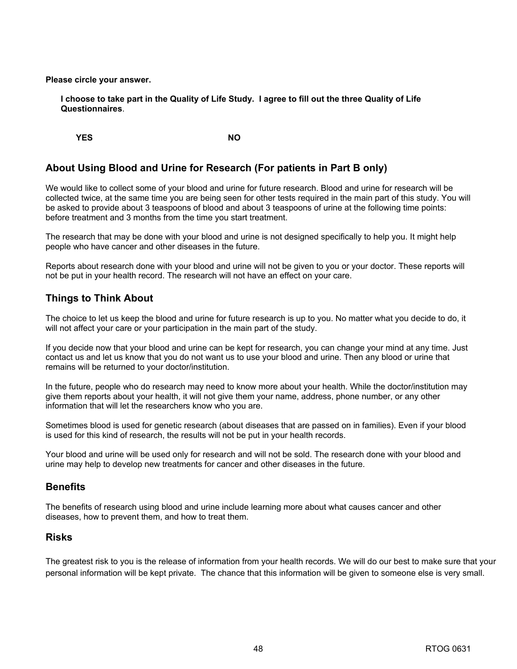**Please circle your answer.** 

**I choose to take part in the Quality of Life Study. I agree to fill out the three Quality of Life Questionnaires**.

**YES** NO

# **About Using Blood and Urine for Research (For patients in Part B only)**

We would like to collect some of your blood and urine for future research. Blood and urine for research will be collected twice, at the same time you are being seen for other tests required in the main part of this study. You will be asked to provide about 3 teaspoons of blood and about 3 teaspoons of urine at the following time points: before treatment and 3 months from the time you start treatment.

The research that may be done with your blood and urine is not designed specifically to help you. It might help people who have cancer and other diseases in the future.

Reports about research done with your blood and urine will not be given to you or your doctor. These reports will not be put in your health record. The research will not have an effect on your care.

# **Things to Think About**

The choice to let us keep the blood and urine for future research is up to you. No matter what you decide to do, it will not affect your care or your participation in the main part of the study.

If you decide now that your blood and urine can be kept for research, you can change your mind at any time. Just contact us and let us know that you do not want us to use your blood and urine. Then any blood or urine that remains will be returned to your doctor/institution.

In the future, people who do research may need to know more about your health. While the doctor/institution may give them reports about your health, it will not give them your name, address, phone number, or any other information that will let the researchers know who you are.

Sometimes blood is used for genetic research (about diseases that are passed on in families). Even if your blood is used for this kind of research, the results will not be put in your health records.

Your blood and urine will be used only for research and will not be sold. The research done with your blood and urine may help to develop new treatments for cancer and other diseases in the future.

# **Benefits**

The benefits of research using blood and urine include learning more about what causes cancer and other diseases, how to prevent them, and how to treat them.

# **Risks**

The greatest risk to you is the release of information from your health records. We will do our best to make sure that your personal information will be kept private. The chance that this information will be given to someone else is very small.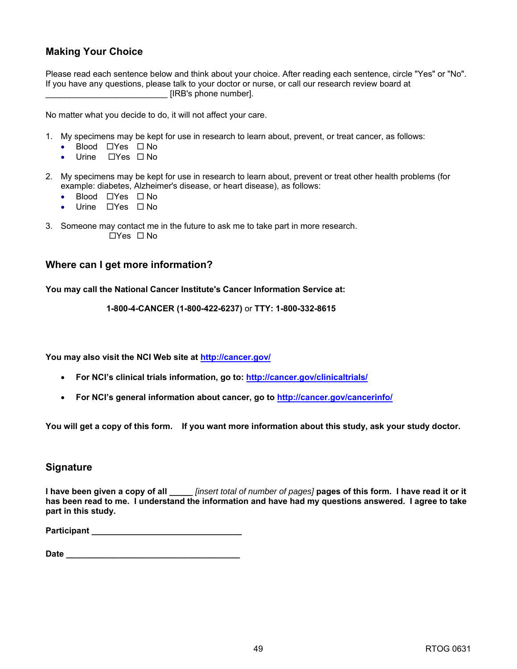# **Making Your Choice**

Please read each sentence below and think about your choice. After reading each sentence, circle "Yes" or "No". If you have any questions, please talk to your doctor or nurse, or call our research review board at \_\_\_\_\_\_\_\_\_\_\_\_\_\_\_\_\_\_\_\_\_\_\_\_\_\_ [IRB's phone number].

No matter what you decide to do, it will not affect your care.

- 1. My specimens may be kept for use in research to learn about, prevent, or treat cancer, as follows:
	- Blood  $\Box$  Yes  $\Box$  No
	- Urine  $\Box$  Yes  $\Box$  No
- 2. My specimens may be kept for use in research to learn about, prevent or treat other health problems (for example: diabetes, Alzheimer's disease, or heart disease), as follows:
	- Blood  $\Box$  Yes  $\Box$  No
	- Urine  $\Box$  Yes  $\Box$  No
- 3. Someone may contact me in the future to ask me to take part in more research.  $\Box$ Yes  $\Box$  No

# **Where can I get more information?**

**You may call the National Cancer Institute's Cancer Information Service at:** 

**1-800-4-CANCER (1-800-422-6237)** or **TTY: 1-800-332-8615**

**You may also visit the NCI Web site at http://cancer.gov/**

- **For NCI's clinical trials information, go to: http://cancer.gov/clinicaltrials/**
- **For NCI's general information about cancer, go to http://cancer.gov/cancerinfo/**

**You will get a copy of this form. If you want more information about this study, ask your study doctor.**

### **Signature**

**I have been given a copy of all \_\_\_\_\_** *[insert total of number of pages]* **pages of this form. I have read it or it has been read to me. I understand the information and have had my questions answered. I agree to take part in this study.** 

**Participant \_\_\_\_\_\_\_\_\_\_\_\_\_\_\_\_\_\_\_\_\_\_\_\_\_\_\_\_\_\_\_\_** 

| <b>Date</b> |  |  |  |  |  |  |  |
|-------------|--|--|--|--|--|--|--|
|             |  |  |  |  |  |  |  |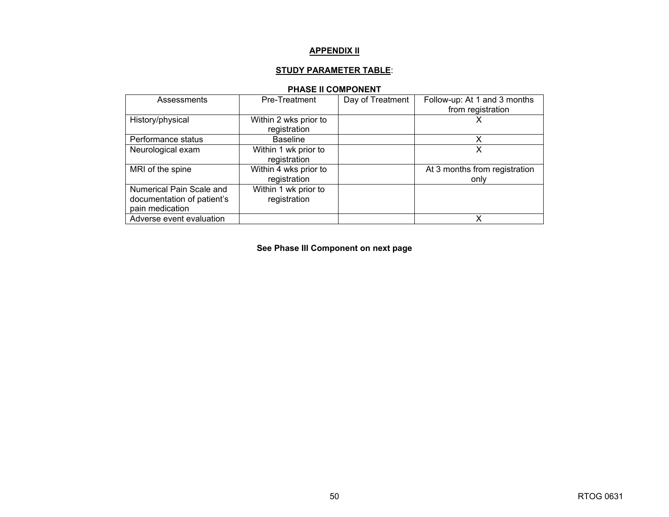### **APPENDIX II**

#### **STUDY PARAMETER TABLE**:

#### **PHASE II COMPONENT**

| Assessments                | Pre-Treatment         | Day of Treatment | Follow-up: At 1 and 3 months<br>from registration |
|----------------------------|-----------------------|------------------|---------------------------------------------------|
| History/physical           | Within 2 wks prior to |                  |                                                   |
|                            | registration          |                  |                                                   |
| Performance status         | <b>Baseline</b>       |                  |                                                   |
| Neurological exam          | Within 1 wk prior to  |                  | x                                                 |
|                            | registration          |                  |                                                   |
| MRI of the spine           | Within 4 wks prior to |                  | At 3 months from registration                     |
|                            | registration          |                  | only                                              |
| Numerical Pain Scale and   | Within 1 wk prior to  |                  |                                                   |
| documentation of patient's | registration          |                  |                                                   |
| pain medication            |                       |                  |                                                   |
| Adverse event evaluation   |                       |                  |                                                   |

**See Phase III Component on next page**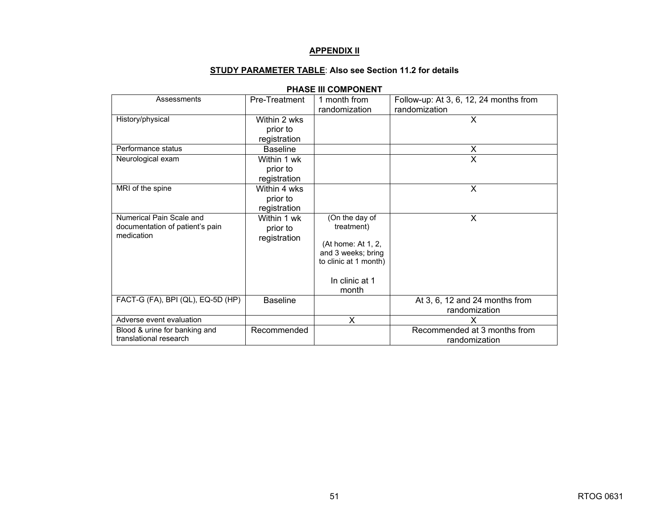### **APPENDIX II**

### **STUDY PARAMETER TABLE**: **Also see Section 11.2 for details**

| Assessments                                                               | Pre-Treatment                            | 1 month from                                                                                                                 | Follow-up: At 3, 6, 12, 24 months from          |
|---------------------------------------------------------------------------|------------------------------------------|------------------------------------------------------------------------------------------------------------------------------|-------------------------------------------------|
|                                                                           |                                          | randomization                                                                                                                | randomization                                   |
| History/physical                                                          | Within 2 wks<br>prior to<br>registration |                                                                                                                              | X                                               |
| Performance status                                                        | <b>Baseline</b>                          |                                                                                                                              | X                                               |
| Neurological exam                                                         | Within 1 wk<br>prior to<br>registration  |                                                                                                                              | X                                               |
| MRI of the spine                                                          | Within 4 wks<br>prior to<br>registration |                                                                                                                              | X                                               |
| Numerical Pain Scale and<br>documentation of patient's pain<br>medication | Within 1 wk<br>prior to<br>registration  | (On the day of<br>treatment)<br>(At home: At 1, 2,<br>and 3 weeks; bring<br>to clinic at 1 month)<br>In clinic at 1<br>month | X                                               |
| FACT-G (FA), BPI (QL), EQ-5D (HP)                                         | <b>Baseline</b>                          |                                                                                                                              | At 3, 6, 12 and 24 months from<br>randomization |
| Adverse event evaluation                                                  |                                          | X                                                                                                                            |                                                 |
| Blood & urine for banking and<br>translational research                   | Recommended                              |                                                                                                                              | Recommended at 3 months from<br>randomization   |

#### **PHASE III COMPONENT**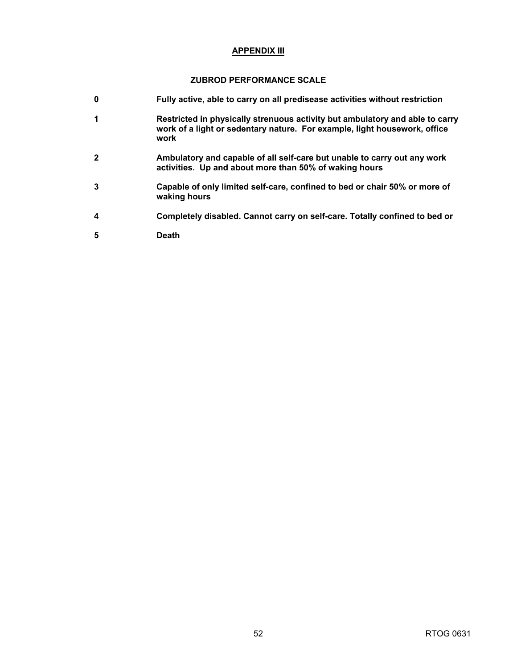# **APPENDIX III**

# **ZUBROD PERFORMANCE SCALE**

| 0 | Fully active, able to carry on all predisease activities without restriction                                                                                      |
|---|-------------------------------------------------------------------------------------------------------------------------------------------------------------------|
| 1 | Restricted in physically strenuous activity but ambulatory and able to carry<br>work of a light or sedentary nature. For example, light housework, office<br>work |
| 2 | Ambulatory and capable of all self-care but unable to carry out any work<br>activities. Up and about more than 50% of waking hours                                |
| 3 | Capable of only limited self-care, confined to bed or chair 50% or more of<br>waking hours                                                                        |
| 4 | Completely disabled. Cannot carry on self-care. Totally confined to bed or                                                                                        |
| 5 | <b>Death</b>                                                                                                                                                      |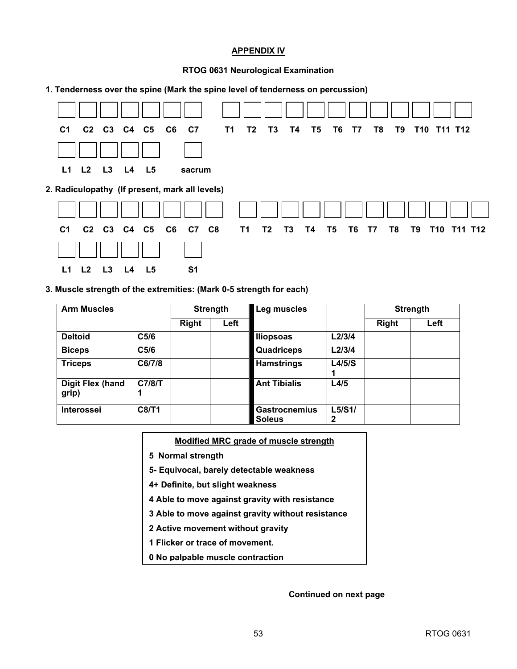### **APPENDIX IV**

### **RTOG 0631 Neurological Examination**



**3. Muscle strength of the extremities: (Mark 0-5 strength for each)** 

| <b>Arm Muscles</b>               |                  | <b>Strength</b> |      | Leg muscles                           |             | <b>Strength</b> |      |
|----------------------------------|------------------|-----------------|------|---------------------------------------|-------------|-----------------|------|
|                                  |                  | <b>Right</b>    | Left |                                       |             | <b>Right</b>    | Left |
| <b>Deltoid</b>                   | C5/6             |                 |      | <b>Iliopsoas</b>                      | L2/3/4      |                 |      |
| <b>Biceps</b>                    | C <sub>5/6</sub> |                 |      | Quadriceps                            | L2/3/4      |                 |      |
| <b>Triceps</b>                   | C6/7/8           |                 |      | <b>Hamstrings</b>                     | L4/5/S      |                 |      |
| <b>Digit Flex (hand</b><br>grip) | C7/8/T           |                 |      | <b>Ant Tibialis</b>                   | L4/5        |                 |      |
| <b>Interossei</b>                | C8/T1            |                 |      | <b>Gastrocnemius</b><br><b>Soleus</b> | L5/S1/<br>2 |                 |      |

### **Modified MRC grade of muscle strength**

- **5 Normal strength**
- **5- Equivocal, barely detectable weakness**
- **4+ Definite, but slight weakness**
- **4 Able to move against gravity with resistance**
- **3 Able to move against gravity without resistance**
- **2 Active movement without gravity**
- **1 Flicker or trace of movement.**
- **0 No palpable muscle contraction**

### **Continued on next page**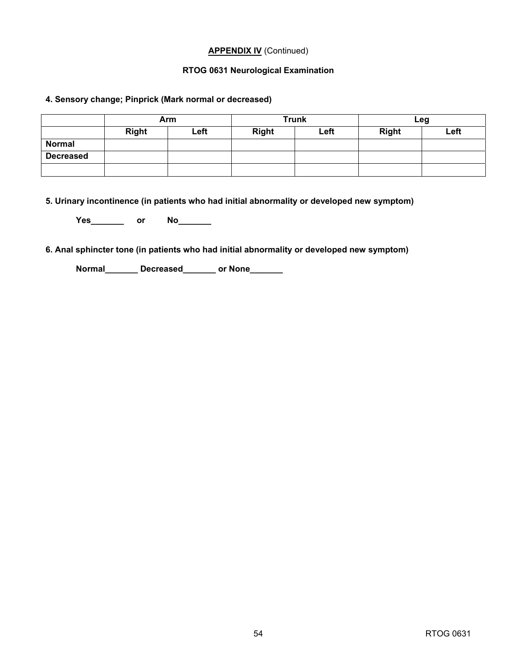### **APPENDIX IV** (Continued)

### **RTOG 0631 Neurological Examination**

### **4. Sensory change; Pinprick (Mark normal or decreased)**

|                  | Arm          |      |              | <b>Trunk</b> | Leg          |      |  |
|------------------|--------------|------|--------------|--------------|--------------|------|--|
|                  | <b>Right</b> | Left | <b>Right</b> | Left         | <b>Right</b> | Left |  |
| <b>Normal</b>    |              |      |              |              |              |      |  |
| <b>Decreased</b> |              |      |              |              |              |      |  |
|                  |              |      |              |              |              |      |  |

**5. Urinary incontinence (in patients who had initial abnormality or developed new symptom)** 

**Yes\_\_\_\_\_\_\_ or No\_\_\_\_\_\_\_** 

**6. Anal sphincter tone (in patients who had initial abnormality or developed new symptom)** 

Normal Decreased or None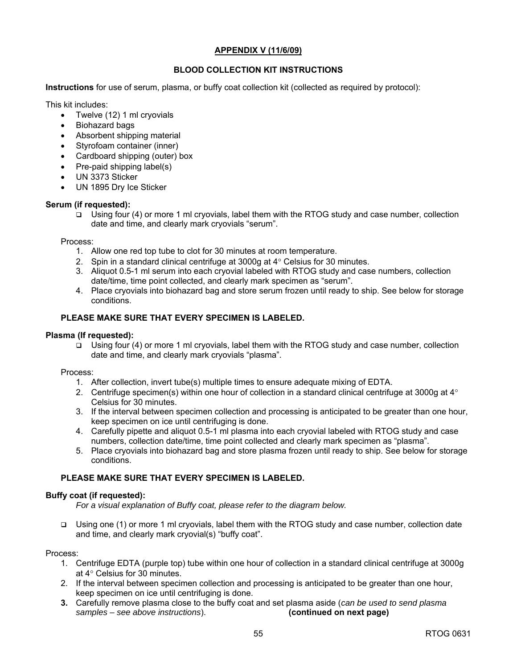### **APPENDIX V (11/6/09)**

### **BLOOD COLLECTION KIT INSTRUCTIONS**

**Instructions** for use of serum, plasma, or buffy coat collection kit (collected as required by protocol):

This kit includes:

- Twelve (12) 1 ml cryovials
- Biohazard bags
- Absorbent shipping material
- Styrofoam container (inner)
- Cardboard shipping (outer) box
- Pre-paid shipping label(s)
- UN 3373 Sticker
- UN 1895 Drv Ice Sticker

### **Serum (if requested):**

 $\Box$  Using four (4) or more 1 ml cryovials, label them with the RTOG study and case number, collection date and time, and clearly mark cryovials "serum".

### Process:

- 1. Allow one red top tube to clot for 30 minutes at room temperature.
- 2. Spin in a standard clinical centrifuge at 3000g at 4° Celsius for 30 minutes.
- 3. Aliquot 0.5-1 ml serum into each cryovial labeled with RTOG study and case numbers, collection date/time, time point collected, and clearly mark specimen as "serum".
- 4. Place cryovials into biohazard bag and store serum frozen until ready to ship. See below for storage conditions.

### **PLEASE MAKE SURE THAT EVERY SPECIMEN IS LABELED.**

### **Plasma (If requested):**

 $\Box$  Using four (4) or more 1 ml cryovials, label them with the RTOG study and case number, collection date and time, and clearly mark cryovials "plasma".

### Process:

- 1. After collection, invert tube(s) multiple times to ensure adequate mixing of EDTA.
- 2. Centrifuge specimen(s) within one hour of collection in a standard clinical centrifuge at 3000g at  $4^{\circ}$ Celsius for 30 minutes.
- 3. If the interval between specimen collection and processing is anticipated to be greater than one hour, keep specimen on ice until centrifuging is done.
- 4. Carefully pipette and aliquot 0.5-1 ml plasma into each cryovial labeled with RTOG study and case numbers, collection date/time, time point collected and clearly mark specimen as "plasma".
- 5. Place cryovials into biohazard bag and store plasma frozen until ready to ship. See below for storage conditions.

### **PLEASE MAKE SURE THAT EVERY SPECIMEN IS LABELED.**

### **Buffy coat (if requested):**

*For a visual explanation of Buffy coat, please refer to the diagram below.* 

 Using one (1) or more 1 ml cryovials, label them with the RTOG study and case number, collection date and time, and clearly mark cryovial(s) "buffy coat".

### Process:

- 1. Centrifuge EDTA (purple top) tube within one hour of collection in a standard clinical centrifuge at 3000g at 4° Celsius for 30 minutes.
- 2. If the interval between specimen collection and processing is anticipated to be greater than one hour, keep specimen on ice until centrifuging is done.
- **3.** Carefully remove plasma close to the buffy coat and set plasma aside (*can be used to send plasma samples – see above instructions*). **(continued on next page)**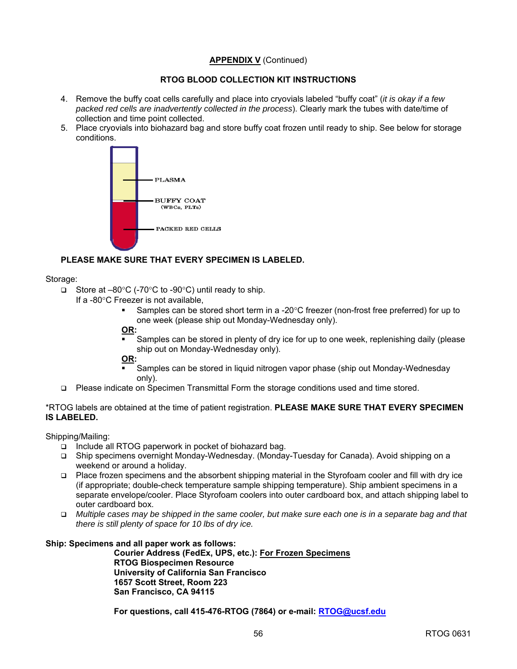### **APPENDIX V** (Continued)

### **RTOG BLOOD COLLECTION KIT INSTRUCTIONS**

- 4. Remove the buffy coat cells carefully and place into cryovials labeled "buffy coat" (*it is okay if a few packed red cells are inadvertently collected in the process*). Clearly mark the tubes with date/time of collection and time point collected.
- 5. Place cryovials into biohazard bag and store buffy coat frozen until ready to ship. See below for storage conditions.



# **PLEASE MAKE SURE THAT EVERY SPECIMEN IS LABELED.**

Storage:

- □ Store at  $-80^{\circ}$ C (-70 $^{\circ}$ C to -90 $^{\circ}$ C) until ready to ship.
	- If a -80°C Freezer is not available,
		- Samples can be stored short term in a -20°C freezer (non-frost free preferred) for up to one week (please ship out Monday-Wednesday only).

**OR:** 

 Samples can be stored in plenty of dry ice for up to one week, replenishing daily (please ship out on Monday-Wednesday only).

**OR:** 

- Samples can be stored in liquid nitrogen vapor phase (ship out Monday-Wednesday only).
- Please indicate on Specimen Transmittal Form the storage conditions used and time stored.

### \*RTOG labels are obtained at the time of patient registration. **PLEASE MAKE SURE THAT EVERY SPECIMEN IS LABELED.**

Shipping/Mailing:

- □ Include all RTOG paperwork in pocket of biohazard bag.
- Ship specimens overnight Monday-Wednesday. (Monday-Tuesday for Canada). Avoid shipping on a weekend or around a holiday.
- Place frozen specimens and the absorbent shipping material in the Styrofoam cooler and fill with dry ice (if appropriate; double-check temperature sample shipping temperature). Ship ambient specimens in a separate envelope/cooler. Place Styrofoam coolers into outer cardboard box, and attach shipping label to outer cardboard box.
- *Multiple cases may be shipped in the same cooler, but make sure each one is in a separate bag and that there is still plenty of space for 10 lbs of dry ice.*

### **Ship: Specimens and all paper work as follows:**

**Courier Address (FedEx, UPS, etc.): For Frozen Specimens RTOG Biospecimen Resource University of California San Francisco 1657 Scott Street, Room 223 San Francisco, CA 94115**

**For questions, call 415-476-RTOG (7864) or e-mail: RTOG@ucsf.edu**